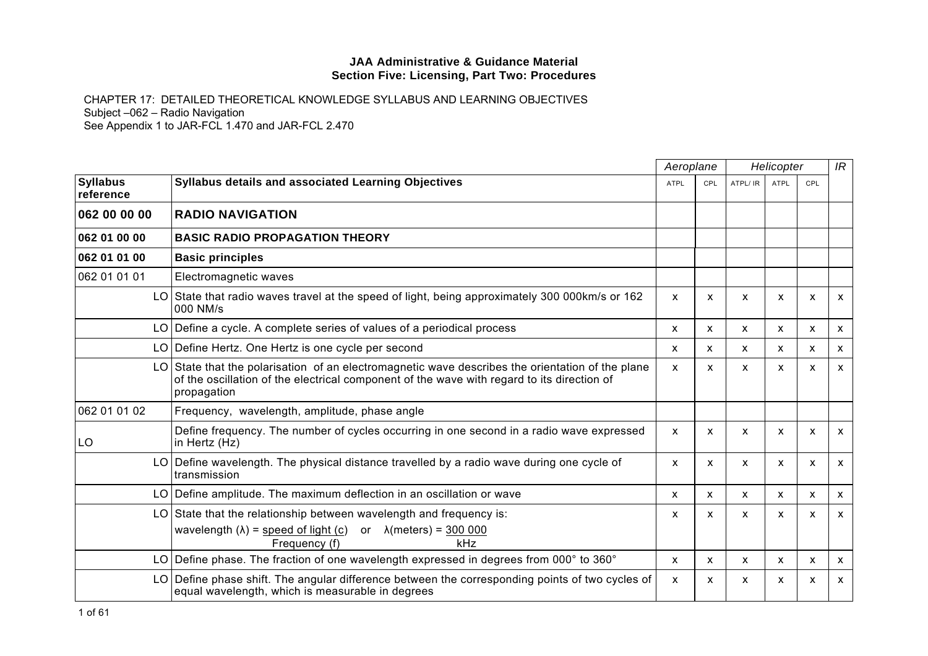|                              |                                                                                                                                                                                                            | Aeroplane                 |              | Helicopter |                           |              | IR                        |
|------------------------------|------------------------------------------------------------------------------------------------------------------------------------------------------------------------------------------------------------|---------------------------|--------------|------------|---------------------------|--------------|---------------------------|
| <b>Syllabus</b><br>reference | Syllabus details and associated Learning Objectives                                                                                                                                                        | <b>ATPL</b>               | CPL          | ATPL/ IR   | <b>ATPL</b>               | CPL          |                           |
| 062 00 00 00                 | <b>RADIO NAVIGATION</b>                                                                                                                                                                                    |                           |              |            |                           |              |                           |
| 062 01 00 00                 | <b>BASIC RADIO PROPAGATION THEORY</b>                                                                                                                                                                      |                           |              |            |                           |              |                           |
| 062 01 01 00                 | <b>Basic principles</b>                                                                                                                                                                                    |                           |              |            |                           |              |                           |
| 062 01 01 01                 | Electromagnetic waves                                                                                                                                                                                      |                           |              |            |                           |              |                           |
|                              | LO State that radio waves travel at the speed of light, being approximately 300 000km/s or 162<br>000 NM/s                                                                                                 | X                         | X            | X          | X                         | X            | X                         |
|                              | $LO$ Define a cycle. A complete series of values of a periodical process                                                                                                                                   | X                         | X            | X          | X                         | X            | $\mathsf{x}$              |
|                              | LO Define Hertz. One Hertz is one cycle per second                                                                                                                                                         | X                         | X            | X          | $\boldsymbol{\mathsf{x}}$ | $\mathsf{x}$ | X                         |
| LO.                          | State that the polarisation of an electromagnetic wave describes the orientation of the plane<br>of the oscillation of the electrical component of the wave with regard to its direction of<br>propagation | $\boldsymbol{\mathsf{x}}$ | $\mathsf{x}$ | X          | x                         | X            | X                         |
| 062 01 01 02                 | Frequency, wavelength, amplitude, phase angle                                                                                                                                                              |                           |              |            |                           |              |                           |
| LO                           | Define frequency. The number of cycles occurring in one second in a radio wave expressed<br>in Hertz (Hz)                                                                                                  | $\boldsymbol{\mathsf{x}}$ | $\mathsf{x}$ | X          | $\boldsymbol{\mathsf{x}}$ | $\mathsf{x}$ | $\boldsymbol{\mathsf{x}}$ |
|                              | LO Define wavelength. The physical distance travelled by a radio wave during one cycle of<br>transmission                                                                                                  | $\boldsymbol{\mathsf{x}}$ | X            | X          | x                         | X            | X                         |
|                              | LO   Define amplitude. The maximum deflection in an oscillation or wave                                                                                                                                    | X                         | X            | X          | $\mathsf{x}$              | X            | $\mathsf{x}$              |
| LO.                          | State that the relationship between wavelength and frequency is:<br>wavelength $(\lambda)$ = speed of light (c) or $\lambda$ (meters) = 300 000<br>kHz<br>Frequency (f)                                    | X                         | X            | X          | X                         | X            | X                         |
|                              | LO Define phase. The fraction of one wavelength expressed in degrees from 000° to 360°                                                                                                                     | $\mathsf{x}$              | X            | X          | X                         | X            | $\mathsf{x}$              |
|                              | LO Define phase shift. The angular difference between the corresponding points of two cycles of<br>equal wavelength, which is measurable in degrees                                                        | X                         | X            | X          | x                         | X            | $\boldsymbol{\mathsf{x}}$ |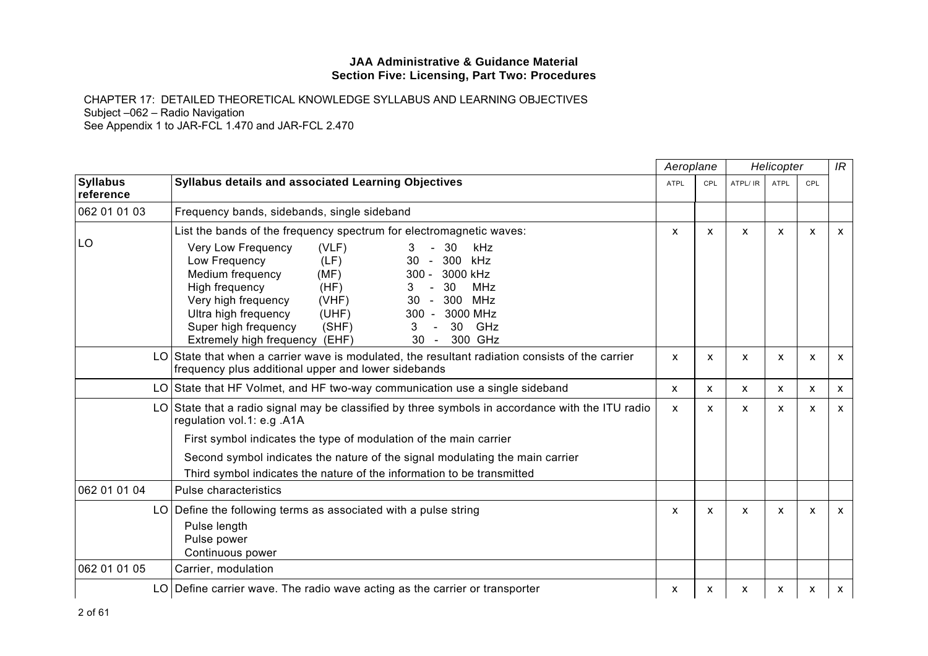|                              |                                                                                                                                                                                                                                                                                                                                                                                                                                                                                                                         | Aeroplane    |     |                           | Helicopter |     | IR                        |
|------------------------------|-------------------------------------------------------------------------------------------------------------------------------------------------------------------------------------------------------------------------------------------------------------------------------------------------------------------------------------------------------------------------------------------------------------------------------------------------------------------------------------------------------------------------|--------------|-----|---------------------------|------------|-----|---------------------------|
| <b>Syllabus</b><br>reference | <b>Syllabus details and associated Learning Objectives</b>                                                                                                                                                                                                                                                                                                                                                                                                                                                              | <b>ATPL</b>  | CPL | ATPL/ IR                  | ATPL       | CPL |                           |
| 062 01 01 03                 | Frequency bands, sidebands, single sideband                                                                                                                                                                                                                                                                                                                                                                                                                                                                             |              |     |                           |            |     |                           |
| LO                           | List the bands of the frequency spectrum for electromagnetic waves:<br>Very Low Frequency<br>(VLF)<br>-30<br><b>kHz</b><br>3<br>Low Frequency<br>300<br>(LF)<br>kHz<br>30<br>$\sim$<br>Medium frequency<br>3000 kHz<br>(MF)<br>$300 -$<br>30<br>High frequency<br>MHz<br>(HF)<br>300<br>Very high frequency<br>30<br>MHz<br>(VHF)<br>$\sim$<br>Ultra high frequency<br>3000 MHz<br>(UHF)<br>$300 -$<br>GHz<br>Super high frequency<br>(SHF)<br>3<br>30<br>$\sim$<br>300 GHz<br>Extremely high frequency (EHF)<br>$30 -$ | X            | X   | $\boldsymbol{\mathsf{x}}$ | X          | X   | $\mathsf{x}$              |
| LO I                         | State that when a carrier wave is modulated, the resultant radiation consists of the carrier<br>frequency plus additional upper and lower sidebands                                                                                                                                                                                                                                                                                                                                                                     | X            | X   | X                         | X          | X   | $\mathsf{x}$              |
| LO                           | State that HF Volmet, and HF two-way communication use a single sideband                                                                                                                                                                                                                                                                                                                                                                                                                                                | $\mathsf{x}$ | X   | $\mathsf{x}$              | X          | X   | $\boldsymbol{\mathsf{x}}$ |
| LO                           | State that a radio signal may be classified by three symbols in accordance with the ITU radio<br>regulation vol.1: e.g. A1A                                                                                                                                                                                                                                                                                                                                                                                             | $\mathsf{x}$ | X   | $\boldsymbol{\mathsf{x}}$ | X          | X   | $\mathsf{x}$              |
|                              | First symbol indicates the type of modulation of the main carrier                                                                                                                                                                                                                                                                                                                                                                                                                                                       |              |     |                           |            |     |                           |
|                              | Second symbol indicates the nature of the signal modulating the main carrier                                                                                                                                                                                                                                                                                                                                                                                                                                            |              |     |                           |            |     |                           |
|                              | Third symbol indicates the nature of the information to be transmitted                                                                                                                                                                                                                                                                                                                                                                                                                                                  |              |     |                           |            |     |                           |
| 062 01 01 04                 | Pulse characteristics                                                                                                                                                                                                                                                                                                                                                                                                                                                                                                   |              |     |                           |            |     |                           |
|                              | LO Define the following terms as associated with a pulse string<br>Pulse length<br>Pulse power<br>Continuous power                                                                                                                                                                                                                                                                                                                                                                                                      | X            | X   | X                         | X          | X   | $\mathsf{x}$              |
| 062 01 01 05                 | Carrier, modulation                                                                                                                                                                                                                                                                                                                                                                                                                                                                                                     |              |     |                           |            |     |                           |
|                              | LO Define carrier wave. The radio wave acting as the carrier or transporter                                                                                                                                                                                                                                                                                                                                                                                                                                             | х            | x   | x                         | x          | x   | X                         |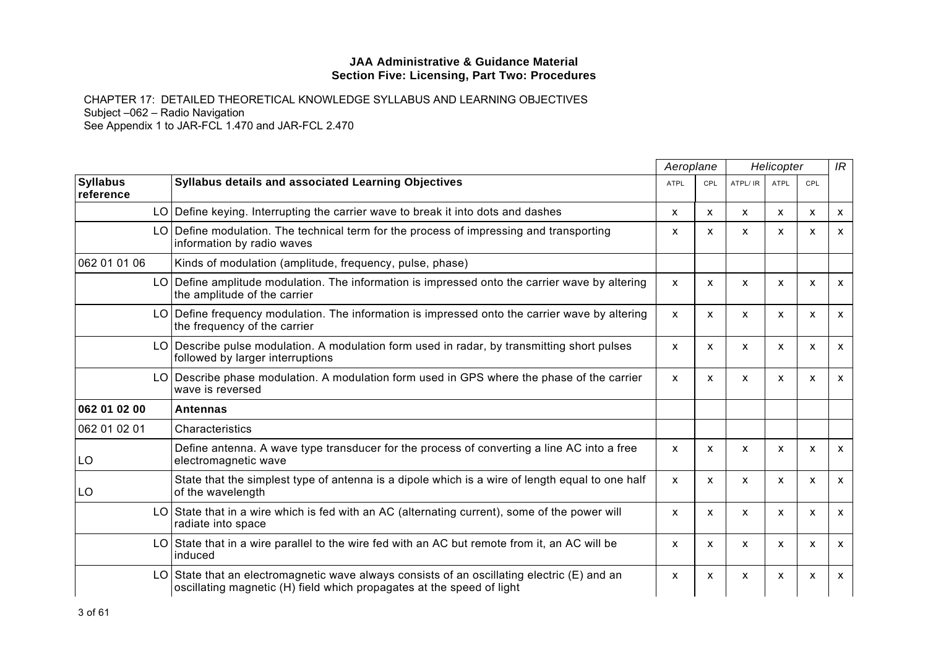|                              |                                                                                                                                                                   | Aeroplane   |              | Helicopter   |                           |                           | IR |
|------------------------------|-------------------------------------------------------------------------------------------------------------------------------------------------------------------|-------------|--------------|--------------|---------------------------|---------------------------|----|
| <b>Syllabus</b><br>reference | Syllabus details and associated Learning Objectives                                                                                                               | <b>ATPL</b> | CPL          | ATPL/ IR     | <b>ATPL</b>               | CPL                       |    |
|                              | LO Define keying. Interrupting the carrier wave to break it into dots and dashes                                                                                  | X           | X            | x            | x                         | X                         | X  |
|                              | LO Define modulation. The technical term for the process of impressing and transporting<br>information by radio waves                                             | X           | $\mathsf{x}$ | $\mathsf{x}$ | X                         | $\boldsymbol{\mathsf{x}}$ | X  |
| 062 01 01 06                 | Kinds of modulation (amplitude, frequency, pulse, phase)                                                                                                          |             |              |              |                           |                           |    |
|                              | LO Define amplitude modulation. The information is impressed onto the carrier wave by altering<br>the amplitude of the carrier                                    | X           | $\mathsf{x}$ | X            | $\mathsf{x}$              | X                         | X  |
|                              | LO Define frequency modulation. The information is impressed onto the carrier wave by altering<br>the frequency of the carrier                                    | X           | $\mathsf{x}$ | X            | $\boldsymbol{\mathsf{x}}$ | $\boldsymbol{\mathsf{x}}$ | X  |
|                              | LO Describe pulse modulation. A modulation form used in radar, by transmitting short pulses<br>followed by larger interruptions                                   | X           | $\mathsf{x}$ | $\mathsf{x}$ | X                         | $\boldsymbol{\mathsf{x}}$ | X  |
|                              | LO Describe phase modulation. A modulation form used in GPS where the phase of the carrier<br>wave is reversed                                                    | x           | X            | X            | x                         | X                         | x  |
| 062 01 02 00                 | <b>Antennas</b>                                                                                                                                                   |             |              |              |                           |                           |    |
| 062 01 02 01                 | Characteristics                                                                                                                                                   |             |              |              |                           |                           |    |
| LO                           | Define antenna. A wave type transducer for the process of converting a line AC into a free<br>electromagnetic wave                                                | X           | X            | X            | X                         | $\boldsymbol{\mathsf{x}}$ | X  |
| LO                           | State that the simplest type of antenna is a dipole which is a wire of length equal to one half<br>of the wavelength                                              | X           | $\mathsf{x}$ | X            | X                         | $\boldsymbol{\mathsf{x}}$ | x  |
| LO.                          | State that in a wire which is fed with an AC (alternating current), some of the power will<br>radiate into space                                                  | X           | $\mathsf{x}$ | X            | X                         | X                         | X  |
| LO                           | State that in a wire parallel to the wire fed with an AC but remote from it, an AC will be<br>induced                                                             | X           | $\mathsf{x}$ | X            | $\boldsymbol{\mathsf{x}}$ | $\boldsymbol{\mathsf{x}}$ | x  |
| LO.                          | State that an electromagnetic wave always consists of an oscillating electric (E) and an<br>oscillating magnetic (H) field which propagates at the speed of light | X           | X            | X            | X                         | X                         | x  |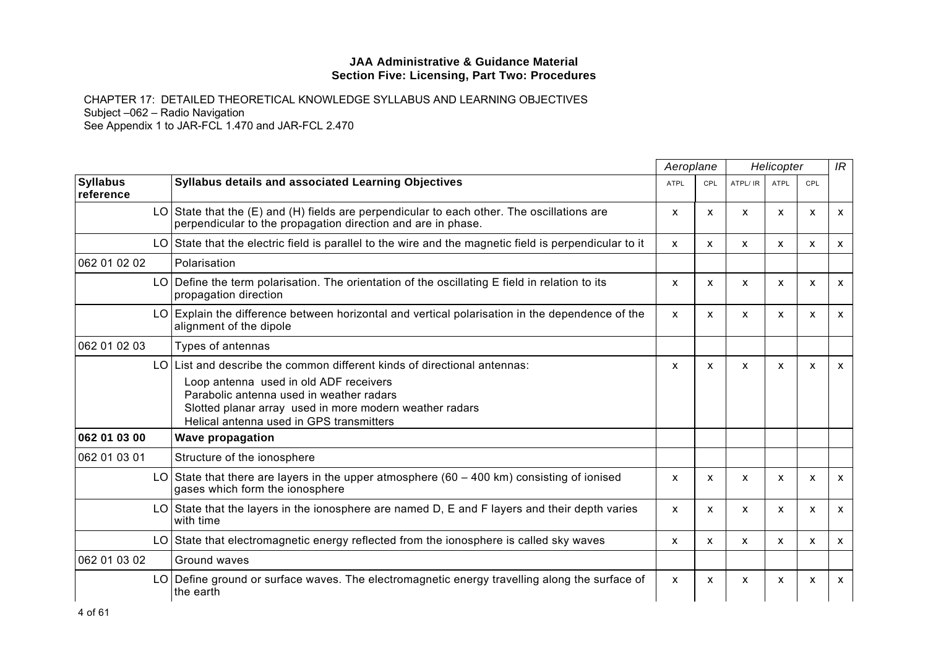|                              |      |                                                                                                                                                                                                                                                                    | Aeroplane    |              | Helicopter |              |              | IR                        |
|------------------------------|------|--------------------------------------------------------------------------------------------------------------------------------------------------------------------------------------------------------------------------------------------------------------------|--------------|--------------|------------|--------------|--------------|---------------------------|
| <b>Syllabus</b><br>reference |      | <b>Syllabus details and associated Learning Objectives</b>                                                                                                                                                                                                         | <b>ATPL</b>  | <b>CPL</b>   | ATPL/ IR   | <b>ATPL</b>  | <b>CPL</b>   |                           |
|                              |      | LO State that the $(E)$ and $(H)$ fields are perpendicular to each other. The oscillations are<br>perpendicular to the propagation direction and are in phase.                                                                                                     | X            | $\mathsf{x}$ | X          | $\mathsf{x}$ | X            | $\mathsf{x}$              |
|                              |      | LO State that the electric field is parallel to the wire and the magnetic field is perpendicular to it                                                                                                                                                             | X            | $\mathsf{x}$ | X          | X            | X            | $\boldsymbol{\mathsf{x}}$ |
| 062 01 02 02                 |      | Polarisation                                                                                                                                                                                                                                                       |              |              |            |              |              |                           |
|                              |      | LO Define the term polarisation. The orientation of the oscillating E field in relation to its<br>propagation direction                                                                                                                                            | X            | $\mathsf{x}$ | X          | $\mathsf{x}$ | X            | $\mathsf{x}$              |
|                              | LO I | Explain the difference between horizontal and vertical polarisation in the dependence of the<br>alignment of the dipole                                                                                                                                            | X            | X            | X          | $\mathsf{x}$ | X            | $\mathsf{x}$              |
| 062 01 02 03                 |      | Types of antennas                                                                                                                                                                                                                                                  |              |              |            |              |              |                           |
|                              | LO.  | List and describe the common different kinds of directional antennas:<br>Loop antenna used in old ADF receivers<br>Parabolic antenna used in weather radars<br>Slotted planar array used in more modern weather radars<br>Helical antenna used in GPS transmitters | x            | $\mathsf{x}$ | X          | X            | X            | $\mathsf{x}$              |
| 062 01 03 00                 |      | <b>Wave propagation</b>                                                                                                                                                                                                                                            |              |              |            |              |              |                           |
| 062 01 03 01                 |      | Structure of the ionosphere                                                                                                                                                                                                                                        |              |              |            |              |              |                           |
|                              |      | LO State that there are layers in the upper atmosphere ( $60 - 400$ km) consisting of ionised<br>gases which form the ionosphere                                                                                                                                   | X            | $\mathsf{x}$ | X          | X            | X            | $\boldsymbol{\mathsf{x}}$ |
|                              |      | LO State that the layers in the ionosphere are named $D$ , E and F layers and their depth varies<br>with time                                                                                                                                                      | X            | $\mathsf{x}$ | X          | $\mathsf{x}$ | $\mathsf{x}$ | $\mathsf{x}$              |
|                              |      | LO State that electromagnetic energy reflected from the ionosphere is called sky waves                                                                                                                                                                             | X            | $\mathsf{x}$ | X          | $\mathsf{x}$ | $\mathsf{x}$ | $\mathsf{x}$              |
| 062 01 03 02                 |      | Ground waves                                                                                                                                                                                                                                                       |              |              |            |              |              |                           |
|                              |      | LO Define ground or surface waves. The electromagnetic energy travelling along the surface of<br>the earth                                                                                                                                                         | $\mathsf{x}$ | $\mathsf{x}$ | X          | X            | X            | $\boldsymbol{\mathsf{x}}$ |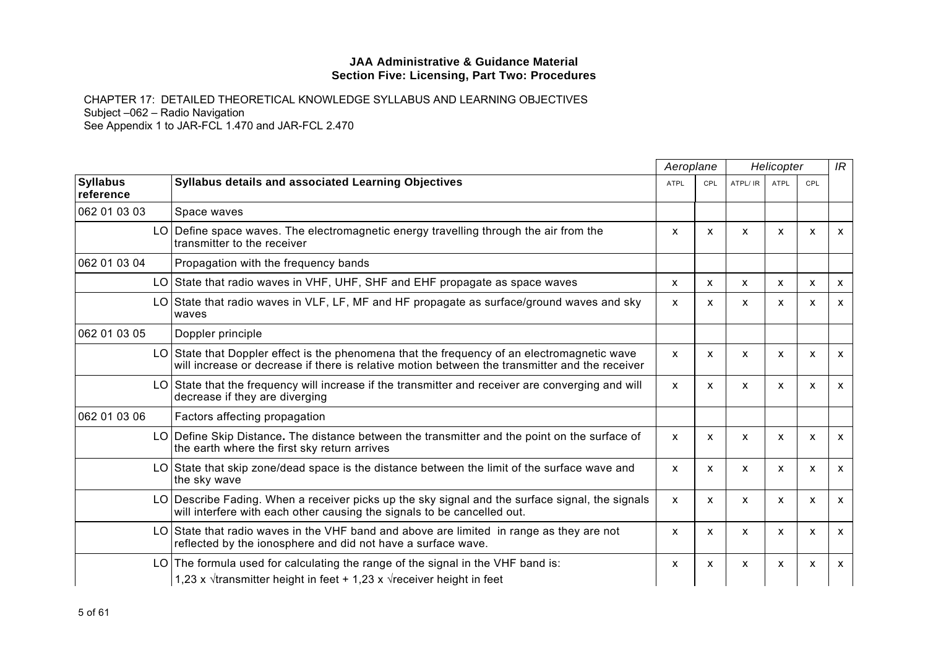|                              |                                                                                                                                                                                               | Aeroplane    |              | Helicopter   |              |              | IR           |
|------------------------------|-----------------------------------------------------------------------------------------------------------------------------------------------------------------------------------------------|--------------|--------------|--------------|--------------|--------------|--------------|
| <b>Syllabus</b><br>reference | Syllabus details and associated Learning Objectives                                                                                                                                           | <b>ATPL</b>  | CPL          | ATPL/ IR     | <b>ATPL</b>  | CPL          |              |
| 062 01 03 03                 | Space waves                                                                                                                                                                                   |              |              |              |              |              |              |
|                              | LO Define space waves. The electromagnetic energy travelling through the air from the<br>transmitter to the receiver                                                                          | X            | X            | X            | X            | X            | $\mathsf{x}$ |
| 062 01 03 04                 | Propagation with the frequency bands                                                                                                                                                          |              |              |              |              |              |              |
|                              | LO State that radio waves in VHF, UHF, SHF and EHF propagate as space waves                                                                                                                   | X            | $\mathsf{x}$ | $\mathsf{x}$ | $\mathsf{x}$ | X            | $\mathsf{x}$ |
|                              | LO State that radio waves in VLF, LF, MF and HF propagate as surface/ground waves and sky<br>waves                                                                                            | X            | X            | X            | X            | X            | $\mathsf{x}$ |
| 062 01 03 05                 | Doppler principle                                                                                                                                                                             |              |              |              |              |              |              |
|                              | LO State that Doppler effect is the phenomena that the frequency of an electromagnetic wave<br>will increase or decrease if there is relative motion between the transmitter and the receiver | X            | X            | X            | X            | x            | $\mathsf{x}$ |
|                              | State that the frequency will increase if the transmitter and receiver are converging and will<br>LO.<br>decrease if they are diverging                                                       | X            | $\mathsf{x}$ | X            | $\mathsf{x}$ | $\mathsf{x}$ | $\mathsf{x}$ |
| 062 01 03 06                 | Factors affecting propagation                                                                                                                                                                 |              |              |              |              |              |              |
|                              | Define Skip Distance. The distance between the transmitter and the point on the surface of<br>LO.<br>the earth where the first sky return arrives                                             | X            | X            | X            | $\mathsf{x}$ | $\mathsf{x}$ | $\mathsf{x}$ |
|                              | LO State that skip zone/dead space is the distance between the limit of the surface wave and<br>the sky wave                                                                                  | X            | X            | X            | X            | x            | $\mathsf{x}$ |
|                              | LO Describe Fading. When a receiver picks up the sky signal and the surface signal, the signals<br>will interfere with each other causing the signals to be cancelled out.                    | $\mathsf{x}$ | $\mathsf{x}$ | X            | $\mathsf{x}$ | $\mathsf{x}$ | $\mathsf{x}$ |
|                              | LO State that radio waves in the VHF band and above are limited in range as they are not<br>reflected by the ionosphere and did not have a surface wave.                                      | X            | X            | X            | X            | X            | $\mathsf{x}$ |
|                              | The formula used for calculating the range of the signal in the VHF band is:<br>LO.                                                                                                           | x            | X            | X            | X            | X            | $\mathsf{x}$ |
|                              | 1,23 x $\sqrt{t}$ transmitter height in feet + 1,23 x $\sqrt{t}$ receiver height in feet                                                                                                      |              |              |              |              |              |              |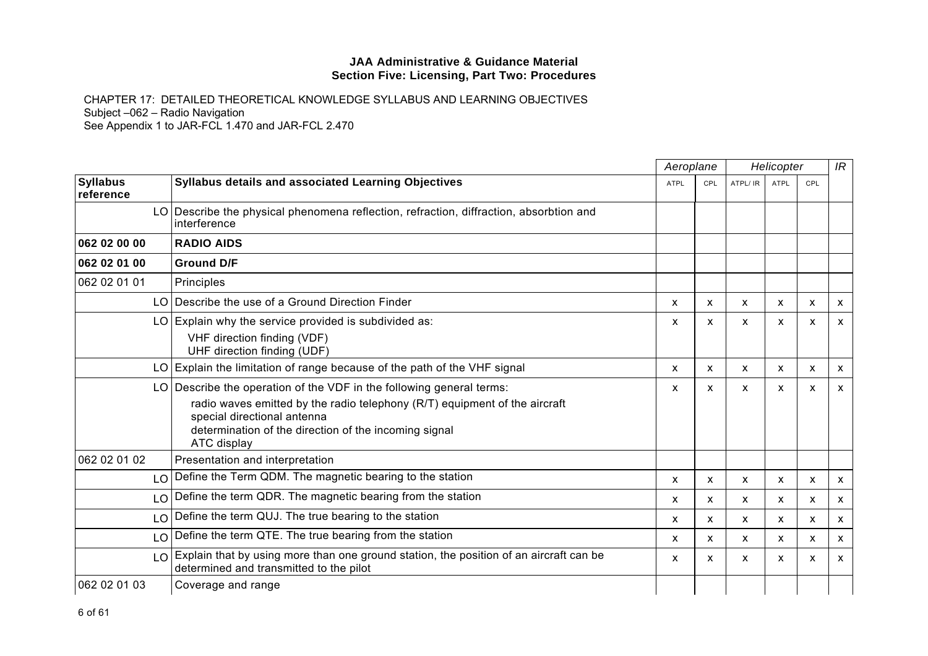|                              |                                                                                                                                                                                                                                                           |             | Aeroplane<br>Helicopter |          |                           |            | IR                        |
|------------------------------|-----------------------------------------------------------------------------------------------------------------------------------------------------------------------------------------------------------------------------------------------------------|-------------|-------------------------|----------|---------------------------|------------|---------------------------|
| <b>Syllabus</b><br>reference | <b>Syllabus details and associated Learning Objectives</b>                                                                                                                                                                                                | <b>ATPL</b> | CPL                     | ATPL/ IR | <b>ATPL</b>               | <b>CPL</b> |                           |
|                              | LO Describe the physical phenomena reflection, refraction, diffraction, absorbtion and<br>interference                                                                                                                                                    |             |                         |          |                           |            |                           |
| 062 02 00 00                 | <b>RADIO AIDS</b>                                                                                                                                                                                                                                         |             |                         |          |                           |            |                           |
| 062 02 01 00                 | <b>Ground D/F</b>                                                                                                                                                                                                                                         |             |                         |          |                           |            |                           |
| 062 02 01 01                 | Principles                                                                                                                                                                                                                                                |             |                         |          |                           |            |                           |
|                              | LO Describe the use of a Ground Direction Finder                                                                                                                                                                                                          | X           | X                       | X        | $\boldsymbol{\mathsf{x}}$ | X          | $\mathsf{x}$              |
|                              | LO Explain why the service provided is subdivided as:<br>VHF direction finding (VDF)<br>UHF direction finding (UDF)                                                                                                                                       | x           | X                       | X        | X                         | X          | $\mathsf{x}$              |
|                              | LO Explain the limitation of range because of the path of the VHF signal                                                                                                                                                                                  | X           | X                       | X        | X                         | X          | $\mathsf{x}$              |
|                              | LO Describe the operation of the VDF in the following general terms:<br>radio waves emitted by the radio telephony (R/T) equipment of the aircraft<br>special directional antenna<br>determination of the direction of the incoming signal<br>ATC display | X           | X                       | X        | X                         | X          | $\mathsf{x}$              |
| 062 02 01 02                 | Presentation and interpretation                                                                                                                                                                                                                           |             |                         |          |                           |            |                           |
|                              | LO Define the Term QDM. The magnetic bearing to the station                                                                                                                                                                                               | X           | X                       | X        | x                         | X          | $\boldsymbol{\mathsf{x}}$ |
| LO.                          | Define the term QDR. The magnetic bearing from the station                                                                                                                                                                                                | X           | X                       | X        | x                         | x          | $\boldsymbol{\mathsf{x}}$ |
| LO <sub>1</sub>              | Define the term QUJ. The true bearing to the station                                                                                                                                                                                                      | X           | X                       | X        | $\mathsf{x}$              | X          | $\boldsymbol{\mathsf{x}}$ |
|                              | LO Define the term QTE. The true bearing from the station                                                                                                                                                                                                 | X           | X                       | X        | x                         | x          | $\mathsf{x}$              |
| LO <sub>1</sub>              | Explain that by using more than one ground station, the position of an aircraft can be<br>determined and transmitted to the pilot                                                                                                                         | X           | X                       | X        | X                         | x          | X                         |
| 062 02 01 03                 | Coverage and range                                                                                                                                                                                                                                        |             |                         |          |                           |            |                           |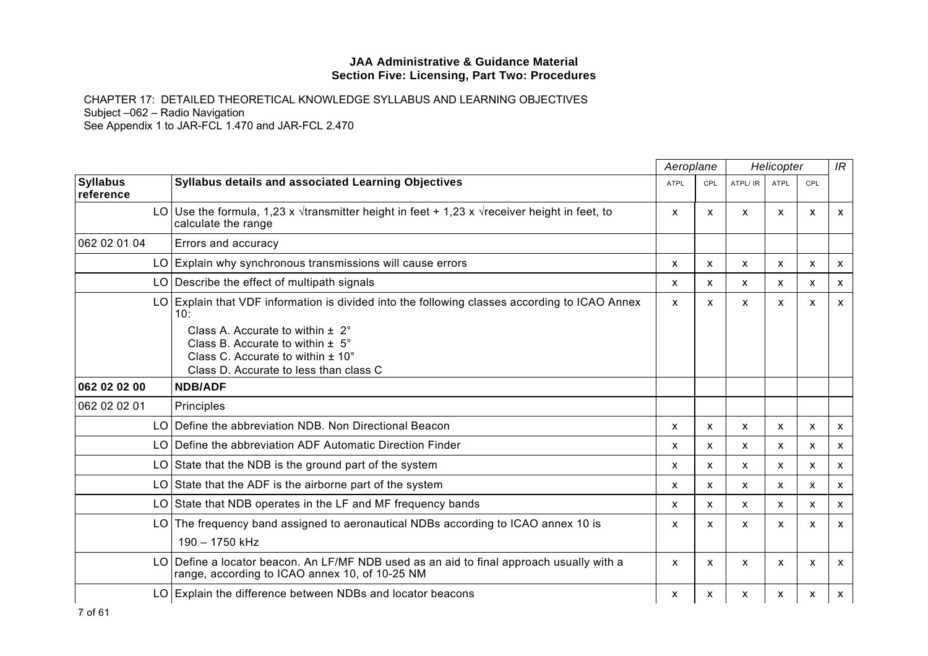|                              |                                                                                                                                                                                                                                                                                | Aeroplane   |              |          | Helicopter                |              | IR                        |
|------------------------------|--------------------------------------------------------------------------------------------------------------------------------------------------------------------------------------------------------------------------------------------------------------------------------|-------------|--------------|----------|---------------------------|--------------|---------------------------|
| <b>Syllabus</b><br>reference | Syllabus details and associated Learning Objectives                                                                                                                                                                                                                            | <b>ATPL</b> | CPL          | ATPL/ IR | <b>ATPL</b>               | <b>CPL</b>   |                           |
|                              | LO Use the formula, 1,23 x $\sqrt{t}$ transmitter height in feet + 1,23 x $\sqrt{t}$ receiver height in feet, to<br>calculate the range                                                                                                                                        | X           | X            | X        | $\mathsf{x}$              | X            | $\mathsf{x}$              |
| 062 02 01 04                 | Errors and accuracy                                                                                                                                                                                                                                                            |             |              |          |                           |              |                           |
|                              | LO Explain why synchronous transmissions will cause errors                                                                                                                                                                                                                     | X           | $\mathsf{x}$ | X        | $\boldsymbol{\mathsf{x}}$ | $\mathsf{x}$ | $\mathsf{x}$              |
|                              | LO Describe the effect of multipath signals                                                                                                                                                                                                                                    | x           | X.           | X        | X                         | x            | $\mathsf{x}$              |
|                              | LO Explain that VDF information is divided into the following classes according to ICAO Annex<br>10:<br>Class A. Accurate to within $\pm 2^{\circ}$<br>Class B. Accurate to within $\pm$ 5°<br>Class C. Accurate to within $\pm$ 10°<br>Class D. Accurate to less than class C | X           | X            | x        | X                         | x            | X                         |
| 062 02 02 00                 | <b>NDB/ADF</b>                                                                                                                                                                                                                                                                 |             |              |          |                           |              |                           |
| 062 02 02 01                 | Principles                                                                                                                                                                                                                                                                     |             |              |          |                           |              |                           |
|                              | LO Define the abbreviation NDB. Non Directional Beacon                                                                                                                                                                                                                         | X           | X            | X        | $\boldsymbol{\mathsf{x}}$ | X            | $\mathsf{x}$              |
| LO I                         | Define the abbreviation ADF Automatic Direction Finder                                                                                                                                                                                                                         | x           | x            | X        | x                         | x            | $\mathsf{x}$              |
| LO I                         | State that the NDB is the ground part of the system                                                                                                                                                                                                                            | X           | $\mathsf{x}$ | X        | $\mathsf{x}$              | X            | $\mathsf{x}$              |
| LO.                          | State that the ADF is the airborne part of the system                                                                                                                                                                                                                          | X           | X            | X        | $\boldsymbol{\mathsf{x}}$ | x            | $\mathsf{x}$              |
|                              | LO State that NDB operates in the LF and MF frequency bands                                                                                                                                                                                                                    | X           | X            | X        | $\boldsymbol{\mathsf{x}}$ | x            | $\mathsf{x}$              |
| LO I                         | The frequency band assigned to aeronautical NDBs according to ICAO annex 10 is<br>190 - 1750 kHz                                                                                                                                                                               | x           | X            | X        | X                         | x            | $\mathsf{x}$              |
| LO.                          | Define a locator beacon. An LF/MF NDB used as an aid to final approach usually with a<br>range, according to ICAO annex 10, of 10-25 NM                                                                                                                                        | X           | X            | X        | X                         | X            | $\mathsf{x}$              |
|                              | LO Explain the difference between NDBs and locator beacons                                                                                                                                                                                                                     | x           | X            | x        | X                         | x            | $\boldsymbol{\mathsf{x}}$ |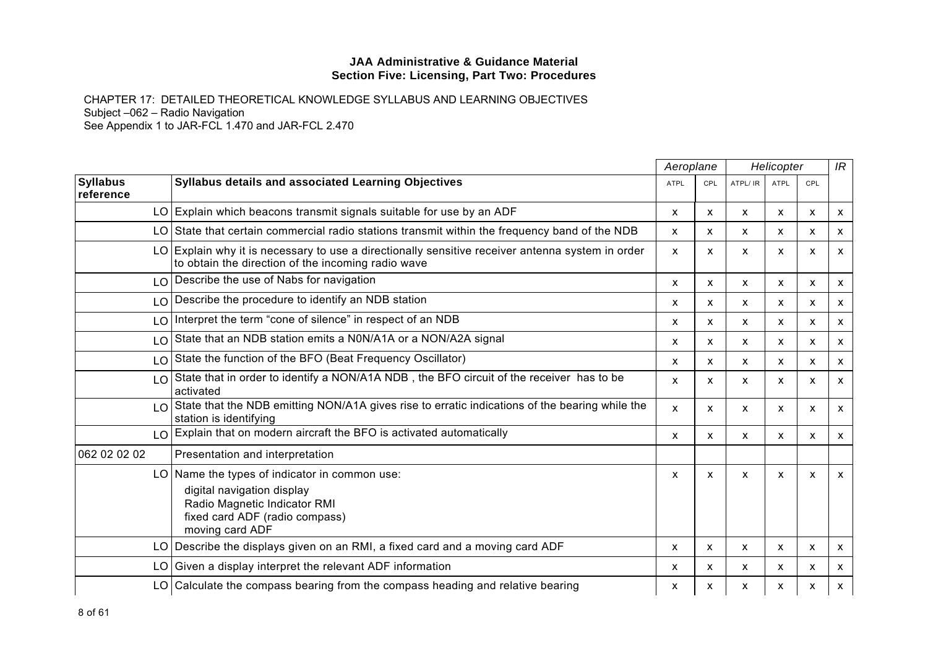|                               |                                                                                                                                                                  | Aeroplane    |              | Helicopter   |                           |              | IR                        |
|-------------------------------|------------------------------------------------------------------------------------------------------------------------------------------------------------------|--------------|--------------|--------------|---------------------------|--------------|---------------------------|
| <b>Syllabus</b><br>reference  | <b>Syllabus details and associated Learning Objectives</b>                                                                                                       | <b>ATPL</b>  | <b>CPL</b>   | ATPL/ IR     | <b>ATPL</b>               | <b>CPL</b>   |                           |
|                               | LO Explain which beacons transmit signals suitable for use by an ADF                                                                                             | X            | X            | X            | $\mathsf{x}$              | X            | $\mathsf{x}$              |
|                               | LO State that certain commercial radio stations transmit within the frequency band of the NDB                                                                    | $\mathsf{x}$ | $\mathsf{x}$ | $\mathsf{x}$ | $\mathsf{x}$              | X            | $\mathsf{x}$              |
|                               | LO Explain why it is necessary to use a directionally sensitive receiver antenna system in order<br>to obtain the direction of the incoming radio wave           | X            | X            | X            | $\boldsymbol{\mathsf{x}}$ | X            | $\mathsf{x}$              |
| LO                            | Describe the use of Nabs for navigation                                                                                                                          | X            | X            | X            | X                         | X.           | $\mathsf{x}$              |
| LO                            | Describe the procedure to identify an NDB station                                                                                                                | X            | X            | X            | $\mathsf{x}$              | X            | $\mathsf{x}$              |
| LO <sub>1</sub>               | Interpret the term "cone of silence" in respect of an NDB                                                                                                        | X            | x            | X            | $\mathsf{x}$              | X            | $\boldsymbol{\mathsf{x}}$ |
| LO                            | State that an NDB station emits a N0N/A1A or a NON/A2A signal                                                                                                    | x            | X            | X            | X                         | x            | $\boldsymbol{\mathsf{x}}$ |
| LO                            | State the function of the BFO (Beat Frequency Oscillator)                                                                                                        | X            | X            | X            | X                         | X            | $\mathsf{x}$              |
| LO                            | State that in order to identify a NON/A1A NDB, the BFO circuit of the receiver has to be<br>activated                                                            | X            | x            | X            | X                         | x            | $\boldsymbol{\mathsf{x}}$ |
| $\overline{1}$ $\overline{0}$ | State that the NDB emitting NON/A1A gives rise to erratic indications of the bearing while the<br>station is identifying                                         | $\mathsf{x}$ | X            | X            | $\mathsf{x}$              | $\mathsf{x}$ | $\mathsf{x}$              |
| LO                            | Explain that on modern aircraft the BFO is activated automatically                                                                                               | x            | X            | X            | x                         | x            | $\mathsf{x}$              |
| 062 02 02 02                  | Presentation and interpretation                                                                                                                                  |              |              |              |                           |              |                           |
|                               | LO Name the types of indicator in common use:<br>digital navigation display<br>Radio Magnetic Indicator RMI<br>fixed card ADF (radio compass)<br>moving card ADF | X            | X            | X            | $\boldsymbol{\mathsf{x}}$ | X            | $\mathsf{x}$              |
|                               | LO Describe the displays given on an RMI, a fixed card and a moving card ADF                                                                                     | X            | X            | X            | $\mathsf{x}$              | X            | $\mathsf{x}$              |
| LO                            | Given a display interpret the relevant ADF information                                                                                                           | X            | X            | X            | X                         | X            | $\mathsf{x}$              |
|                               | LO Calculate the compass bearing from the compass heading and relative bearing                                                                                   | x            | x            | X            | X                         | x            | $\mathsf{X}$              |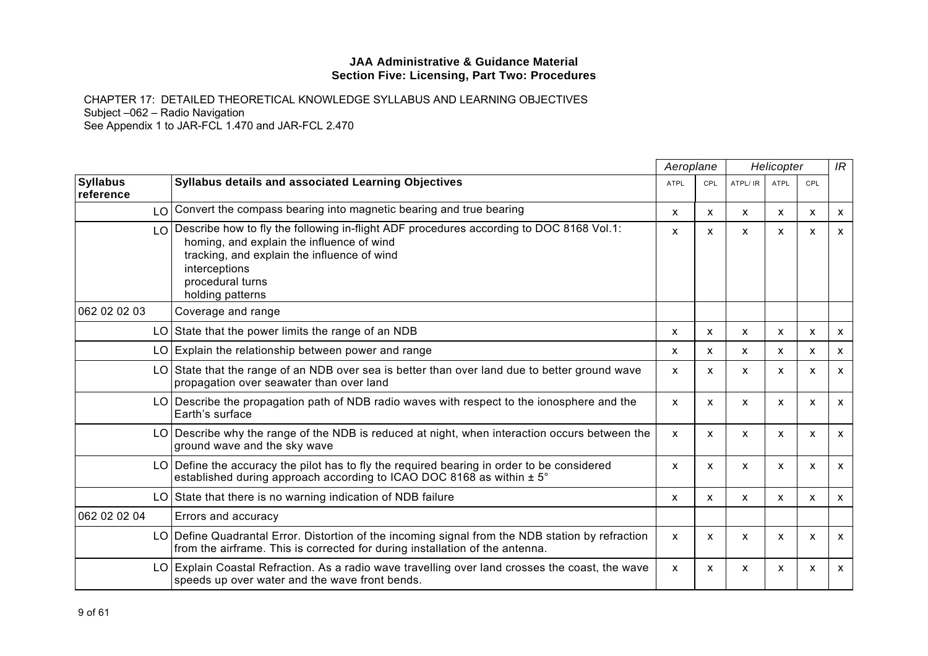|                              |                                                                                                                                                                                                                                              | Aeroplane                 |            | Helicopter   |                           |                           | IR                        |
|------------------------------|----------------------------------------------------------------------------------------------------------------------------------------------------------------------------------------------------------------------------------------------|---------------------------|------------|--------------|---------------------------|---------------------------|---------------------------|
| <b>Syllabus</b><br>reference | Syllabus details and associated Learning Objectives                                                                                                                                                                                          | <b>ATPL</b>               | <b>CPL</b> | ATPL/IR      | ATPL                      | CPL                       |                           |
|                              | LO Convert the compass bearing into magnetic bearing and true bearing                                                                                                                                                                        | X                         | X          | X            | X                         | X                         | $\boldsymbol{\mathsf{X}}$ |
| LO.                          | Describe how to fly the following in-flight ADF procedures according to DOC 8168 Vol.1:<br>homing, and explain the influence of wind<br>tracking, and explain the influence of wind<br>interceptions<br>procedural turns<br>holding patterns | X                         | X          | $\mathsf{x}$ | $\boldsymbol{\mathsf{x}}$ | $\mathsf{x}$              | $\mathsf{x}$              |
| 062 02 02 03                 | Coverage and range                                                                                                                                                                                                                           |                           |            |              |                           |                           |                           |
|                              | $LO$ State that the power limits the range of an NDB                                                                                                                                                                                         | $\mathsf{x}$              | X          | X            | X                         | X                         | $\boldsymbol{\mathsf{x}}$ |
|                              | LO Explain the relationship between power and range                                                                                                                                                                                          | $\mathsf{x}$              | X          | X            | X                         | $\mathsf{x}$              | $\boldsymbol{\mathsf{x}}$ |
|                              | LO State that the range of an NDB over sea is better than over land due to better ground wave<br>propagation over seawater than over land                                                                                                    | X                         | X          | X            | X                         | $\boldsymbol{\mathsf{x}}$ | $\boldsymbol{\mathsf{x}}$ |
|                              | LO   Describe the propagation path of NDB radio waves with respect to the ionosphere and the<br>Earth's surface                                                                                                                              | X                         | X          | X            | X                         | X                         | $\mathsf{x}$              |
|                              | LO Describe why the range of the NDB is reduced at night, when interaction occurs between the<br>ground wave and the sky wave                                                                                                                | $\boldsymbol{\mathsf{x}}$ | X          | X            | X                         | X                         | $\boldsymbol{\mathsf{x}}$ |
|                              | LO Define the accuracy the pilot has to fly the required bearing in order to be considered<br>established during approach according to ICAO DOC 8168 as within $\pm 5^{\circ}$                                                               | X                         | x          | X            | X                         | X                         | $\mathsf{x}$              |
|                              | LO State that there is no warning indication of NDB failure                                                                                                                                                                                  | X                         | X          | $\mathsf{x}$ | $\boldsymbol{\mathsf{x}}$ | $\boldsymbol{\mathsf{x}}$ | $\mathsf{x}$              |
| 062 02 02 04                 | Errors and accuracy                                                                                                                                                                                                                          |                           |            |              |                           |                           |                           |
|                              | LO Define Quadrantal Error. Distortion of the incoming signal from the NDB station by refraction<br>from the airframe. This is corrected for during installation of the antenna.                                                             | X                         | X          | X            | X                         | $\boldsymbol{\mathsf{x}}$ | $\mathsf{x}$              |
|                              | LO Explain Coastal Refraction. As a radio wave travelling over land crosses the coast, the wave<br>speeds up over water and the wave front bends.                                                                                            | $\boldsymbol{\mathsf{x}}$ | X          | X            | X                         | X                         | $\mathsf{x}$              |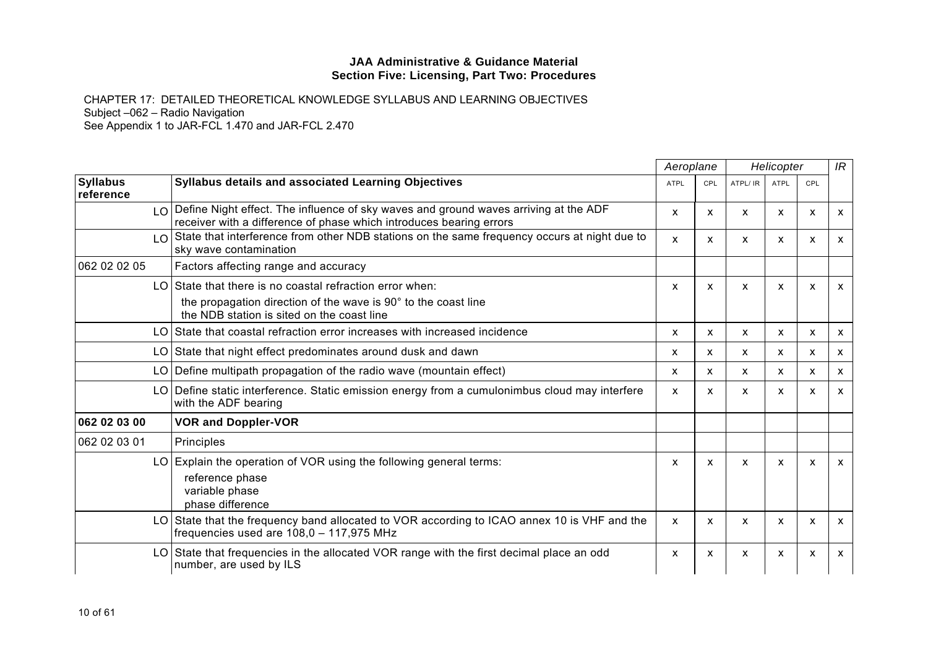|                              |                                                                                                                                                                    | Aeroplane    |                           |                           | Helicopter                |     | IR           |
|------------------------------|--------------------------------------------------------------------------------------------------------------------------------------------------------------------|--------------|---------------------------|---------------------------|---------------------------|-----|--------------|
| <b>Syllabus</b><br>reference | Syllabus details and associated Learning Objectives                                                                                                                | <b>ATPL</b>  | <b>CPL</b>                | ATPL/ IR                  | <b>ATPL</b>               | CPL |              |
|                              | $\log$ Define Night effect. The influence of sky waves and ground waves arriving at the ADF<br>receiver with a difference of phase which introduces bearing errors | X            | X                         | X                         | X                         | X   | $\mathsf{x}$ |
| LO                           | State that interference from other NDB stations on the same frequency occurs at night due to<br>sky wave contamination                                             | X            | X                         | X                         | X                         | X   | $\mathsf{x}$ |
| 062 02 02 05                 | Factors affecting range and accuracy                                                                                                                               |              |                           |                           |                           |     |              |
| LO.                          | State that there is no coastal refraction error when:                                                                                                              | X            | X                         | X                         | $\mathsf{x}$              | X   | $\mathsf{x}$ |
|                              | the propagation direction of the wave is 90° to the coast line<br>the NDB station is sited on the coast line                                                       |              |                           |                           |                           |     |              |
| LO.                          | State that coastal refraction error increases with increased incidence                                                                                             | X            | X                         | X                         | X                         | X   | $\mathsf{x}$ |
| LO.                          | State that night effect predominates around dusk and dawn                                                                                                          | x            | $\boldsymbol{\mathsf{x}}$ | X                         | $\mathsf{x}$              | X   | $\mathsf{x}$ |
|                              | LO Define multipath propagation of the radio wave (mountain effect)                                                                                                | $\mathsf{x}$ | X                         | X                         | $\mathsf{x}$              | X   | $\mathsf{x}$ |
|                              | LO Define static interference. Static emission energy from a cumulonimbus cloud may interfere<br>with the ADF bearing                                              | X            | $\mathsf{x}$              | X                         | $\mathsf{x}$              | X   | $\mathsf{x}$ |
| 062 02 03 00                 | <b>VOR and Doppler-VOR</b>                                                                                                                                         |              |                           |                           |                           |     |              |
| 062 02 03 01                 | Principles                                                                                                                                                         |              |                           |                           |                           |     |              |
|                              | LO Explain the operation of VOR using the following general terms:<br>reference phase<br>variable phase<br>phase difference                                        | x            | $\mathsf{x}$              | X                         | X                         | x   | $\mathsf{x}$ |
| LO I                         | State that the frequency band allocated to VOR according to ICAO annex 10 is VHF and the<br>frequencies used are $108,0 - 117,975$ MHz                             | X            | X                         | X                         | $\boldsymbol{\mathsf{x}}$ | X   | $\mathsf{x}$ |
| LO I                         | State that frequencies in the allocated VOR range with the first decimal place an odd<br>number, are used by ILS                                                   | X            | X                         | $\boldsymbol{\mathsf{x}}$ | $\mathsf{x}$              | X   | $\mathsf{x}$ |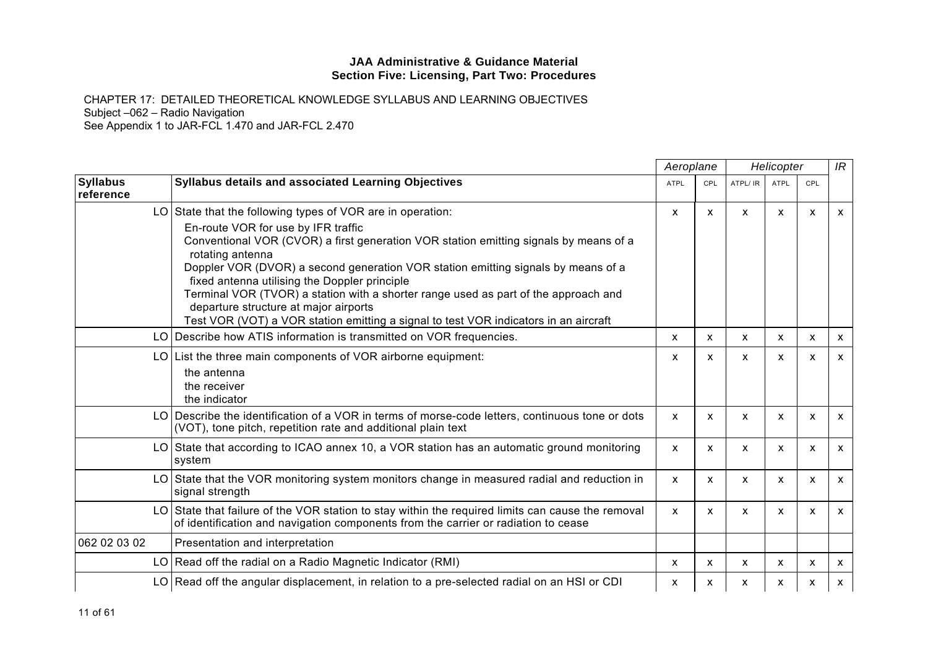|                              |                                                                                                                                                                                                                                                                                                                                                                                                                                                                                                                | Aeroplane                 |     |                           | Helicopter  |                           | IR                        |
|------------------------------|----------------------------------------------------------------------------------------------------------------------------------------------------------------------------------------------------------------------------------------------------------------------------------------------------------------------------------------------------------------------------------------------------------------------------------------------------------------------------------------------------------------|---------------------------|-----|---------------------------|-------------|---------------------------|---------------------------|
| <b>Syllabus</b><br>reference | Syllabus details and associated Learning Objectives                                                                                                                                                                                                                                                                                                                                                                                                                                                            | <b>ATPL</b>               | CPL | ATPL/ IR                  | <b>ATPL</b> | CPL                       |                           |
|                              | LO State that the following types of VOR are in operation:                                                                                                                                                                                                                                                                                                                                                                                                                                                     | $\boldsymbol{\mathsf{x}}$ | X   | $\boldsymbol{\mathsf{x}}$ | X           | $\boldsymbol{\mathsf{x}}$ | $\mathsf{x}$              |
|                              | En-route VOR for use by IFR traffic<br>Conventional VOR (CVOR) a first generation VOR station emitting signals by means of a<br>rotating antenna<br>Doppler VOR (DVOR) a second generation VOR station emitting signals by means of a<br>fixed antenna utilising the Doppler principle<br>Terminal VOR (TVOR) a station with a shorter range used as part of the approach and<br>departure structure at major airports<br>Test VOR (VOT) a VOR station emitting a signal to test VOR indicators in an aircraft |                           |     |                           |             |                           |                           |
|                              | LO Describe how ATIS information is transmitted on VOR frequencies.                                                                                                                                                                                                                                                                                                                                                                                                                                            | X                         | X   | $\boldsymbol{\mathsf{x}}$ | X           | X                         | $\mathsf{x}$              |
|                              | LO List the three main components of VOR airborne equipment:                                                                                                                                                                                                                                                                                                                                                                                                                                                   | X                         | x   | X                         | x           | X                         | $\boldsymbol{\mathsf{x}}$ |
|                              | the antenna<br>the receiver<br>the indicator                                                                                                                                                                                                                                                                                                                                                                                                                                                                   |                           |     |                           |             |                           |                           |
|                              | LO Describe the identification of a VOR in terms of morse-code letters, continuous tone or dots<br>(VOT), tone pitch, repetition rate and additional plain text                                                                                                                                                                                                                                                                                                                                                | X                         | X   | X                         | X           | X                         | $\mathsf{x}$              |
|                              | LO State that according to ICAO annex 10, a VOR station has an automatic ground monitoring<br>system                                                                                                                                                                                                                                                                                                                                                                                                           | X                         | X   | X                         | X           | X                         | $\mathsf{x}$              |
|                              | LO State that the VOR monitoring system monitors change in measured radial and reduction in<br>signal strength                                                                                                                                                                                                                                                                                                                                                                                                 | X                         | x   | X                         | X           | X                         | $\mathsf{x}$              |
|                              | LO State that failure of the VOR station to stay within the required limits can cause the removal<br>of identification and navigation components from the carrier or radiation to cease                                                                                                                                                                                                                                                                                                                        | $\boldsymbol{\mathsf{x}}$ | X.  | X                         | X           | $\boldsymbol{\mathsf{x}}$ | $\mathsf{x}$              |
| 062 02 03 02                 | Presentation and interpretation                                                                                                                                                                                                                                                                                                                                                                                                                                                                                |                           |     |                           |             |                           |                           |
|                              | LO Read off the radial on a Radio Magnetic Indicator (RMI)                                                                                                                                                                                                                                                                                                                                                                                                                                                     | X                         | X   | $\boldsymbol{\mathsf{x}}$ | x           | X                         | $\boldsymbol{\mathsf{x}}$ |
|                              | LO Read off the angular displacement, in relation to a pre-selected radial on an HSI or CDI                                                                                                                                                                                                                                                                                                                                                                                                                    | x                         | x   | X                         | x           | x                         | $\boldsymbol{\mathsf{x}}$ |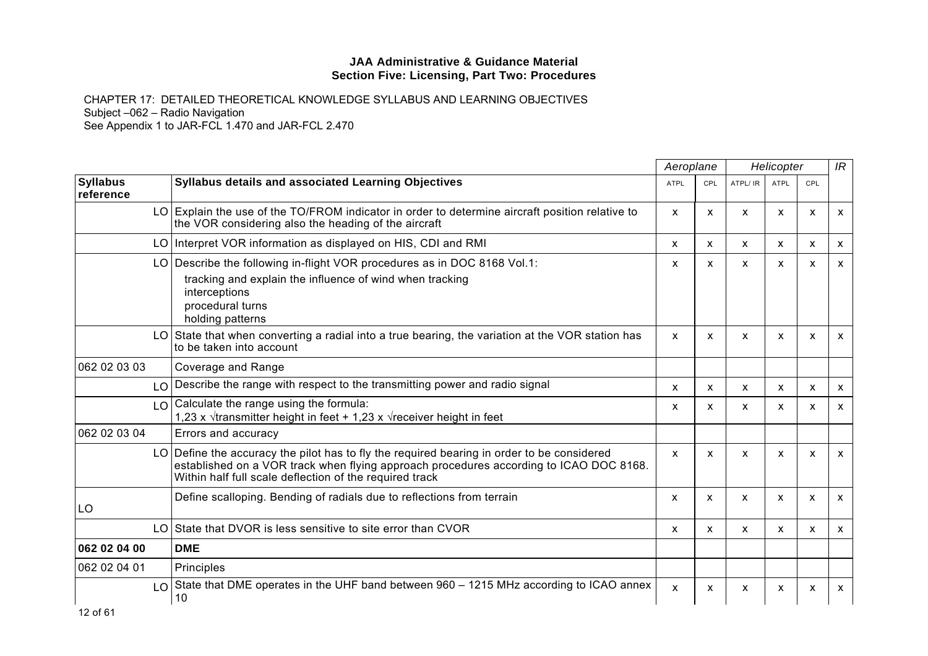|                              |                                                                                                                                                                                                                                                 | Aeroplane    |              | Helicopter   |                           |                           | IR           |
|------------------------------|-------------------------------------------------------------------------------------------------------------------------------------------------------------------------------------------------------------------------------------------------|--------------|--------------|--------------|---------------------------|---------------------------|--------------|
| <b>Syllabus</b><br>reference | Syllabus details and associated Learning Objectives                                                                                                                                                                                             | <b>ATPL</b>  | <b>CPL</b>   | ATPL/ IR     | <b>ATPL</b>               | CPL                       |              |
|                              | LO Explain the use of the TO/FROM indicator in order to determine aircraft position relative to<br>the VOR considering also the heading of the aircraft                                                                                         | X            | X            | X            | X                         | X                         | X            |
|                              | LO Interpret VOR information as displayed on HIS, CDI and RMI                                                                                                                                                                                   | X            | X            | x            | X                         | $\boldsymbol{\mathsf{x}}$ | x            |
|                              | LO Describe the following in-flight VOR procedures as in DOC 8168 Vol.1:<br>tracking and explain the influence of wind when tracking<br>interceptions<br>procedural turns<br>holding patterns                                                   | X            | X            | X            | X                         | X                         | X            |
| LO.                          | State that when converting a radial into a true bearing, the variation at the VOR station has<br>to be taken into account                                                                                                                       | X            | $\mathsf{x}$ | $\mathsf{x}$ | $\mathsf{x}$              | $\mathsf{x}$              | X            |
| 062 02 03 03                 | Coverage and Range                                                                                                                                                                                                                              |              |              |              |                           |                           |              |
| LO                           | Describe the range with respect to the transmitting power and radio signal                                                                                                                                                                      | X            | X            | X            | $\mathsf{x}$              | X                         | x            |
| LO.                          | Calculate the range using the formula:<br>1,23 x $\sqrt{t}$ ransmitter height in feet + 1,23 x $\sqrt{t}$ receiver height in feet                                                                                                               | X            | X            | X            | X                         | X                         | x            |
| 062 02 03 04                 | Errors and accuracy                                                                                                                                                                                                                             |              |              |              |                           |                           |              |
|                              | LO Define the accuracy the pilot has to fly the required bearing in order to be considered<br>established on a VOR track when flying approach procedures according to ICAO DOC 8168.<br>Within half full scale deflection of the required track | X            | $\mathsf{x}$ | $\mathsf{x}$ | $\boldsymbol{\mathsf{x}}$ | X                         | X            |
| LO                           | Define scalloping. Bending of radials due to reflections from terrain                                                                                                                                                                           | X            | X            | $\mathsf{x}$ | X                         | $\boldsymbol{\mathsf{x}}$ | X            |
| LO I                         | State that DVOR is less sensitive to site error than CVOR                                                                                                                                                                                       | X            | X            | X            | X                         | X                         | $\mathsf{x}$ |
| 062 02 04 00                 | <b>DME</b>                                                                                                                                                                                                                                      |              |              |              |                           |                           |              |
| 062 02 04 01                 | Principles                                                                                                                                                                                                                                      |              |              |              |                           |                           |              |
| LO.                          | State that DME operates in the UHF band between 960 - 1215 MHz according to ICAO annex<br>10                                                                                                                                                    | $\mathsf{x}$ | X            | X            | X                         | X                         | X            |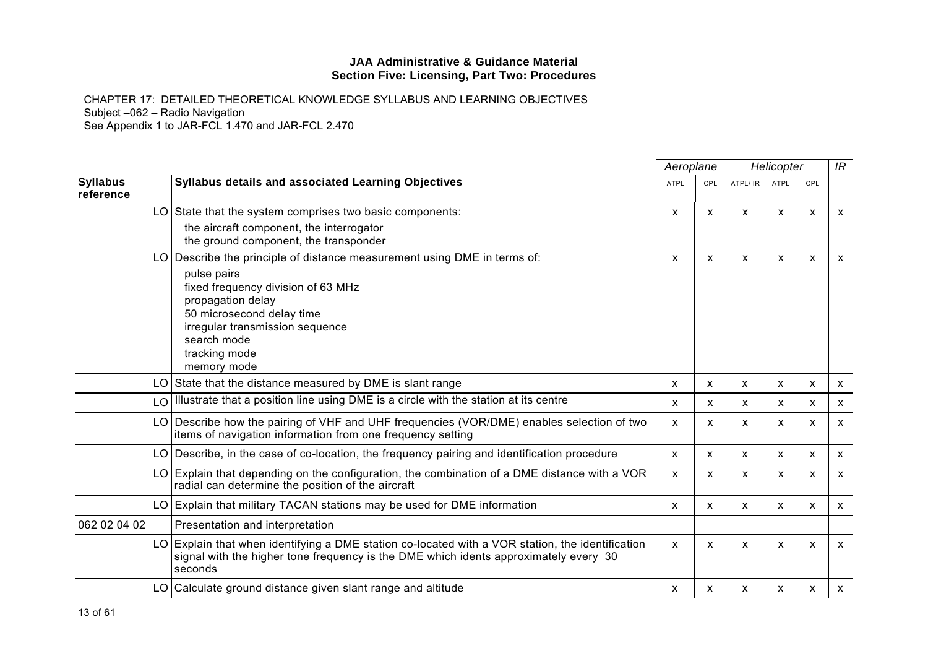|                              | Syllabus details and associated Learning Objectives                                                                                                                                                 |             | Aeroplane                 |          | Helicopter   |     | IR                        |
|------------------------------|-----------------------------------------------------------------------------------------------------------------------------------------------------------------------------------------------------|-------------|---------------------------|----------|--------------|-----|---------------------------|
| <b>Syllabus</b><br>reference |                                                                                                                                                                                                     | <b>ATPL</b> | <b>CPL</b>                | ATPL/ IR | <b>ATPL</b>  | CPL |                           |
|                              | LO State that the system comprises two basic components:                                                                                                                                            | X           | X                         | X        | X            | X   | X                         |
|                              | the aircraft component, the interrogator<br>the ground component, the transponder                                                                                                                   |             |                           |          |              |     |                           |
| LO                           | Describe the principle of distance measurement using DME in terms of:                                                                                                                               | X           | X                         | X        | X            | X   | $\mathsf{x}$              |
|                              | pulse pairs<br>fixed frequency division of 63 MHz<br>propagation delay<br>50 microsecond delay time<br>irregular transmission sequence<br>search mode<br>tracking mode<br>memory mode               |             |                           |          |              |     |                           |
|                              | LO State that the distance measured by DME is slant range                                                                                                                                           | X           | $\boldsymbol{\mathsf{x}}$ | X        | X            | x   | X                         |
| LO                           | Illustrate that a position line using DME is a circle with the station at its centre                                                                                                                | x           | X                         | X        | x            | X   | $\boldsymbol{\mathsf{x}}$ |
| LO                           | Describe how the pairing of VHF and UHF frequencies (VOR/DME) enables selection of two<br>items of navigation information from one frequency setting                                                | X           | X                         | X        | $\mathsf{x}$ | X   | $\mathsf{x}$              |
|                              | LO Describe, in the case of co-location, the frequency pairing and identification procedure                                                                                                         | X           | X                         | X        | x            | x   | $\mathsf{x}$              |
|                              | LO Explain that depending on the configuration, the combination of a DME distance with a VOR<br>radial can determine the position of the aircraft                                                   | X           | X                         | x        | x            | X   | $\mathsf{x}$              |
| LO.                          | Explain that military TACAN stations may be used for DME information                                                                                                                                | X           | $\mathsf{x}$              | X        | X            | X   | $\mathsf{x}$              |
| 062 02 04 02                 | Presentation and interpretation                                                                                                                                                                     |             |                           |          |              |     |                           |
|                              | LO Explain that when identifying a DME station co-located with a VOR station, the identification<br>signal with the higher tone frequency is the DME which idents approximately every 30<br>seconds | X           | X                         | x        | x            | x   | $\mathsf{x}$              |
|                              | LO Calculate ground distance given slant range and altitude                                                                                                                                         | x           | x                         | x        | X            | x   | X                         |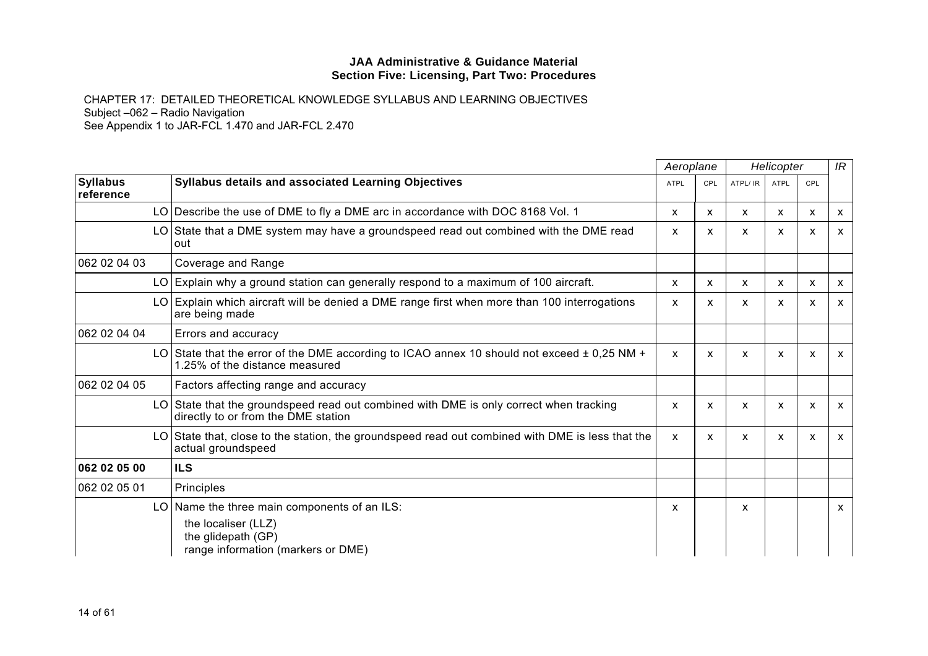|                              |                                                                                                                                   | Aeroplane   |            |          | IR<br>Helicopter |     |                           |
|------------------------------|-----------------------------------------------------------------------------------------------------------------------------------|-------------|------------|----------|------------------|-----|---------------------------|
| <b>Syllabus</b><br>reference | <b>Syllabus details and associated Learning Objectives</b>                                                                        | <b>ATPL</b> | <b>CPL</b> | ATPL/ IR | <b>ATPL</b>      | CPL |                           |
|                              | LO   Describe the use of DME to fly a DME arc in accordance with DOC 8168 Vol. 1                                                  | X           | X          | X        | X                | X   | x                         |
|                              | LO State that a DME system may have a groundspeed read out combined with the DME read<br>out                                      | X           | x          | X        | X                | X   | $\boldsymbol{\mathsf{x}}$ |
| 062 02 04 03                 | Coverage and Range                                                                                                                |             |            |          |                  |     |                           |
|                              | LO Explain why a ground station can generally respond to a maximum of 100 aircraft.                                               | X           | X          | X.       | X                | X   | X                         |
|                              | LO Explain which aircraft will be denied a DME range first when more than 100 interrogations<br>are being made                    | X           | x          | X        | x                | X   | X                         |
| 062 02 04 04                 | Errors and accuracy                                                                                                               |             |            |          |                  |     |                           |
|                              | LO State that the error of the DME according to ICAO annex 10 should not exceed $\pm$ 0,25 NM +<br>1.25% of the distance measured | X           | x          | x        | X                | X   | $\boldsymbol{\mathsf{x}}$ |
| 062 02 04 05                 | Factors affecting range and accuracy                                                                                              |             |            |          |                  |     |                           |
|                              | LO State that the groundspeed read out combined with DME is only correct when tracking<br>directly to or from the DME station     | X           | X          | x        | X                | X   | $\boldsymbol{\mathsf{x}}$ |
|                              | LO State that, close to the station, the groundspeed read out combined with DME is less that the<br>actual groundspeed            | X           | X          | X        | X                | X   | $\boldsymbol{\mathsf{x}}$ |
| 062 02 05 00                 | <b>ILS</b>                                                                                                                        |             |            |          |                  |     |                           |
| 062 02 05 01                 | Principles                                                                                                                        |             |            |          |                  |     |                           |
|                              | LO Name the three main components of an ILS:<br>the localiser (LLZ)<br>the glidepath (GP)<br>range information (markers or DME)   | X           |            | x        |                  |     | X                         |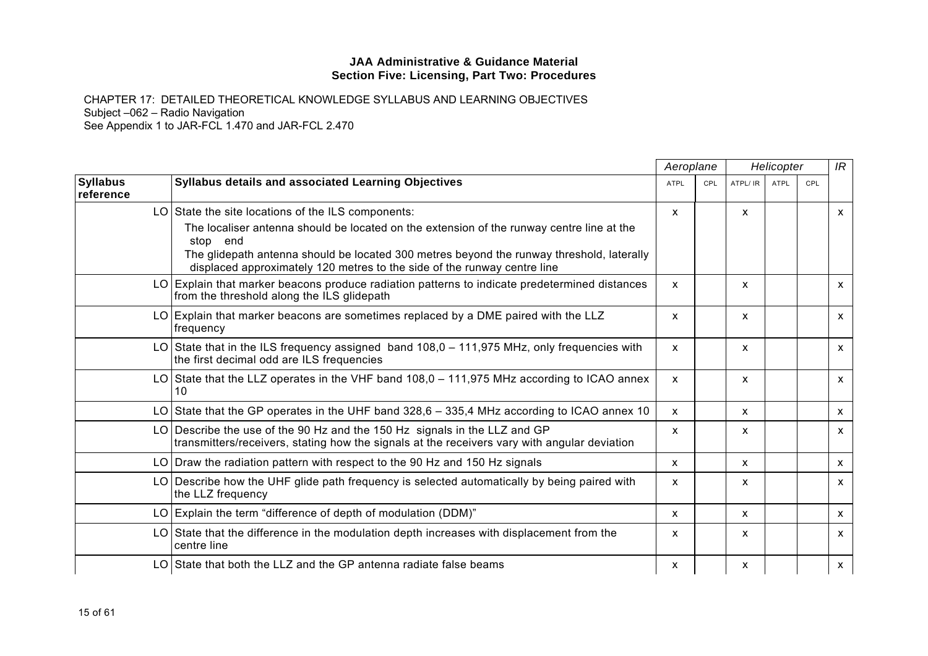|                              |                                                                                                                                                                           | Aeroplane    |            | Helicopter   |             |     | IR           |
|------------------------------|---------------------------------------------------------------------------------------------------------------------------------------------------------------------------|--------------|------------|--------------|-------------|-----|--------------|
| <b>Syllabus</b><br>reference | Syllabus details and associated Learning Objectives                                                                                                                       | <b>ATPL</b>  | <b>CPL</b> | ATPL/ IR     | <b>ATPL</b> | CPL |              |
|                              | LO State the site locations of the ILS components:                                                                                                                        | X            |            | X            |             |     | $\mathsf{x}$ |
|                              | The localiser antenna should be located on the extension of the runway centre line at the<br>stop end                                                                     |              |            |              |             |     |              |
|                              | The glidepath antenna should be located 300 metres beyond the runway threshold, laterally<br>displaced approximately 120 metres to the side of the runway centre line     |              |            |              |             |     |              |
|                              | LO Explain that marker beacons produce radiation patterns to indicate predetermined distances<br>from the threshold along the ILS glidepath                               | $\mathsf{x}$ |            | X            |             |     | $\mathsf{x}$ |
|                              | LO Explain that marker beacons are sometimes replaced by a DME paired with the LLZ<br>frequency                                                                           | $\mathsf{x}$ |            | X            |             |     | $\mathsf{x}$ |
|                              | LO State that in the ILS frequency assigned band $108,0 - 111,975$ MHz, only frequencies with<br>the first decimal odd are ILS frequencies                                | X            |            | X            |             |     | $\mathsf{x}$ |
|                              | LO State that the LLZ operates in the VHF band $108.0 - 111.975$ MHz according to ICAO annex<br>10                                                                        | $\mathsf{x}$ |            | $\mathsf{x}$ |             |     | $\mathsf{x}$ |
|                              | LO State that the GP operates in the UHF band $328.6 - 335.4$ MHz according to ICAO annex 10                                                                              | X            |            | X            |             |     | $\mathsf{x}$ |
|                              | LO Describe the use of the 90 Hz and the 150 Hz signals in the LLZ and GP<br>transmitters/receivers, stating how the signals at the receivers vary with angular deviation | X            |            | X            |             |     | $\mathsf{x}$ |
|                              | LO Draw the radiation pattern with respect to the 90 Hz and 150 Hz signals                                                                                                | $\mathsf{x}$ |            | X            |             |     | $\mathsf{x}$ |
|                              | LO Describe how the UHF glide path frequency is selected automatically by being paired with<br>the LLZ frequency                                                          | X            |            | X            |             |     | $\mathsf{x}$ |
|                              | LO Explain the term "difference of depth of modulation (DDM)"                                                                                                             | X            |            | X            |             |     | $\mathsf{x}$ |
|                              | LO State that the difference in the modulation depth increases with displacement from the<br>centre line                                                                  | x            |            | X            |             |     | $\mathsf{x}$ |
|                              | LO State that both the LLZ and the GP antenna radiate false beams                                                                                                         | X            |            | X            |             |     | $\mathsf{x}$ |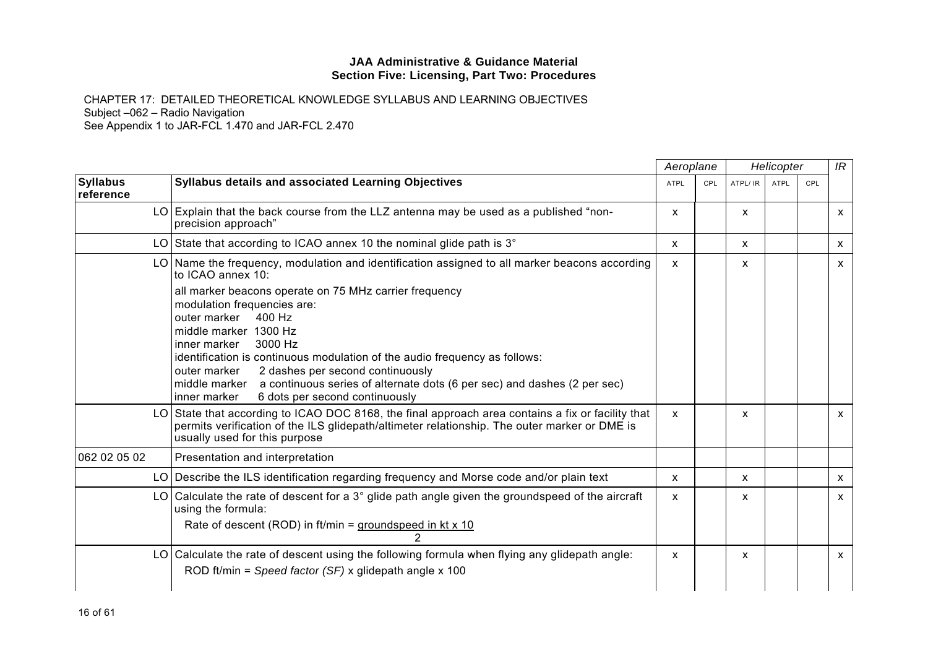|                              |                                                                                                                                                                                                                                                                                                                                                                                                                                                                                                                                                                          |             | Aeroplane  |          | Helicopter  |     | IR |
|------------------------------|--------------------------------------------------------------------------------------------------------------------------------------------------------------------------------------------------------------------------------------------------------------------------------------------------------------------------------------------------------------------------------------------------------------------------------------------------------------------------------------------------------------------------------------------------------------------------|-------------|------------|----------|-------------|-----|----|
| <b>Syllabus</b><br>reference | Syllabus details and associated Learning Objectives                                                                                                                                                                                                                                                                                                                                                                                                                                                                                                                      | <b>ATPL</b> | <b>CPL</b> | ATPL/ IR | <b>ATPL</b> | CPL |    |
|                              | LO Explain that the back course from the LLZ antenna may be used as a published "non-<br>precision approach"                                                                                                                                                                                                                                                                                                                                                                                                                                                             | X           |            | X        |             |     | X  |
|                              | LO State that according to ICAO annex 10 the nominal glide path is $3^\circ$                                                                                                                                                                                                                                                                                                                                                                                                                                                                                             | X           |            | X        |             |     | х  |
|                              | LO Name the frequency, modulation and identification assigned to all marker beacons according<br>to ICAO annex 10:<br>all marker beacons operate on 75 MHz carrier frequency<br>modulation frequencies are:<br>outer marker<br>400 Hz<br>middle marker 1300 Hz<br>3000 Hz<br>inner marker<br>identification is continuous modulation of the audio frequency as follows:<br>2 dashes per second continuously<br>outer marker<br>middle marker a continuous series of alternate dots (6 per sec) and dashes (2 per sec)<br>6 dots per second continuously<br>linner marker | X           |            | X        |             |     | X  |
|                              | LO State that according to ICAO DOC 8168, the final approach area contains a fix or facility that<br>permits verification of the ILS glidepath/altimeter relationship. The outer marker or DME is<br>usually used for this purpose                                                                                                                                                                                                                                                                                                                                       | X           |            | X        |             |     | X  |
| 062 02 05 02                 | Presentation and interpretation                                                                                                                                                                                                                                                                                                                                                                                                                                                                                                                                          |             |            |          |             |     |    |
|                              | LO Describe the ILS identification regarding frequency and Morse code and/or plain text                                                                                                                                                                                                                                                                                                                                                                                                                                                                                  | X           |            | X        |             |     | X  |
|                              | LO Calculate the rate of descent for a $3^{\circ}$ glide path angle given the groundspeed of the aircraft<br>using the formula:<br>Rate of descent (ROD) in ft/min = groundspeed in kt $x$ 10                                                                                                                                                                                                                                                                                                                                                                            | X           |            | x        |             |     | x  |
|                              | LO Calculate the rate of descent using the following formula when flying any glidepath angle:<br>ROD ft/min = Speed factor (SF) x glidepath angle x 100                                                                                                                                                                                                                                                                                                                                                                                                                  | X           |            | X        |             |     | X  |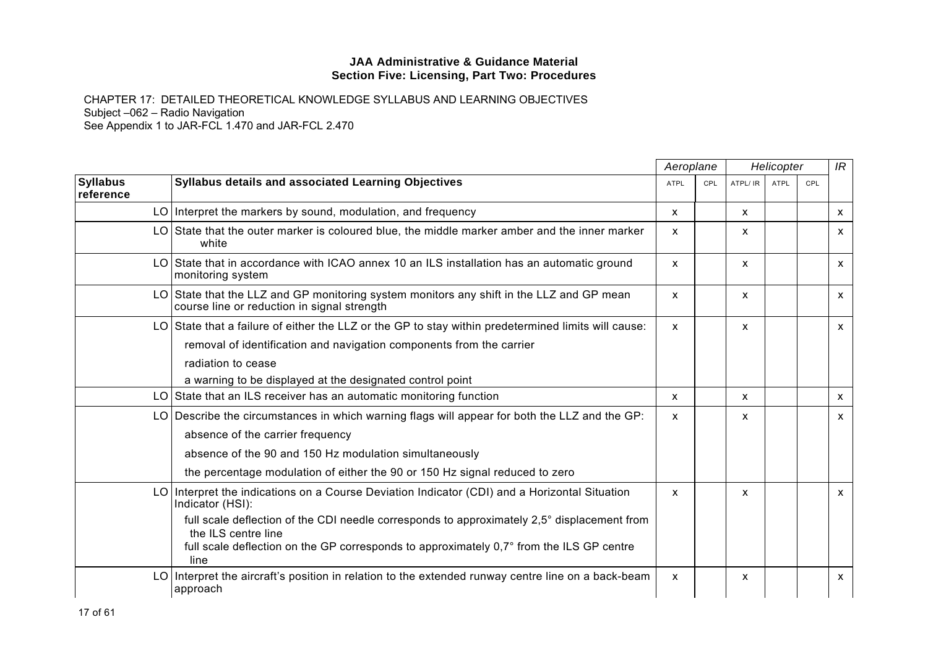|                              |                                                                                                                                         | Aeroplane    |     |              | Helicopter  |     | IR           |
|------------------------------|-----------------------------------------------------------------------------------------------------------------------------------------|--------------|-----|--------------|-------------|-----|--------------|
| <b>Syllabus</b><br>reference | Syllabus details and associated Learning Objectives                                                                                     | <b>ATPL</b>  | CPL | ATPL/ IR     | <b>ATPL</b> | CPL |              |
|                              | LO   Interpret the markers by sound, modulation, and frequency                                                                          | $\mathsf{x}$ |     | $\mathsf{x}$ |             |     | $\mathsf{x}$ |
|                              | LO State that the outer marker is coloured blue, the middle marker amber and the inner marker<br>white                                  | x            |     | X            |             |     | x            |
| LO.                          | State that in accordance with ICAO annex 10 an ILS installation has an automatic ground<br>monitoring system                            | X            |     | $\mathsf{x}$ |             |     | $\mathsf{x}$ |
|                              | LO State that the LLZ and GP monitoring system monitors any shift in the LLZ and GP mean<br>course line or reduction in signal strength | X            |     | $\mathsf{x}$ |             |     | $\mathsf{x}$ |
| LO I                         | State that a failure of either the LLZ or the GP to stay within predetermined limits will cause:                                        | $\mathsf{x}$ |     | X            |             |     | $\mathsf{x}$ |
|                              | removal of identification and navigation components from the carrier                                                                    |              |     |              |             |     |              |
|                              | radiation to cease                                                                                                                      |              |     |              |             |     |              |
|                              | a warning to be displayed at the designated control point                                                                               |              |     |              |             |     |              |
|                              | LO State that an ILS receiver has an automatic monitoring function                                                                      | $\mathsf{x}$ |     | $\mathsf{x}$ |             |     | X.           |
|                              | LO Describe the circumstances in which warning flags will appear for both the LLZ and the GP:                                           | X            |     | X            |             |     | X            |
|                              | absence of the carrier frequency                                                                                                        |              |     |              |             |     |              |
|                              | absence of the 90 and 150 Hz modulation simultaneously                                                                                  |              |     |              |             |     |              |
|                              | the percentage modulation of either the 90 or 150 Hz signal reduced to zero                                                             |              |     |              |             |     |              |
| LO I                         | Interpret the indications on a Course Deviation Indicator (CDI) and a Horizontal Situation<br>Indicator (HSI):                          | $\mathsf{x}$ |     | $\mathsf{x}$ |             |     | $\mathsf{x}$ |
|                              | full scale deflection of the CDI needle corresponds to approximately 2,5° displacement from<br>the ILS centre line                      |              |     |              |             |     |              |
|                              | full scale deflection on the GP corresponds to approximately 0,7° from the ILS GP centre<br>line                                        |              |     |              |             |     |              |
| LO I                         | Interpret the aircraft's position in relation to the extended runway centre line on a back-beam<br>approach                             | X            |     | X            |             |     | X            |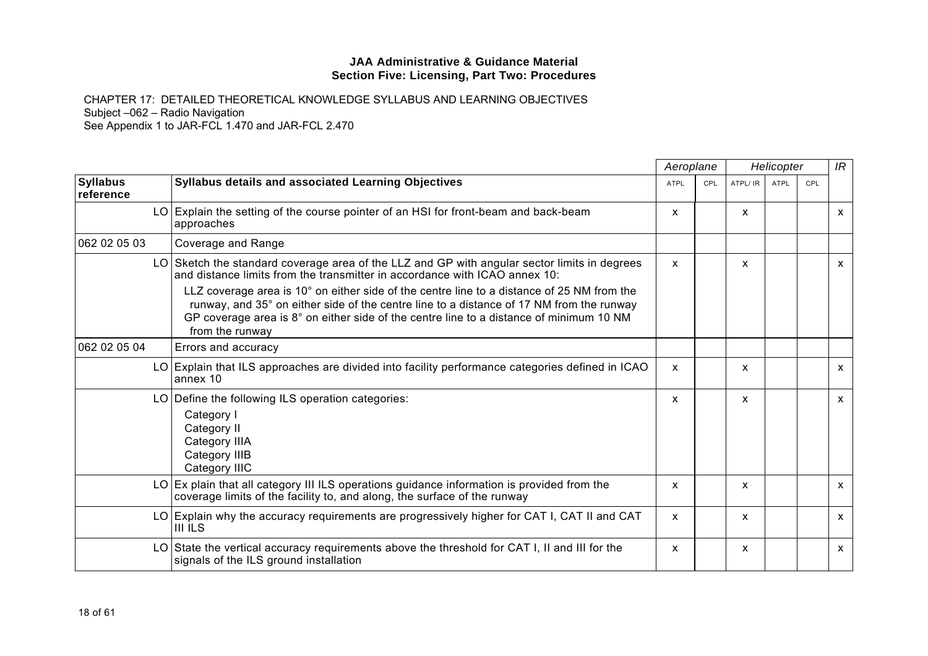|                              | Syllabus details and associated Learning Objectives                                                                                                                                                                                                                                                  |              | Aeroplane  |          | Helicopter  |     | IR           |
|------------------------------|------------------------------------------------------------------------------------------------------------------------------------------------------------------------------------------------------------------------------------------------------------------------------------------------------|--------------|------------|----------|-------------|-----|--------------|
| <b>Syllabus</b><br>reference |                                                                                                                                                                                                                                                                                                      | <b>ATPL</b>  | <b>CPL</b> | ATPL/ IR | <b>ATPL</b> | CPL |              |
|                              | LO Explain the setting of the course pointer of an HSI for front-beam and back-beam<br>approaches                                                                                                                                                                                                    | x            |            | X        |             |     | $\mathsf{x}$ |
| 062 02 05 03                 | Coverage and Range                                                                                                                                                                                                                                                                                   |              |            |          |             |     |              |
|                              | LO Sketch the standard coverage area of the LLZ and GP with angular sector limits in degrees<br>and distance limits from the transmitter in accordance with ICAO annex 10:                                                                                                                           | $\mathsf{x}$ |            | X        |             |     | $\mathsf{x}$ |
|                              | LLZ coverage area is 10° on either side of the centre line to a distance of 25 NM from the<br>runway, and 35° on either side of the centre line to a distance of 17 NM from the runway<br>GP coverage area is 8° on either side of the centre line to a distance of minimum 10 NM<br>from the runway |              |            |          |             |     |              |
| 062 02 05 04                 | Errors and accuracy                                                                                                                                                                                                                                                                                  |              |            |          |             |     |              |
|                              | LO Explain that ILS approaches are divided into facility performance categories defined in ICAO<br>annex 10                                                                                                                                                                                          | $\mathsf{x}$ |            | X        |             |     | $\mathsf{x}$ |
|                              | LO Define the following ILS operation categories:<br>Category I<br>Category II<br>Category IIIA<br>Category IIIB<br>Category IIIC                                                                                                                                                                    | X            |            | X        |             |     | $\mathsf{x}$ |
|                              | LO Ex plain that all category III ILS operations guidance information is provided from the<br>coverage limits of the facility to, and along, the surface of the runway                                                                                                                               | x            |            | X        |             |     | $\mathsf{x}$ |
|                              | LO Explain why the accuracy requirements are progressively higher for CAT I, CAT II and CAT<br><b>III ILS</b>                                                                                                                                                                                        | X            |            | X        |             |     | $\mathsf{x}$ |
|                              | LO State the vertical accuracy requirements above the threshold for CAT I, II and III for the<br>signals of the ILS ground installation                                                                                                                                                              | X            |            | X        |             |     | $\mathsf{x}$ |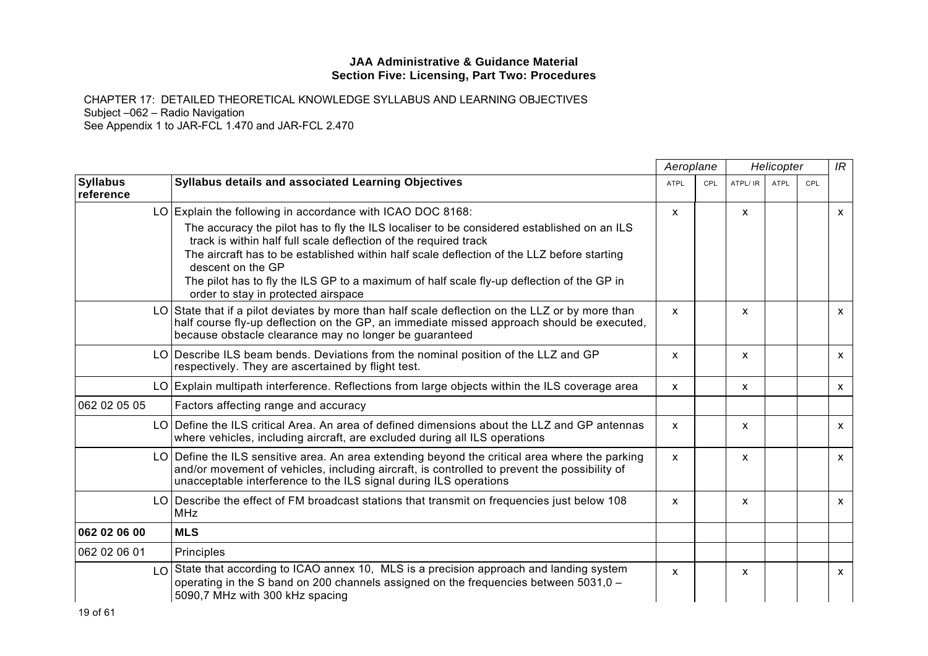|                              |                                                                                                                                                                                                                                                                                                                                                                                                                       | Aeroplane    |            |              | Helicopter  |     | IR           |
|------------------------------|-----------------------------------------------------------------------------------------------------------------------------------------------------------------------------------------------------------------------------------------------------------------------------------------------------------------------------------------------------------------------------------------------------------------------|--------------|------------|--------------|-------------|-----|--------------|
| <b>Syllabus</b><br>reference | <b>Syllabus details and associated Learning Objectives</b>                                                                                                                                                                                                                                                                                                                                                            | <b>ATPL</b>  | <b>CPL</b> | ATPL/ IR     | <b>ATPL</b> | CPL |              |
|                              | LO Explain the following in accordance with ICAO DOC 8168:                                                                                                                                                                                                                                                                                                                                                            | $\mathsf{x}$ |            | $\mathsf{x}$ |             |     | $\mathsf{x}$ |
|                              | The accuracy the pilot has to fly the ILS localiser to be considered established on an ILS<br>track is within half full scale deflection of the required track<br>The aircraft has to be established within half scale deflection of the LLZ before starting<br>descent on the GP<br>The pilot has to fly the ILS GP to a maximum of half scale fly-up deflection of the GP in<br>order to stay in protected airspace |              |            |              |             |     |              |
|                              | LO State that if a pilot deviates by more than half scale deflection on the LLZ or by more than<br>half course fly-up deflection on the GP, an immediate missed approach should be executed,<br>because obstacle clearance may no longer be guaranteed                                                                                                                                                                | $\mathsf{x}$ |            | X            |             |     | X            |
|                              | LO Describe ILS beam bends. Deviations from the nominal position of the LLZ and GP<br>respectively. They are ascertained by flight test.                                                                                                                                                                                                                                                                              | X            |            | X            |             |     | X            |
|                              | LO Explain multipath interference. Reflections from large objects within the ILS coverage area                                                                                                                                                                                                                                                                                                                        | X            |            | X            |             |     | $\mathsf{x}$ |
| 062 02 05 05                 | Factors affecting range and accuracy                                                                                                                                                                                                                                                                                                                                                                                  |              |            |              |             |     |              |
|                              | LO Define the ILS critical Area. An area of defined dimensions about the LLZ and GP antennas<br>where vehicles, including aircraft, are excluded during all ILS operations                                                                                                                                                                                                                                            | $\mathsf{x}$ |            | $\mathsf{x}$ |             |     | $\mathsf{x}$ |
|                              | LO Define the ILS sensitive area. An area extending beyond the critical area where the parking<br>and/or movement of vehicles, including aircraft, is controlled to prevent the possibility of<br>unacceptable interference to the ILS signal during ILS operations                                                                                                                                                   | $\mathsf{x}$ |            | X            |             |     | $\mathsf{x}$ |
|                              | LO Describe the effect of FM broadcast stations that transmit on frequencies just below 108<br><b>MHz</b>                                                                                                                                                                                                                                                                                                             | $\mathsf{x}$ |            | $\mathsf{x}$ |             |     | $\mathsf{x}$ |
| 062 02 06 00                 | <b>MLS</b>                                                                                                                                                                                                                                                                                                                                                                                                            |              |            |              |             |     |              |
| 062 02 06 01                 | Principles                                                                                                                                                                                                                                                                                                                                                                                                            |              |            |              |             |     |              |
|                              | LO State that according to ICAO annex 10, MLS is a precision approach and landing system<br>operating in the S band on 200 channels assigned on the frequencies between 5031,0 -<br>5090,7 MHz with 300 kHz spacing                                                                                                                                                                                                   | $\mathsf{x}$ |            | $\mathsf{x}$ |             |     | $\mathsf{x}$ |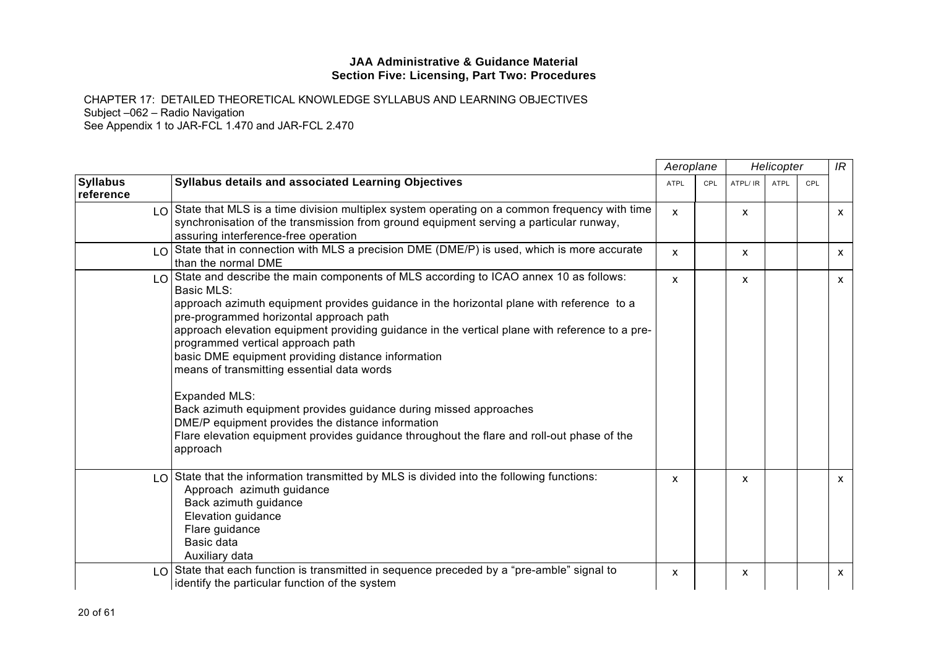|                              |                                                                                                                                                                                                                                                                                                                                                                                                                                                                                                                                                                                                                                                                                                                                                  | Aeroplane    |            |         | Helicopter |     | IR           |
|------------------------------|--------------------------------------------------------------------------------------------------------------------------------------------------------------------------------------------------------------------------------------------------------------------------------------------------------------------------------------------------------------------------------------------------------------------------------------------------------------------------------------------------------------------------------------------------------------------------------------------------------------------------------------------------------------------------------------------------------------------------------------------------|--------------|------------|---------|------------|-----|--------------|
| <b>Syllabus</b><br>reference | Syllabus details and associated Learning Objectives                                                                                                                                                                                                                                                                                                                                                                                                                                                                                                                                                                                                                                                                                              | <b>ATPL</b>  | <b>CPL</b> | ATPL/IR | ATPL       | CPL |              |
|                              | $LO$ State that MLS is a time division multiplex system operating on a common frequency with time<br>synchronisation of the transmission from ground equipment serving a particular runway,<br>assuring interference-free operation                                                                                                                                                                                                                                                                                                                                                                                                                                                                                                              | $\mathsf{x}$ |            | X       |            |     | $\mathsf{X}$ |
| LO I                         | State that in connection with MLS a precision DME (DME/P) is used, which is more accurate<br>than the normal DME                                                                                                                                                                                                                                                                                                                                                                                                                                                                                                                                                                                                                                 | $\mathsf{x}$ |            | X       |            |     | $\mathsf{x}$ |
|                              | $\log$ State and describe the main components of MLS according to ICAO annex 10 as follows:<br>Basic MLS:<br>approach azimuth equipment provides guidance in the horizontal plane with reference to a<br>pre-programmed horizontal approach path<br>approach elevation equipment providing guidance in the vertical plane with reference to a pre-<br>programmed vertical approach path<br>basic DME equipment providing distance information<br>means of transmitting essential data words<br>Expanded MLS:<br>Back azimuth equipment provides guidance during missed approaches<br>DME/P equipment provides the distance information<br>Flare elevation equipment provides guidance throughout the flare and roll-out phase of the<br>approach | $\mathsf{x}$ |            | X       |            |     | $\mathsf{X}$ |
| LO                           | State that the information transmitted by MLS is divided into the following functions:<br>Approach azimuth guidance<br>Back azimuth guidance<br>Elevation guidance<br>Flare guidance<br>Basic data<br>Auxiliary data                                                                                                                                                                                                                                                                                                                                                                                                                                                                                                                             | $\mathsf{x}$ |            | X       |            |     | $\mathsf{x}$ |
| LO.                          | State that each function is transmitted in sequence preceded by a "pre-amble" signal to<br>identify the particular function of the system                                                                                                                                                                                                                                                                                                                                                                                                                                                                                                                                                                                                        | $\mathsf{x}$ |            | x       |            |     | $\mathsf{X}$ |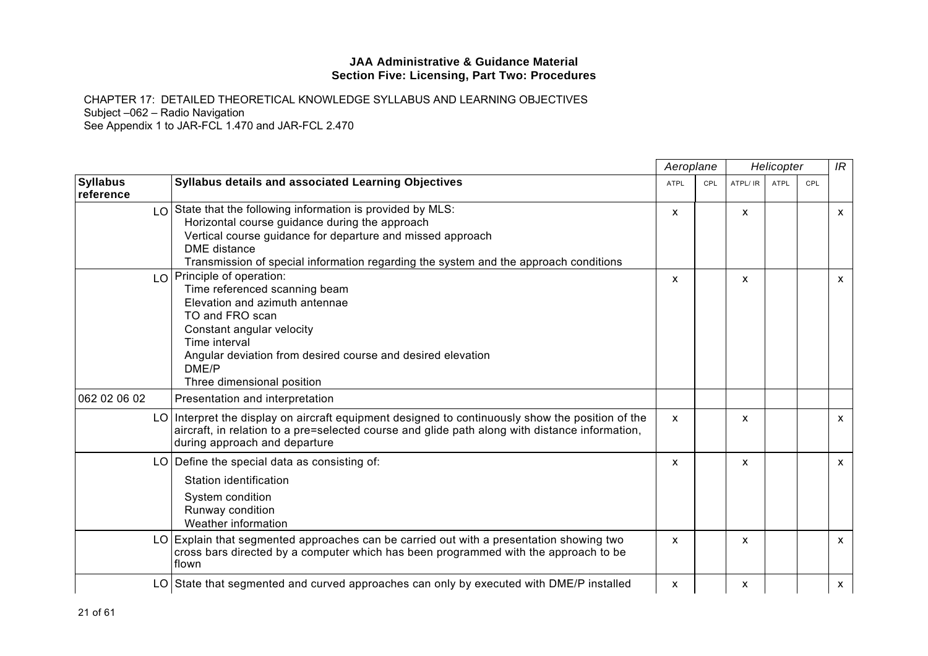|                              |                                                                                                                                                                                                                                                                                     | Aeroplane    |            |          | Helicopter  |     | IR           |
|------------------------------|-------------------------------------------------------------------------------------------------------------------------------------------------------------------------------------------------------------------------------------------------------------------------------------|--------------|------------|----------|-------------|-----|--------------|
| <b>Syllabus</b><br>reference | <b>Syllabus details and associated Learning Objectives</b>                                                                                                                                                                                                                          | <b>ATPL</b>  | <b>CPL</b> | ATPL/ IR | <b>ATPL</b> | CPL |              |
|                              | LO State that the following information is provided by MLS:<br>Horizontal course guidance during the approach<br>Vertical course guidance for departure and missed approach<br>DME distance<br>Transmission of special information regarding the system and the approach conditions | $\mathsf{x}$ |            | X        |             |     | $\mathsf{X}$ |
|                              | LO Principle of operation:<br>Time referenced scanning beam<br>Elevation and azimuth antennae<br>TO and FRO scan<br>Constant angular velocity<br>Time interval<br>Angular deviation from desired course and desired elevation<br>DME/P<br>Three dimensional position                | $\mathsf{x}$ |            | X        |             |     | $\mathsf{x}$ |
| 062 02 06 02                 | Presentation and interpretation                                                                                                                                                                                                                                                     |              |            |          |             |     |              |
|                              | LO Interpret the display on aircraft equipment designed to continuously show the position of the<br>aircraft, in relation to a pre=selected course and glide path along with distance information,<br>during approach and departure                                                 | $\mathsf{x}$ |            | X        |             |     | $\mathsf{x}$ |
|                              | $LO$ Define the special data as consisting of:<br>Station identification<br>System condition<br>Runway condition<br>Weather information                                                                                                                                             | X            |            | X        |             |     | $\mathsf{x}$ |
|                              | LO Explain that segmented approaches can be carried out with a presentation showing two<br>cross bars directed by a computer which has been programmed with the approach to be<br>flown                                                                                             | $\mathsf{x}$ |            | X        |             |     | $\mathsf{x}$ |
|                              | LO State that segmented and curved approaches can only by executed with DME/P installed                                                                                                                                                                                             | X            |            | x        |             |     | $\mathsf{x}$ |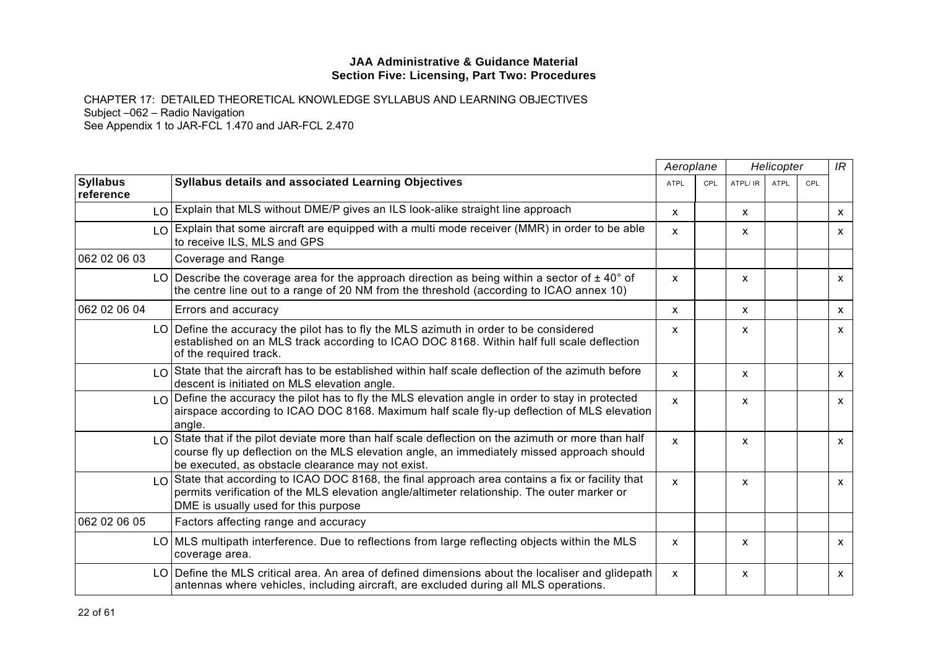|                              |                                                                                                                                                                                                                                                           | Aeroplane    |            |              | Helicopter  | IR  |                           |
|------------------------------|-----------------------------------------------------------------------------------------------------------------------------------------------------------------------------------------------------------------------------------------------------------|--------------|------------|--------------|-------------|-----|---------------------------|
| <b>Syllabus</b><br>reference | <b>Syllabus details and associated Learning Objectives</b>                                                                                                                                                                                                | <b>ATPL</b>  | <b>CPL</b> | ATPL/ IR     | <b>ATPL</b> | CPL |                           |
|                              | LO Explain that MLS without DME/P gives an ILS look-alike straight line approach                                                                                                                                                                          | $\mathsf{x}$ |            | X            |             |     | $\boldsymbol{\mathsf{x}}$ |
|                              | LO Explain that some aircraft are equipped with a multi mode receiver (MMR) in order to be able<br>to receive ILS, MLS and GPS                                                                                                                            | X            |            | X            |             |     | $\mathsf{x}$              |
| 062 02 06 03                 | Coverage and Range                                                                                                                                                                                                                                        |              |            |              |             |     |                           |
|                              | LO   Describe the coverage area for the approach direction as being within a sector of $\pm$ 40° of<br>the centre line out to a range of 20 NM from the threshold (according to ICAO annex 10)                                                            | $\mathsf{x}$ |            | X            |             |     | $\mathsf{x}$              |
| 062 02 06 04                 | Errors and accuracy                                                                                                                                                                                                                                       | $\mathsf{x}$ |            | $\mathsf{x}$ |             |     | $\mathsf{x}$              |
|                              | LO Define the accuracy the pilot has to fly the MLS azimuth in order to be considered<br>established on an MLS track according to ICAO DOC 8168. Within half full scale deflection<br>of the required track.                                              | X            |            | X            |             |     | $\mathsf{x}$              |
|                              | LO State that the aircraft has to be established within half scale deflection of the azimuth before<br>descent is initiated on MLS elevation angle.                                                                                                       | $\mathbf{x}$ |            | $\mathsf{x}$ |             |     | $\mathsf{x}$              |
|                              | $LO$ Define the accuracy the pilot has to fly the MLS elevation angle in order to stay in protected<br>airspace according to ICAO DOC 8168. Maximum half scale fly-up deflection of MLS elevation<br>angle.                                               | $\mathsf{x}$ |            | X            |             |     | $\mathsf{x}$              |
|                              | $LO$ State that if the pilot deviate more than half scale deflection on the azimuth or more than half<br>course fly up deflection on the MLS elevation angle, an immediately missed approach should<br>be executed, as obstacle clearance may not exist.  | X            |            | x            |             |     | $\mathsf{x}$              |
|                              | $\lfloor 0 \rfloor$ State that according to ICAO DOC 8168, the final approach area contains a fix or facility that<br>permits verification of the MLS elevation angle/altimeter relationship. The outer marker or<br>DME is usually used for this purpose | X            |            | x            |             |     | $\mathsf{x}$              |
| 062 02 06 05                 | Factors affecting range and accuracy                                                                                                                                                                                                                      |              |            |              |             |     |                           |
|                              | LO MLS multipath interference. Due to reflections from large reflecting objects within the MLS<br>coverage area.                                                                                                                                          | $\mathsf{x}$ |            | $\mathsf{x}$ |             |     | $\mathsf{x}$              |
|                              | LO Define the MLS critical area. An area of defined dimensions about the localiser and glidepath<br>antennas where vehicles, including aircraft, are excluded during all MLS operations.                                                                  | $\mathsf{x}$ |            | X            |             |     | $\mathsf{x}$              |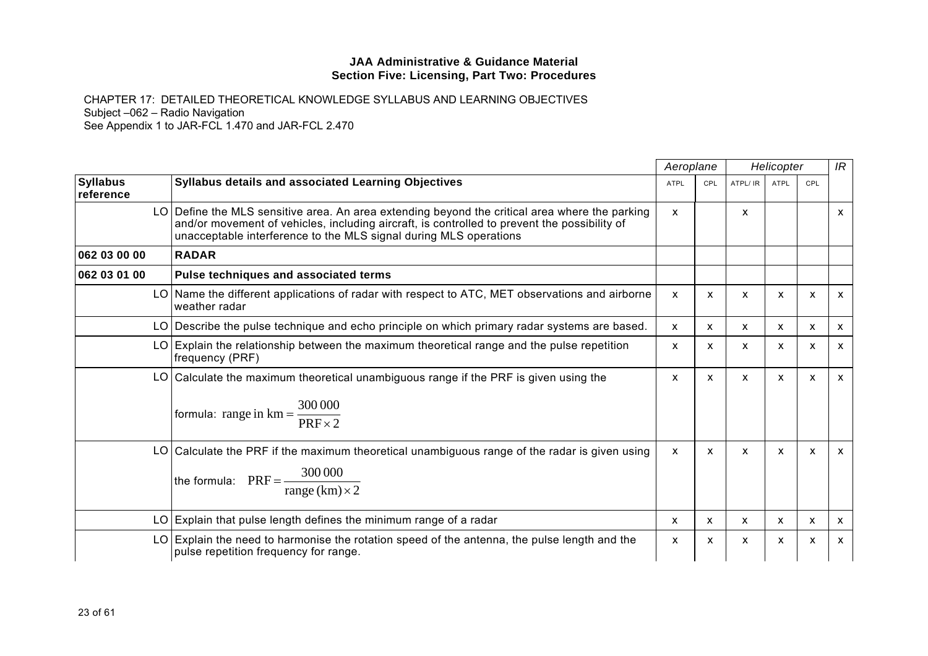|                              |                                                                                                                                                                                                                                                                     | Aeroplane    |              |              | Helicopter                |                           | IR |
|------------------------------|---------------------------------------------------------------------------------------------------------------------------------------------------------------------------------------------------------------------------------------------------------------------|--------------|--------------|--------------|---------------------------|---------------------------|----|
| <b>Syllabus</b><br>reference | Syllabus details and associated Learning Objectives                                                                                                                                                                                                                 | <b>ATPL</b>  | CPL          | ATPL/ IR     | <b>ATPL</b>               | CPL                       |    |
|                              | LO Define the MLS sensitive area. An area extending beyond the critical area where the parking<br>and/or movement of vehicles, including aircraft, is controlled to prevent the possibility of<br>unacceptable interference to the MLS signal during MLS operations | $\mathsf{x}$ |              | X            |                           |                           | x  |
| 062 03 00 00                 | <b>RADAR</b>                                                                                                                                                                                                                                                        |              |              |              |                           |                           |    |
| 062 03 01 00                 | Pulse techniques and associated terms                                                                                                                                                                                                                               |              |              |              |                           |                           |    |
| LO I                         | Name the different applications of radar with respect to ATC, MET observations and airborne<br>weather radar                                                                                                                                                        | $\mathsf{x}$ | $\mathsf{x}$ | X            | $\mathsf{x}$              | X                         | x  |
| LO.                          | Describe the pulse technique and echo principle on which primary radar systems are based.                                                                                                                                                                           | $\mathsf{x}$ | X            | $\mathsf{x}$ | X                         | $\boldsymbol{\mathsf{x}}$ | X  |
| LO                           | Explain the relationship between the maximum theoretical range and the pulse repetition<br>frequency (PRF)                                                                                                                                                          | X            | X            | X            | $\mathsf{x}$              | X                         | X  |
| LO.                          | Calculate the maximum theoretical unambiguous range if the PRF is given using the<br>formula: range in $km = \frac{300\,000}{PRF \times 2}$                                                                                                                         | X            | $\mathsf{x}$ | X            | X                         | X                         | X. |
|                              | LO Calculate the PRF if the maximum theoretical unambiguous range of the radar is given using<br>the formula: $PRF = \frac{300000}{\ }$<br>$\frac{1}{\text{range}(km)\times 2}$                                                                                     | $\mathsf{x}$ | X            | X            | $\boldsymbol{\mathsf{x}}$ | X                         | x  |
|                              | $LO$ Explain that pulse length defines the minimum range of a radar                                                                                                                                                                                                 | X            | X            | X.           | X                         | X                         | X  |
| LO.                          | Explain the need to harmonise the rotation speed of the antenna, the pulse length and the<br>pulse repetition frequency for range.                                                                                                                                  | X            | X            | X            | X                         | X                         | X  |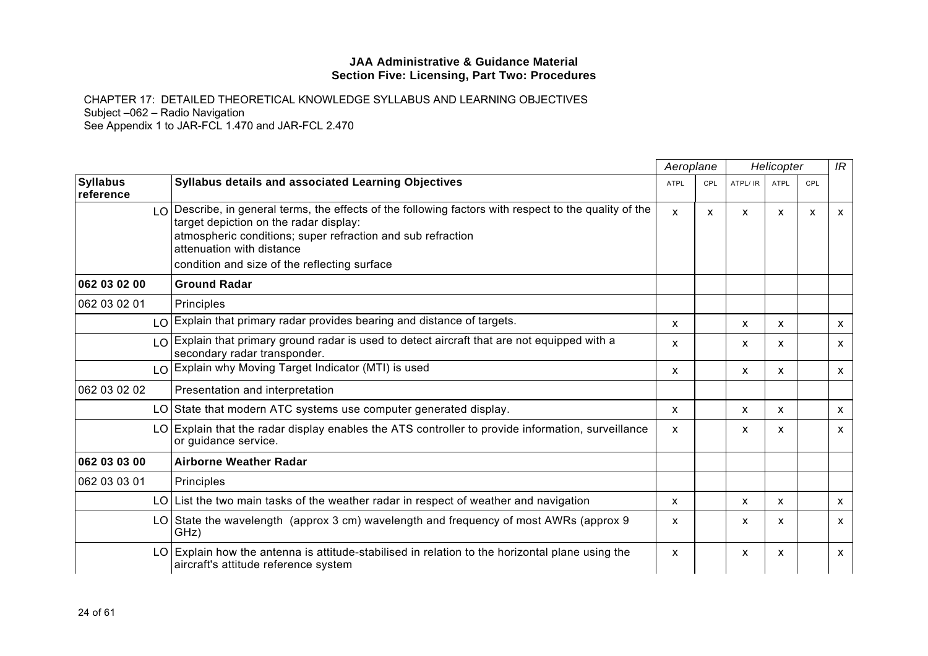|                              |                                                                                                                                                                                                                                                  | Aeroplane    |     | Helicopter                |              |              | IR                        |
|------------------------------|--------------------------------------------------------------------------------------------------------------------------------------------------------------------------------------------------------------------------------------------------|--------------|-----|---------------------------|--------------|--------------|---------------------------|
| <b>Syllabus</b><br>reference | Syllabus details and associated Learning Objectives                                                                                                                                                                                              | <b>ATPL</b>  | CPL | ATPL/ IR                  | ATPL         | CPL          |                           |
|                              | $\log$ Describe, in general terms, the effects of the following factors with respect to the quality of the<br>target depiction on the radar display:<br>atmospheric conditions; super refraction and sub refraction<br>attenuation with distance | $\mathsf{x}$ | X   | X                         | $\mathsf{x}$ | $\mathsf{x}$ | $\mathsf{x}$              |
|                              | condition and size of the reflecting surface                                                                                                                                                                                                     |              |     |                           |              |              |                           |
| 062 03 02 00                 | <b>Ground Radar</b>                                                                                                                                                                                                                              |              |     |                           |              |              |                           |
| 062 03 02 01                 | Principles                                                                                                                                                                                                                                       |              |     |                           |              |              |                           |
|                              | LO Explain that primary radar provides bearing and distance of targets.                                                                                                                                                                          | X            |     | $\mathsf{x}$              | X            |              | $\boldsymbol{\mathsf{x}}$ |
|                              | LO Explain that primary ground radar is used to detect aircraft that are not equipped with a<br>secondary radar transponder.                                                                                                                     | X            |     | X                         | X            |              | $\mathsf{x}$              |
|                              | $\log$ Explain why Moving Target Indicator (MTI) is used                                                                                                                                                                                         | X            |     | $\mathsf{x}$              | X            |              | $\mathsf{x}$              |
| 062 03 02 02                 | Presentation and interpretation                                                                                                                                                                                                                  |              |     |                           |              |              |                           |
|                              | LO State that modern ATC systems use computer generated display.                                                                                                                                                                                 | X            |     | $\mathsf{x}$              | $\mathsf{x}$ |              | $\boldsymbol{\mathsf{X}}$ |
|                              | LO Explain that the radar display enables the ATS controller to provide information, surveillance<br>or guidance service.                                                                                                                        | X            |     | X                         | X            |              | $\mathsf{x}$              |
| 062 03 03 00                 | <b>Airborne Weather Radar</b>                                                                                                                                                                                                                    |              |     |                           |              |              |                           |
| 062 03 03 01                 | Principles                                                                                                                                                                                                                                       |              |     |                           |              |              |                           |
|                              | LO List the two main tasks of the weather radar in respect of weather and navigation                                                                                                                                                             | X            |     | $\boldsymbol{\mathsf{x}}$ | $\mathsf{x}$ |              | $\mathsf{x}$              |
|                              | LO State the wavelength (approx 3 cm) wavelength and frequency of most AWRs (approx 9<br>GHz)                                                                                                                                                    | X            |     | X                         | X            |              | $\mathsf{x}$              |
| LO I                         | Explain how the antenna is attitude-stabilised in relation to the horizontal plane using the<br>aircraft's attitude reference system                                                                                                             | X            |     | X                         | $\mathsf{x}$ |              | $\mathsf{x}$              |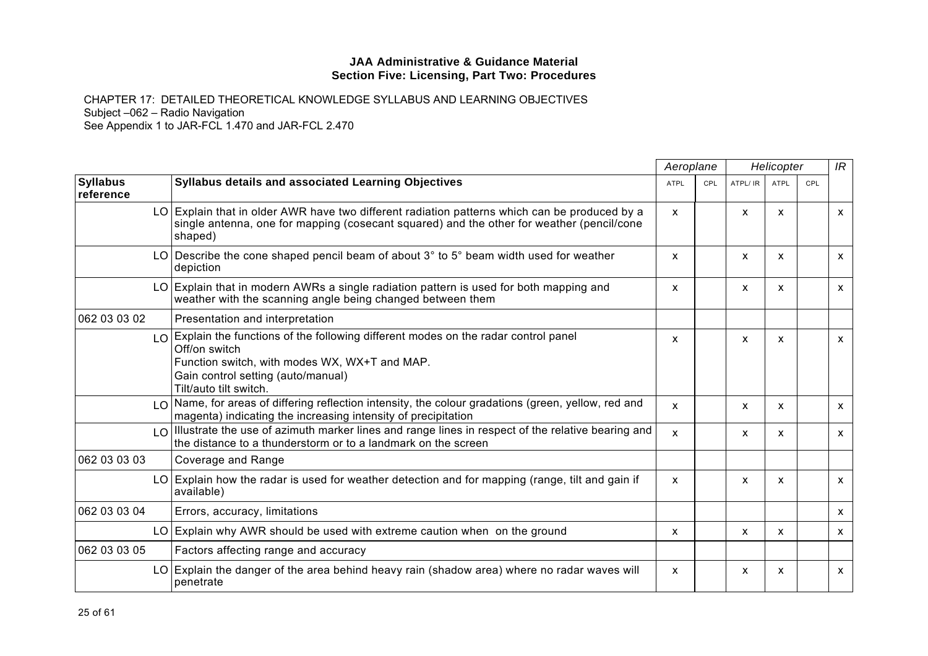|                              |                                                                                                                                                                                                                        | Aeroplane |     | Helicopter   |                           |     | IR           |
|------------------------------|------------------------------------------------------------------------------------------------------------------------------------------------------------------------------------------------------------------------|-----------|-----|--------------|---------------------------|-----|--------------|
| <b>Syllabus</b><br>reference | Syllabus details and associated Learning Objectives                                                                                                                                                                    | ATPL      | CPL | ATPL/ IR     | ATPL                      | CPL |              |
|                              | LO Explain that in older AWR have two different radiation patterns which can be produced by a<br>single antenna, one for mapping (cosecant squared) and the other for weather (pencil/cone<br>shaped)                  | X         |     | X            | $\mathsf{x}$              |     | $\mathsf{x}$ |
|                              | LO Describe the cone shaped pencil beam of about $3^{\circ}$ to $5^{\circ}$ beam width used for weather<br>depiction                                                                                                   | X         |     | X            | X                         |     | $\mathsf{x}$ |
|                              | LO Explain that in modern AWRs a single radiation pattern is used for both mapping and<br>weather with the scanning angle being changed between them                                                                   | X         |     | X            | $\mathsf{x}$              |     | $\mathsf{x}$ |
| 062 03 03 02                 | Presentation and interpretation                                                                                                                                                                                        |           |     |              |                           |     |              |
|                              | LO Explain the functions of the following different modes on the radar control panel<br>Off/on switch<br>Function switch, with modes WX, WX+T and MAP.<br>Gain control setting (auto/manual)<br>Tilt/auto tilt switch. | x         |     | X            | $\mathsf{x}$              |     | $\mathsf{x}$ |
|                              | $\log$ Name, for areas of differing reflection intensity, the colour gradations (green, yellow, red and<br>magenta) indicating the increasing intensity of precipitation                                               | x         |     | X            | X                         |     | $\mathsf{x}$ |
|                              | $\log$ Illustrate the use of azimuth marker lines and range lines in respect of the relative bearing and<br>the distance to a thunderstorm or to a landmark on the screen                                              | X         |     | X            | x                         |     | $\mathsf{x}$ |
| 062 03 03 03                 | Coverage and Range                                                                                                                                                                                                     |           |     |              |                           |     |              |
|                              | LO Explain how the radar is used for weather detection and for mapping (range, tilt and gain if<br>available)                                                                                                          | x         |     | X            | X                         |     | $\mathsf{x}$ |
| 062 03 03 04                 | Errors, accuracy, limitations                                                                                                                                                                                          |           |     |              |                           |     | $\mathsf{x}$ |
|                              | LO Explain why AWR should be used with extreme caution when on the ground                                                                                                                                              | X         |     | $\mathsf{x}$ | $\boldsymbol{\mathsf{x}}$ |     | $\mathsf{x}$ |
| 062 03 03 05                 | Factors affecting range and accuracy                                                                                                                                                                                   |           |     |              |                           |     |              |
|                              | LO Explain the danger of the area behind heavy rain (shadow area) where no radar waves will<br>penetrate                                                                                                               | x         |     | X            | X                         |     | $\mathsf{x}$ |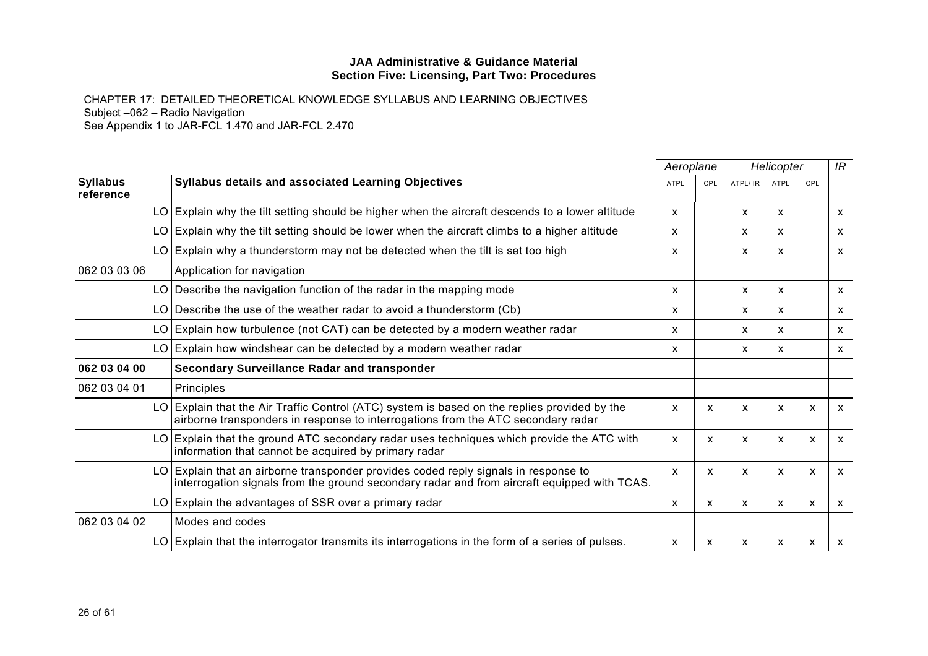|                              |                                                                                                                                                                                  |              | Aeroplane    | Helicopter |              |                           | IR           |
|------------------------------|----------------------------------------------------------------------------------------------------------------------------------------------------------------------------------|--------------|--------------|------------|--------------|---------------------------|--------------|
| <b>Syllabus</b><br>reference | Syllabus details and associated Learning Objectives                                                                                                                              | <b>ATPL</b>  | <b>CPL</b>   | ATPL/ IR   | <b>ATPL</b>  | CPL                       |              |
|                              | LO Explain why the tilt setting should be higher when the aircraft descends to a lower altitude                                                                                  | x            |              | X          | X            |                           | $\mathsf{x}$ |
| LO.                          | Explain why the tilt setting should be lower when the aircraft climbs to a higher altitude                                                                                       | X            |              | X          | $\mathsf{x}$ |                           | $\mathsf{x}$ |
|                              | LO Explain why a thunderstorm may not be detected when the tilt is set too high                                                                                                  | x            |              | X          | $\mathsf{x}$ |                           | $\mathsf{x}$ |
| 062 03 03 06                 | Application for navigation                                                                                                                                                       |              |              |            |              |                           |              |
|                              | LO Describe the navigation function of the radar in the mapping mode                                                                                                             | x            |              | X          | x            |                           | $\mathsf{x}$ |
| LO                           | Describe the use of the weather radar to avoid a thunderstorm (Cb)                                                                                                               | x            |              | X          | X            |                           | X            |
|                              | LO Explain how turbulence (not CAT) can be detected by a modern weather radar                                                                                                    | X            |              | X          | $\mathsf{x}$ |                           | $\mathsf{x}$ |
|                              | LO Explain how windshear can be detected by a modern weather radar                                                                                                               | x            |              | X          | x            |                           | X            |
| 062 03 04 00                 | <b>Secondary Surveillance Radar and transponder</b>                                                                                                                              |              |              |            |              |                           |              |
| 062 03 04 01                 | Principles                                                                                                                                                                       |              |              |            |              |                           |              |
|                              | LO Explain that the Air Traffic Control (ATC) system is based on the replies provided by the<br>airborne transponders in response to interrogations from the ATC secondary radar | X            | X            | X          | $\mathsf{x}$ | $\mathsf{x}$              | $\mathsf{x}$ |
| LO.                          | Explain that the ground ATC secondary radar uses techniques which provide the ATC with<br>information that cannot be acquired by primary radar                                   | X            | X            | X          | $\mathsf{x}$ | $\mathsf{x}$              | $\mathsf{x}$ |
| LO                           | Explain that an airborne transponder provides coded reply signals in response to<br>interrogation signals from the ground secondary radar and from aircraft equipped with TCAS.  | $\mathsf{x}$ | X            | X          | $\mathsf{x}$ | X                         | $\mathsf{x}$ |
|                              | LO Explain the advantages of SSR over a primary radar                                                                                                                            | X            | $\mathsf{x}$ | X          | $\mathsf{x}$ | $\boldsymbol{\mathsf{x}}$ | $\mathsf{x}$ |
| 062 03 04 02                 | Modes and codes                                                                                                                                                                  |              |              |            |              |                           |              |
|                              | LO Explain that the interrogator transmits its interrogations in the form of a series of pulses.                                                                                 | X            | X            | X          | x            | X                         | $\mathsf{x}$ |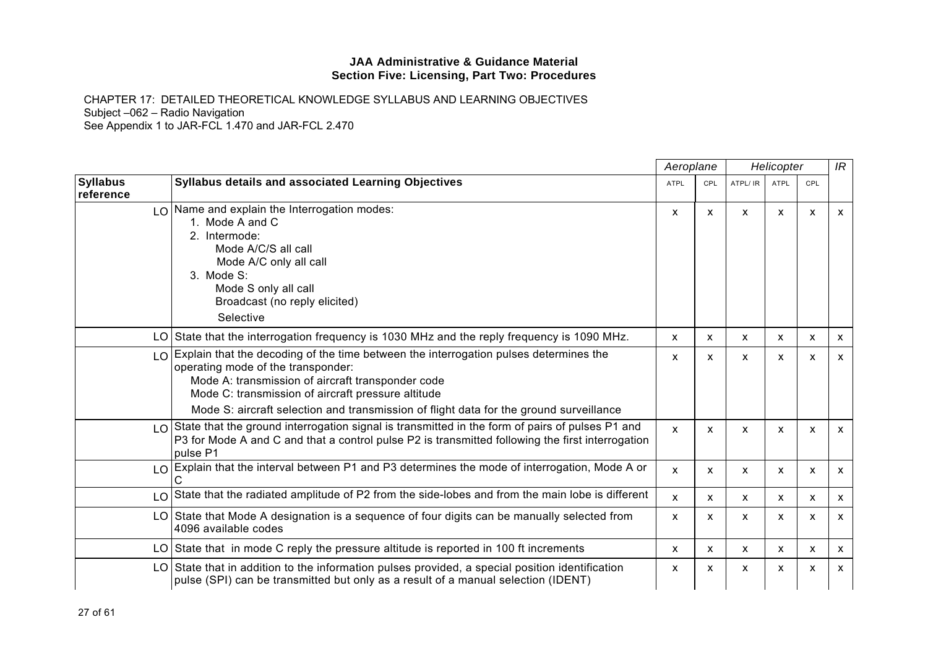|                              |                                                                                                                                                                                                                                                                                                                                  | Aeroplane                 |              |          | Helicopter                |              | IR           |
|------------------------------|----------------------------------------------------------------------------------------------------------------------------------------------------------------------------------------------------------------------------------------------------------------------------------------------------------------------------------|---------------------------|--------------|----------|---------------------------|--------------|--------------|
| <b>Syllabus</b><br>reference | Syllabus details and associated Learning Objectives                                                                                                                                                                                                                                                                              | <b>ATPL</b>               | <b>CPL</b>   | ATPL/ IR | <b>ATPL</b>               | CPL          |              |
|                              | $\lfloor 0 \rfloor$ Name and explain the Interrogation modes:<br>1. Mode A and C<br>2. Intermode:<br>Mode A/C/S all call<br>Mode A/C only all call<br>3. Mode S:<br>Mode S only all call<br>Broadcast (no reply elicited)<br>Selective                                                                                           | X                         | X            | X        | $\mathsf{x}$              | $\mathsf{x}$ | $\mathsf{x}$ |
|                              | LO State that the interrogation frequency is 1030 MHz and the reply frequency is 1090 MHz.                                                                                                                                                                                                                                       | $\boldsymbol{\mathsf{x}}$ | $\mathsf{x}$ | X        | $\mathsf{x}$              | X            | $\mathsf{x}$ |
| LO                           | Explain that the decoding of the time between the interrogation pulses determines the<br>operating mode of the transponder:<br>Mode A: transmission of aircraft transponder code<br>Mode C: transmission of aircraft pressure altitude<br>Mode S: aircraft selection and transmission of flight data for the ground surveillance | X                         | X            | X        | x                         | X            | $\mathsf{x}$ |
|                              | $\lfloor 0 \rfloor$ State that the ground interrogation signal is transmitted in the form of pairs of pulses P1 and<br>P3 for Mode A and C and that a control pulse P2 is transmitted following the first interrogation<br>pulse P1                                                                                              | $\mathsf{x}$              | X            | X        | $\boldsymbol{\mathsf{x}}$ | X            | $\mathsf{x}$ |
|                              | LO Explain that the interval between P1 and P3 determines the mode of interrogation, Mode A or                                                                                                                                                                                                                                   | X                         | X            | X        | $\boldsymbol{\mathsf{x}}$ | X            | $\mathsf{x}$ |
| LO                           | State that the radiated amplitude of P2 from the side-lobes and from the main lobe is different                                                                                                                                                                                                                                  | $\mathsf{x}$              | $\mathsf{x}$ | X        | $\mathsf{x}$              | $\mathsf{x}$ | $\mathsf{x}$ |
|                              | LO State that Mode A designation is a sequence of four digits can be manually selected from<br>4096 available codes                                                                                                                                                                                                              | X                         | X            | X        | X                         | X            | X            |
|                              | LO State that in mode C reply the pressure altitude is reported in 100 ft increments                                                                                                                                                                                                                                             | X                         | X            | X        | X                         | X            | $\mathsf{x}$ |
|                              | LO State that in addition to the information pulses provided, a special position identification<br>pulse (SPI) can be transmitted but only as a result of a manual selection (IDENT)                                                                                                                                             | X                         | X            | X        | $\boldsymbol{\mathsf{x}}$ | X            | $\mathsf{x}$ |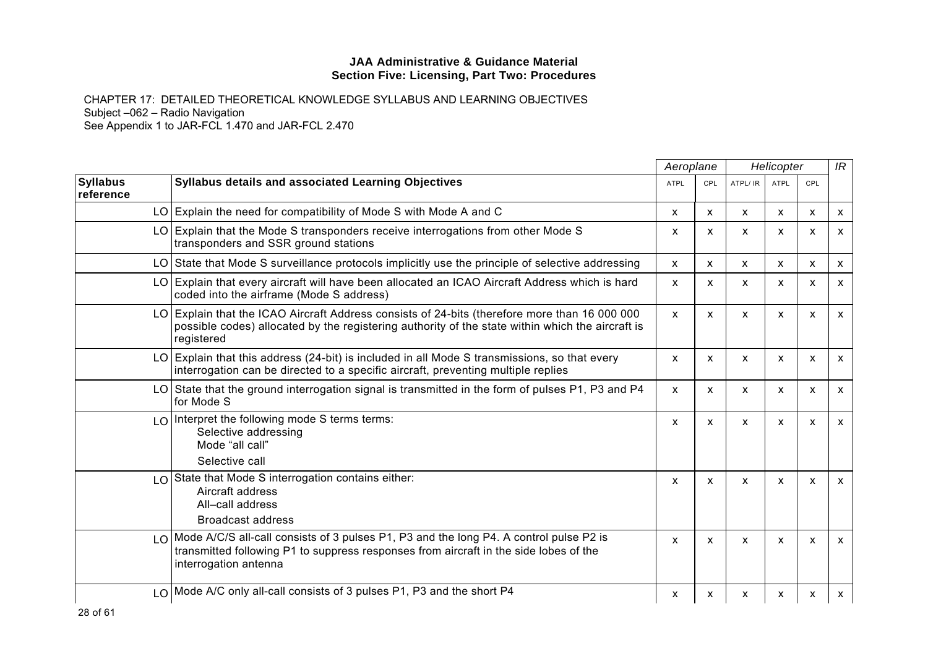|                              |                                                                                                                                                                                                                 | Aeroplane    |                           | Helicopter   |                           |              | IR                        |
|------------------------------|-----------------------------------------------------------------------------------------------------------------------------------------------------------------------------------------------------------------|--------------|---------------------------|--------------|---------------------------|--------------|---------------------------|
| <b>Syllabus</b><br>reference | <b>Syllabus details and associated Learning Objectives</b>                                                                                                                                                      | <b>ATPL</b>  | <b>CPL</b>                | ATPL/ IR     | <b>ATPL</b>               | <b>CPL</b>   |                           |
|                              | LO Explain the need for compatibility of Mode S with Mode A and C                                                                                                                                               | X            | $\mathsf{x}$              | $\mathsf{x}$ | $\mathsf{x}$              | $\mathsf{x}$ | $\mathsf{x}$              |
|                              | LO Explain that the Mode S transponders receive interrogations from other Mode S<br>transponders and SSR ground stations                                                                                        | x            | X                         | X            | x                         | x            | $\mathsf{x}$              |
| LO.                          | State that Mode S surveillance protocols implicitly use the principle of selective addressing                                                                                                                   | $\mathsf{x}$ | $\mathsf{x}$              | X            | $\mathsf{x}$              | $\mathsf{x}$ | $\mathsf{x}$              |
| LO.                          | Explain that every aircraft will have been allocated an ICAO Aircraft Address which is hard<br>coded into the airframe (Mode S address)                                                                         | X            | X                         | X            | $\mathsf{x}$              | X            | $\mathsf{x}$              |
|                              | LO Explain that the ICAO Aircraft Address consists of 24-bits (therefore more than 16 000 000<br>possible codes) allocated by the registering authority of the state within which the aircraft is<br>registered | X            | X                         | X            | $\mathsf{x}$              | X            | $\mathsf{x}$              |
| LO.                          | Explain that this address (24-bit) is included in all Mode S transmissions, so that every<br>interrogation can be directed to a specific aircraft, preventing multiple replies                                  | X            | $\boldsymbol{\mathsf{x}}$ | X            | $\mathsf{x}$              | $\mathsf{x}$ | $\mathsf{x}$              |
|                              | LO State that the ground interrogation signal is transmitted in the form of pulses P1, P3 and P4<br>for Mode S                                                                                                  | X            | X                         | X            | $\boldsymbol{\mathsf{x}}$ | X            | $\mathsf{x}$              |
|                              | LO Interpret the following mode S terms terms:<br>Selective addressing<br>Mode "all call"<br>Selective call                                                                                                     | x            | X                         | X            | X                         | X            | $\mathsf{x}$              |
|                              | LO State that Mode S interrogation contains either:<br>Aircraft address<br>All-call address<br><b>Broadcast address</b>                                                                                         | x            | X                         | X            | X                         | X            | $\mathsf{x}$              |
|                              | $LO$ Mode A/C/S all-call consists of 3 pulses P1, P3 and the long P4. A control pulse P2 is<br>transmitted following P1 to suppress responses from aircraft in the side lobes of the<br>interrogation antenna   | X            | X                         | X            | $\mathsf{x}$              | X            | $\mathsf{x}$              |
|                              | LO   Mode A/C only all-call consists of 3 pulses P1, P3 and the short P4                                                                                                                                        | x            | X                         | x            | х                         | X            | $\boldsymbol{\mathsf{X}}$ |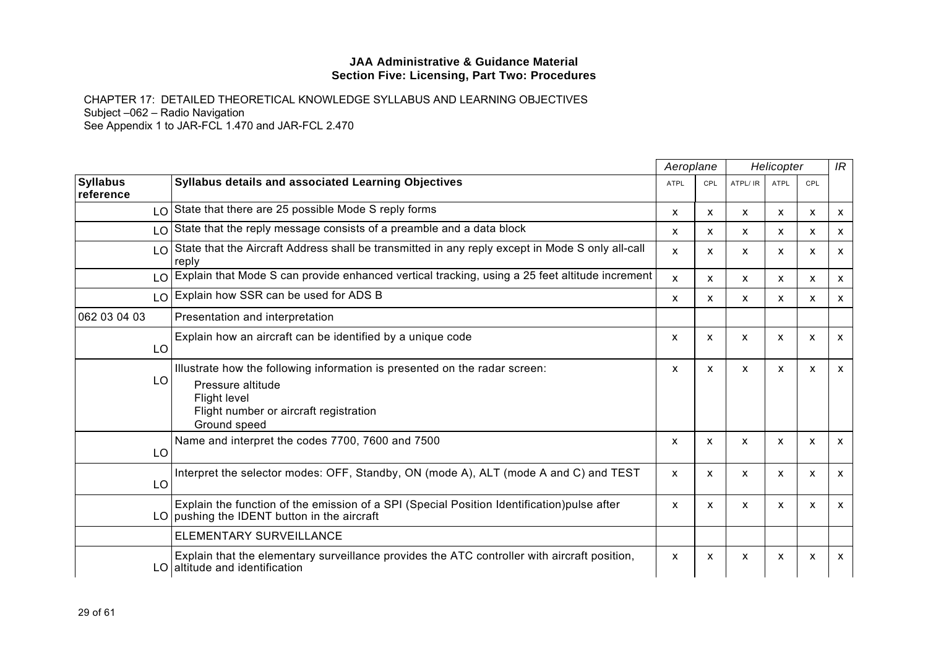|                              |                                                                                                                                                                                  | Aeroplane<br>Helicopter   |            |          | IR           |              |                           |
|------------------------------|----------------------------------------------------------------------------------------------------------------------------------------------------------------------------------|---------------------------|------------|----------|--------------|--------------|---------------------------|
| <b>Syllabus</b><br>reference | <b>Syllabus details and associated Learning Objectives</b>                                                                                                                       | <b>ATPL</b>               | <b>CPL</b> | ATPL/ IR | <b>ATPL</b>  | CPL          |                           |
| LO                           | State that there are 25 possible Mode S reply forms                                                                                                                              | X                         | X          | X        | $\mathsf{x}$ | $\mathsf{x}$ | $\mathsf{x}$              |
| LO                           | State that the reply message consists of a preamble and a data block                                                                                                             | x                         | х          | X        | x            | x            | $\boldsymbol{\mathsf{X}}$ |
| LO                           | State that the Aircraft Address shall be transmitted in any reply except in Mode S only all-call<br>reply                                                                        | X                         | X          | X        | X            | X            | $\mathsf{x}$              |
| LO                           | Explain that Mode S can provide enhanced vertical tracking, using a 25 feet altitude increment                                                                                   | X                         | x          | X        | x            | x            | X                         |
| LO                           | Explain how SSR can be used for ADS B                                                                                                                                            | X                         | X          | X        | x            | X            | $\mathsf{x}$              |
| 062 03 04 03                 | Presentation and interpretation                                                                                                                                                  |                           |            |          |              |              |                           |
| LO                           | Explain how an aircraft can be identified by a unique code                                                                                                                       | X                         | X          | X        | X            | X            | $\mathsf{x}$              |
| LO                           | Illustrate how the following information is presented on the radar screen:<br>Pressure altitude<br><b>Flight level</b><br>Flight number or aircraft registration<br>Ground speed | x                         | X          | X        | $\mathsf{x}$ | $\mathsf{x}$ | $\mathsf{x}$              |
| LO                           | Name and interpret the codes 7700, 7600 and 7500                                                                                                                                 | X                         | x          | X        | X            | x            | X                         |
| LO                           | Interpret the selector modes: OFF, Standby, ON (mode A), ALT (mode A and C) and TEST                                                                                             | X                         | X          | X        | X            | X            | $\mathsf{x}$              |
|                              | Explain the function of the emission of a SPI (Special Position Identification)pulse after<br>LO pushing the IDENT button in the aircraft                                        | X                         | X          | X        | X            | X            | $\mathsf{x}$              |
|                              | ELEMENTARY SURVEILLANCE                                                                                                                                                          |                           |            |          |              |              |                           |
|                              | Explain that the elementary surveillance provides the ATC controller with aircraft position,<br>LO altitude and identification                                                   | $\boldsymbol{\mathsf{x}}$ | x          | X        | x            | X            | $\mathsf{x}$              |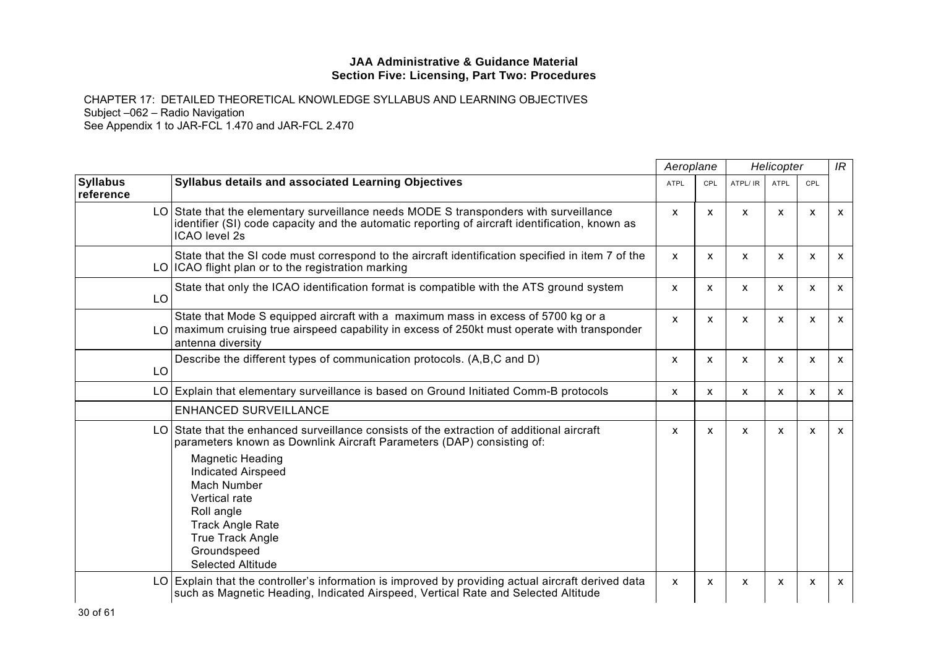|                              |                                                                                                                                                                                                                                                                                                                                                                        |             | Aeroplane<br>Helicopter   |          | IR          |                           |              |
|------------------------------|------------------------------------------------------------------------------------------------------------------------------------------------------------------------------------------------------------------------------------------------------------------------------------------------------------------------------------------------------------------------|-------------|---------------------------|----------|-------------|---------------------------|--------------|
| <b>Syllabus</b><br>reference | Syllabus details and associated Learning Objectives                                                                                                                                                                                                                                                                                                                    | <b>ATPL</b> | <b>CPL</b>                | ATPL/ IR | <b>ATPL</b> | <b>CPL</b>                |              |
|                              | LO State that the elementary surveillance needs MODE S transponders with surveillance<br>identifier (SI) code capacity and the automatic reporting of aircraft identification, known as<br><b>ICAO</b> level 2s                                                                                                                                                        | X           | $\boldsymbol{\mathsf{x}}$ | X        | X           | X                         | X            |
|                              | State that the SI code must correspond to the aircraft identification specified in item 7 of the<br>LO ICAO flight plan or to the registration marking                                                                                                                                                                                                                 | X           | $\boldsymbol{\mathsf{x}}$ | X        | X           | X                         | X            |
| LO                           | State that only the ICAO identification format is compatible with the ATS ground system                                                                                                                                                                                                                                                                                | X           | X                         | X        | x           | X                         | $\mathsf{x}$ |
| LOT                          | State that Mode S equipped aircraft with a maximum mass in excess of 5700 kg or a<br>maximum cruising true airspeed capability in excess of 250kt must operate with transponder<br>antenna diversity                                                                                                                                                                   | X           | $\mathsf{x}$              | X        | X           | X                         | X            |
| LO                           | Describe the different types of communication protocols. (A,B,C and D)                                                                                                                                                                                                                                                                                                 | X           | X                         | X        | X           | X                         | X            |
|                              | LO Explain that elementary surveillance is based on Ground Initiated Comm-B protocols                                                                                                                                                                                                                                                                                  | X           | X                         | X        | X           | X                         | X            |
|                              | <b>ENHANCED SURVEILLANCE</b>                                                                                                                                                                                                                                                                                                                                           |             |                           |          |             |                           |              |
| LO                           | State that the enhanced surveillance consists of the extraction of additional aircraft<br>parameters known as Downlink Aircraft Parameters (DAP) consisting of:<br><b>Magnetic Heading</b><br><b>Indicated Airspeed</b><br>Mach Number<br>Vertical rate<br>Roll angle<br><b>Track Angle Rate</b><br><b>True Track Angle</b><br>Groundspeed<br><b>Selected Altitude</b> | X           | $\mathsf{x}$              | X        | X           | $\boldsymbol{\mathsf{x}}$ | x            |
| LO.                          | Explain that the controller's information is improved by providing actual aircraft derived data<br>such as Magnetic Heading, Indicated Airspeed, Vertical Rate and Selected Altitude                                                                                                                                                                                   | X           | X                         | x        | X           | X                         | X            |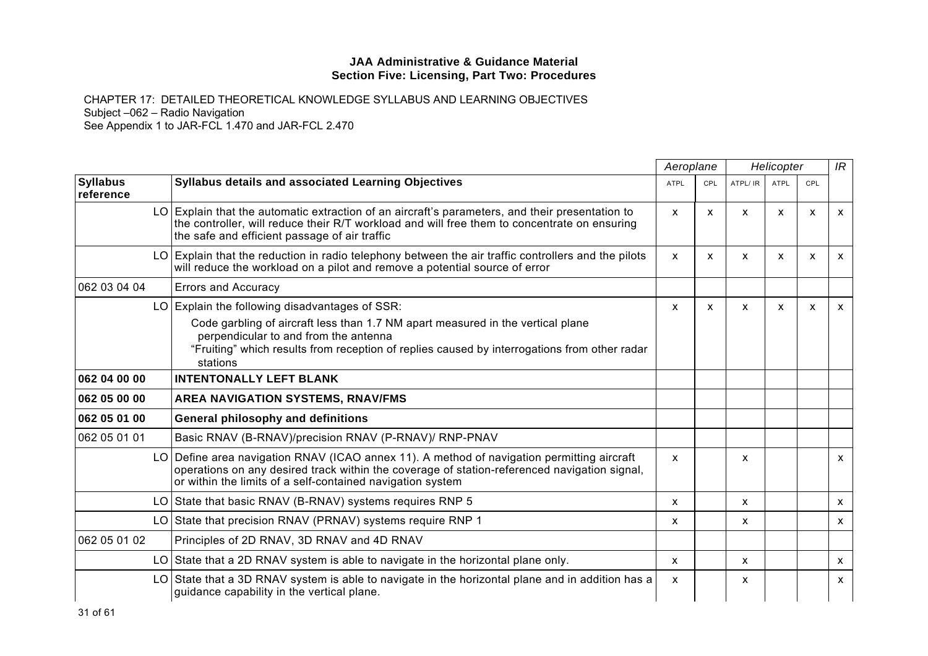|                              |                                                                                                                                                                                                                                                                                        | Aeroplane    |              | Helicopter   |              |              | IR           |
|------------------------------|----------------------------------------------------------------------------------------------------------------------------------------------------------------------------------------------------------------------------------------------------------------------------------------|--------------|--------------|--------------|--------------|--------------|--------------|
| <b>Syllabus</b><br>reference | <b>Syllabus details and associated Learning Objectives</b>                                                                                                                                                                                                                             | <b>ATPL</b>  | <b>CPL</b>   | ATPL/ IR     | <b>ATPL</b>  | <b>CPL</b>   |              |
|                              | LO Explain that the automatic extraction of an aircraft's parameters, and their presentation to<br>the controller, will reduce their R/T workload and will free them to concentrate on ensuring<br>the safe and efficient passage of air traffic                                       | X            | $\mathsf{x}$ | $\mathsf{x}$ | X            | x            | $\mathsf{x}$ |
|                              | $LO$ Explain that the reduction in radio telephony between the air traffic controllers and the pilots<br>will reduce the workload on a pilot and remove a potential source of error                                                                                                    | X            | X            | X            | x            | X            | $\mathsf{x}$ |
| 062 03 04 04                 | <b>Errors and Accuracy</b>                                                                                                                                                                                                                                                             |              |              |              |              |              |              |
|                              | LO Explain the following disadvantages of SSR:<br>Code garbling of aircraft less than 1.7 NM apart measured in the vertical plane<br>perpendicular to and from the antenna<br>"Fruiting" which results from reception of replies caused by interrogations from other radar<br>stations | X            | $\mathsf{x}$ | X            | $\mathsf{x}$ | $\mathsf{x}$ | $\mathsf{x}$ |
| 062 04 00 00                 | <b>INTENTONALLY LEFT BLANK</b>                                                                                                                                                                                                                                                         |              |              |              |              |              |              |
| 062 05 00 00                 | AREA NAVIGATION SYSTEMS, RNAV/FMS                                                                                                                                                                                                                                                      |              |              |              |              |              |              |
| 062 05 01 00                 | General philosophy and definitions                                                                                                                                                                                                                                                     |              |              |              |              |              |              |
| 062 05 01 01                 | Basic RNAV (B-RNAV)/precision RNAV (P-RNAV)/ RNP-PNAV                                                                                                                                                                                                                                  |              |              |              |              |              |              |
|                              | LO Define area navigation RNAV (ICAO annex 11). A method of navigation permitting aircraft<br>operations on any desired track within the coverage of station-referenced navigation signal,<br>or within the limits of a self-contained navigation system                               | X            |              | x            |              |              | $\mathsf{x}$ |
|                              | LO State that basic RNAV (B-RNAV) systems requires RNP 5                                                                                                                                                                                                                               | X            |              | X            |              |              | $\mathsf{x}$ |
|                              | LO State that precision RNAV (PRNAV) systems require RNP 1                                                                                                                                                                                                                             | x            |              | x            |              |              | $\mathsf{x}$ |
| 062 05 01 02                 | Principles of 2D RNAV, 3D RNAV and 4D RNAV                                                                                                                                                                                                                                             |              |              |              |              |              |              |
|                              | LO State that a 2D RNAV system is able to navigate in the horizontal plane only.                                                                                                                                                                                                       | $\mathsf{x}$ |              | X            |              |              | $\mathsf{x}$ |
|                              | LO State that a 3D RNAV system is able to navigate in the horizontal plane and in addition has a<br>guidance capability in the vertical plane.                                                                                                                                         | X            |              | x            |              |              | $\mathsf{x}$ |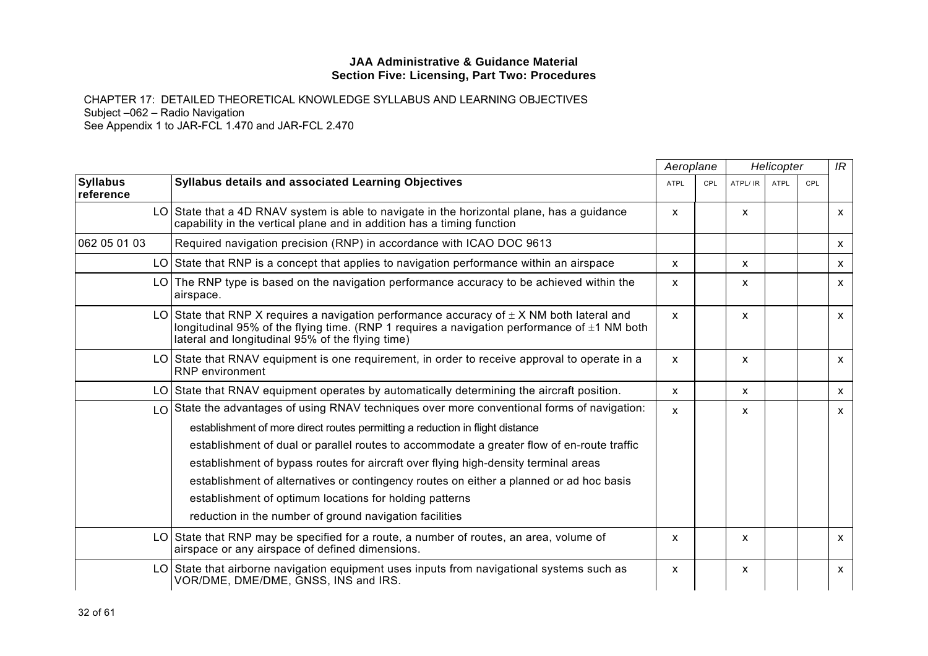|                              |                                                                                                                                                                                                                                                       | Aeroplane   |            | Helicopter   |             | IR  |              |
|------------------------------|-------------------------------------------------------------------------------------------------------------------------------------------------------------------------------------------------------------------------------------------------------|-------------|------------|--------------|-------------|-----|--------------|
| <b>Syllabus</b><br>reference | <b>Syllabus details and associated Learning Objectives</b>                                                                                                                                                                                            | <b>ATPL</b> | <b>CPL</b> | ATPL/ IR     | <b>ATPL</b> | CPL |              |
|                              | LO State that a 4D RNAV system is able to navigate in the horizontal plane, has a guidance<br>capability in the vertical plane and in addition has a timing function                                                                                  | X           |            | X            |             |     | $\mathsf{x}$ |
| 062 05 01 03                 | Required navigation precision (RNP) in accordance with ICAO DOC 9613                                                                                                                                                                                  |             |            |              |             |     | X            |
|                              | LO State that RNP is a concept that applies to navigation performance within an airspace                                                                                                                                                              | X           |            | X            |             |     | X            |
|                              | $LO$ The RNP type is based on the navigation performance accuracy to be achieved within the<br>airspace.                                                                                                                                              | X           |            | X            |             |     | $\mathsf{x}$ |
|                              | LO State that RNP X requires a navigation performance accuracy of $\pm$ X NM both lateral and<br>longitudinal 95% of the flying time. (RNP 1 requires a navigation performance of $\pm$ 1 NM both<br>lateral and longitudinal 95% of the flying time) | X           |            | $\mathsf{x}$ |             |     | $\mathsf{x}$ |
|                              | LO State that RNAV equipment is one requirement, in order to receive approval to operate in a<br><b>RNP</b> environment                                                                                                                               | X           |            | X            |             |     | X            |
|                              | LO State that RNAV equipment operates by automatically determining the aircraft position.                                                                                                                                                             | X           |            | X            |             |     | X            |
|                              | $\log$ State the advantages of using RNAV techniques over more conventional forms of navigation:                                                                                                                                                      | X           |            | X            |             |     | $\mathsf{x}$ |
|                              | establishment of more direct routes permitting a reduction in flight distance                                                                                                                                                                         |             |            |              |             |     |              |
|                              | establishment of dual or parallel routes to accommodate a greater flow of en-route traffic                                                                                                                                                            |             |            |              |             |     |              |
|                              | establishment of bypass routes for aircraft over flying high-density terminal areas                                                                                                                                                                   |             |            |              |             |     |              |
|                              | establishment of alternatives or contingency routes on either a planned or ad hoc basis                                                                                                                                                               |             |            |              |             |     |              |
|                              | establishment of optimum locations for holding patterns                                                                                                                                                                                               |             |            |              |             |     |              |
|                              | reduction in the number of ground navigation facilities                                                                                                                                                                                               |             |            |              |             |     |              |
|                              | LO State that RNP may be specified for a route, a number of routes, an area, volume of<br>airspace or any airspace of defined dimensions.                                                                                                             | X           |            | X            |             |     | X            |
|                              | LO State that airborne navigation equipment uses inputs from navigational systems such as<br>VOR/DME, DME/DME, GNSS, INS and IRS.                                                                                                                     | X           |            | X            |             |     | $\mathsf{x}$ |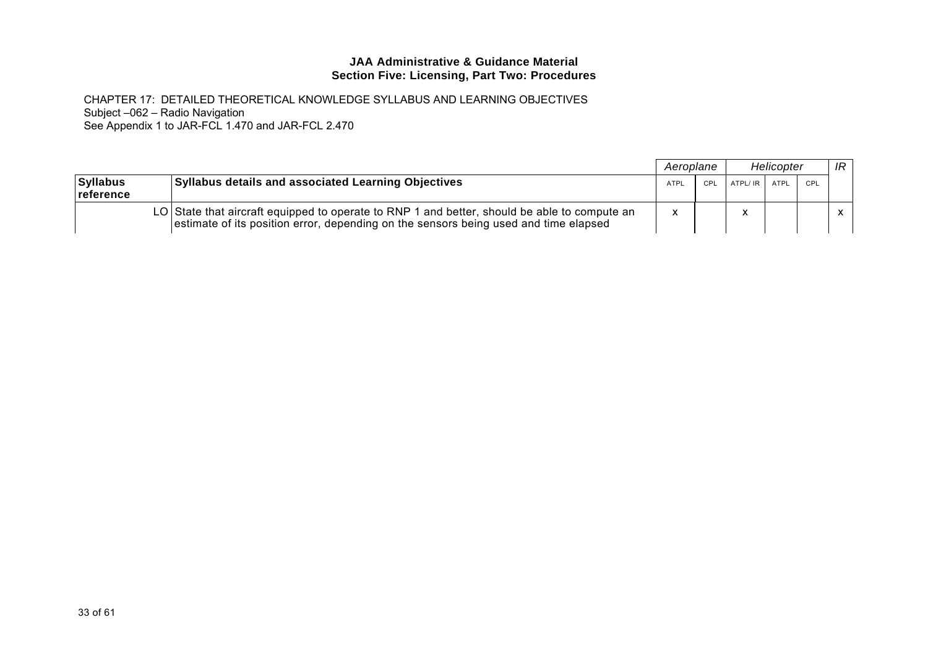|                              |                                                                                                                                                                                      | Aeroplane   |     |                  | Helicopter |     | IR           |
|------------------------------|--------------------------------------------------------------------------------------------------------------------------------------------------------------------------------------|-------------|-----|------------------|------------|-----|--------------|
| <b>Syllabus</b><br>reference | <b>Syllabus details and associated Learning Objectives</b>                                                                                                                           | <b>ATPL</b> | CPL | $ATPL/IR$ $ATPL$ |            | CPL |              |
|                              | LO State that aircraft equipped to operate to RNP 1 and better, should be able to compute an<br>estimate of its position error, depending on the sensors being used and time elapsed | $\mathbf v$ |     |                  |            |     | $\mathsf{x}$ |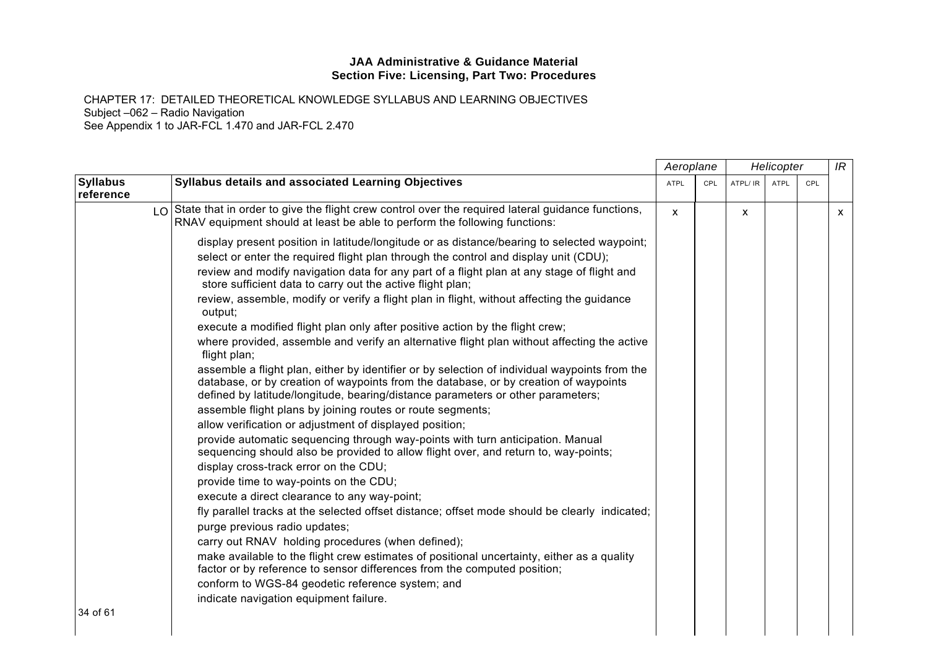|                              |                                                                                                                                                                                                                                                                                                                                                                                                                                                                                                                                                                                                                                                                                                                                                                                                                                                                                                                                                                                                                                                                                                                                                                                                                                                                                                                                                                                                                                                                                                                                                                                                                                                                                                                                                                                                                                          | Aeroplane    |            | Helicopter |             | IR  |   |
|------------------------------|------------------------------------------------------------------------------------------------------------------------------------------------------------------------------------------------------------------------------------------------------------------------------------------------------------------------------------------------------------------------------------------------------------------------------------------------------------------------------------------------------------------------------------------------------------------------------------------------------------------------------------------------------------------------------------------------------------------------------------------------------------------------------------------------------------------------------------------------------------------------------------------------------------------------------------------------------------------------------------------------------------------------------------------------------------------------------------------------------------------------------------------------------------------------------------------------------------------------------------------------------------------------------------------------------------------------------------------------------------------------------------------------------------------------------------------------------------------------------------------------------------------------------------------------------------------------------------------------------------------------------------------------------------------------------------------------------------------------------------------------------------------------------------------------------------------------------------------|--------------|------------|------------|-------------|-----|---|
| <b>Syllabus</b><br>reference | Syllabus details and associated Learning Objectives                                                                                                                                                                                                                                                                                                                                                                                                                                                                                                                                                                                                                                                                                                                                                                                                                                                                                                                                                                                                                                                                                                                                                                                                                                                                                                                                                                                                                                                                                                                                                                                                                                                                                                                                                                                      | <b>ATPL</b>  | <b>CPL</b> | ATPL/ IR   | <b>ATPL</b> | CPL |   |
|                              | $\log$ State that in order to give the flight crew control over the required lateral guidance functions,<br>RNAV equipment should at least be able to perform the following functions:                                                                                                                                                                                                                                                                                                                                                                                                                                                                                                                                                                                                                                                                                                                                                                                                                                                                                                                                                                                                                                                                                                                                                                                                                                                                                                                                                                                                                                                                                                                                                                                                                                                   | $\mathsf{x}$ |            | X          |             |     | X |
| 34 of 61                     | display present position in latitude/longitude or as distance/bearing to selected waypoint;<br>select or enter the required flight plan through the control and display unit (CDU);<br>review and modify navigation data for any part of a flight plan at any stage of flight and<br>store sufficient data to carry out the active flight plan;<br>review, assemble, modify or verify a flight plan in flight, without affecting the guidance<br>output;<br>execute a modified flight plan only after positive action by the flight crew;<br>where provided, assemble and verify an alternative flight plan without affecting the active<br>flight plan;<br>assemble a flight plan, either by identifier or by selection of individual waypoints from the<br>database, or by creation of waypoints from the database, or by creation of waypoints<br>defined by latitude/longitude, bearing/distance parameters or other parameters;<br>assemble flight plans by joining routes or route segments;<br>allow verification or adjustment of displayed position;<br>provide automatic sequencing through way-points with turn anticipation. Manual<br>sequencing should also be provided to allow flight over, and return to, way-points;<br>display cross-track error on the CDU;<br>provide time to way-points on the CDU;<br>execute a direct clearance to any way-point;<br>fly parallel tracks at the selected offset distance; offset mode should be clearly indicated;<br>purge previous radio updates;<br>carry out RNAV holding procedures (when defined);<br>make available to the flight crew estimates of positional uncertainty, either as a quality<br>factor or by reference to sensor differences from the computed position;<br>conform to WGS-84 geodetic reference system; and<br>indicate navigation equipment failure. |              |            |            |             |     |   |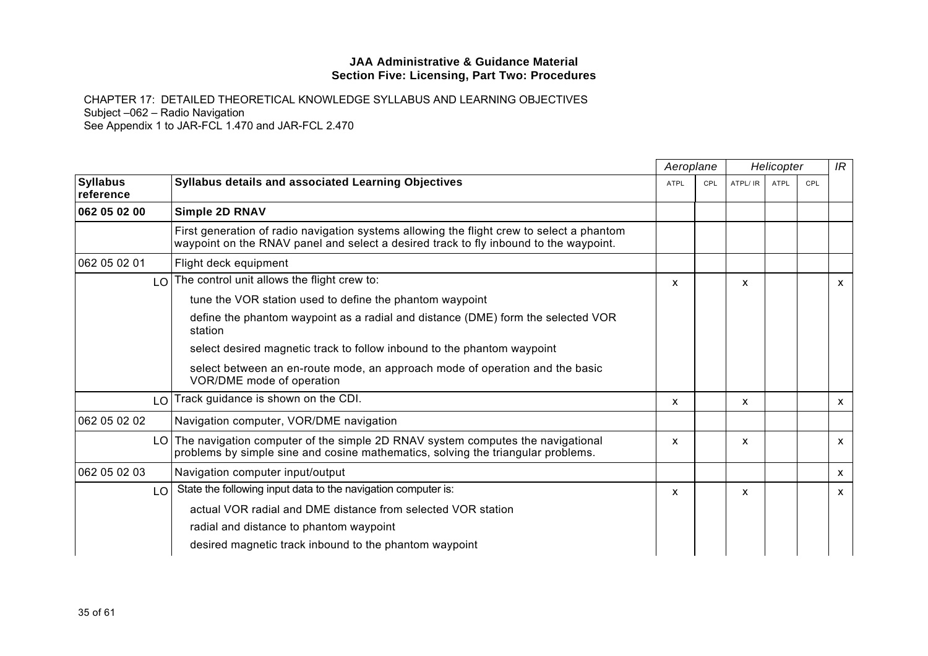|                              |                                                                                                                                                                                    |             | Aeroplane<br>Helicopter |          |             |     | IR |
|------------------------------|------------------------------------------------------------------------------------------------------------------------------------------------------------------------------------|-------------|-------------------------|----------|-------------|-----|----|
| <b>Syllabus</b><br>reference | Syllabus details and associated Learning Objectives                                                                                                                                | <b>ATPL</b> | <b>CPL</b>              | ATPL/ IR | <b>ATPL</b> | CPL |    |
| 062 05 02 00                 | <b>Simple 2D RNAV</b>                                                                                                                                                              |             |                         |          |             |     |    |
|                              | First generation of radio navigation systems allowing the flight crew to select a phantom<br>waypoint on the RNAV panel and select a desired track to fly inbound to the waypoint. |             |                         |          |             |     |    |
| 062 05 02 01                 | Flight deck equipment                                                                                                                                                              |             |                         |          |             |     |    |
|                              | $LO$ The control unit allows the flight crew to:                                                                                                                                   | x           |                         | x        |             |     | x  |
|                              | tune the VOR station used to define the phantom waypoint                                                                                                                           |             |                         |          |             |     |    |
|                              | define the phantom waypoint as a radial and distance (DME) form the selected VOR<br>station                                                                                        |             |                         |          |             |     |    |
|                              | select desired magnetic track to follow inbound to the phantom waypoint                                                                                                            |             |                         |          |             |     |    |
|                              | select between an en-route mode, an approach mode of operation and the basic<br>VOR/DME mode of operation                                                                          |             |                         |          |             |     |    |
| LO                           | Track guidance is shown on the CDI.                                                                                                                                                | x           |                         | x        |             |     | x  |
| 062 05 02 02                 | Navigation computer, VOR/DME navigation                                                                                                                                            |             |                         |          |             |     |    |
|                              | LO The navigation computer of the simple 2D RNAV system computes the navigational<br>problems by simple sine and cosine mathematics, solving the triangular problems.              | X           |                         | X        |             |     | X  |
| 062 05 02 03                 | Navigation computer input/output                                                                                                                                                   |             |                         |          |             |     | x  |
| LO                           | State the following input data to the navigation computer is:                                                                                                                      | x           |                         | x        |             |     | x  |
|                              | actual VOR radial and DME distance from selected VOR station                                                                                                                       |             |                         |          |             |     |    |
|                              | radial and distance to phantom waypoint                                                                                                                                            |             |                         |          |             |     |    |
|                              | desired magnetic track inbound to the phantom waypoint                                                                                                                             |             |                         |          |             |     |    |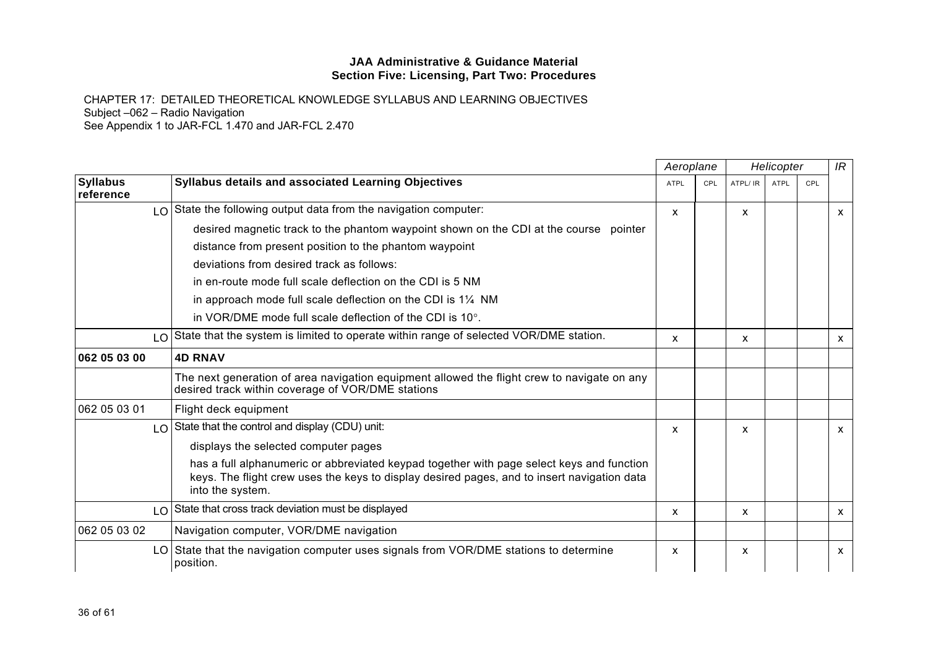|                              |                                                                                                                                                                                                              | Aeroplane<br>Helicopter |            |          | IR   |     |              |
|------------------------------|--------------------------------------------------------------------------------------------------------------------------------------------------------------------------------------------------------------|-------------------------|------------|----------|------|-----|--------------|
| <b>Syllabus</b><br>reference | <b>Syllabus details and associated Learning Objectives</b>                                                                                                                                                   | <b>ATPL</b>             | <b>CPL</b> | ATPL/ IR | ATPL | CPL |              |
| $\overline{O}$               | State the following output data from the navigation computer:                                                                                                                                                | x                       |            | x        |      |     | X            |
|                              | desired magnetic track to the phantom waypoint shown on the CDI at the course pointer                                                                                                                        |                         |            |          |      |     |              |
|                              | distance from present position to the phantom waypoint                                                                                                                                                       |                         |            |          |      |     |              |
|                              | deviations from desired track as follows:                                                                                                                                                                    |                         |            |          |      |     |              |
|                              | in en-route mode full scale deflection on the CDI is 5 NM                                                                                                                                                    |                         |            |          |      |     |              |
|                              | in approach mode full scale deflection on the CDI is $1\frac{1}{4}$ NM                                                                                                                                       |                         |            |          |      |     |              |
|                              | in VOR/DME mode full scale deflection of the CDI is $10^{\circ}$ .                                                                                                                                           |                         |            |          |      |     |              |
| $\overline{O}$               | State that the system is limited to operate within range of selected VOR/DME station.                                                                                                                        | X                       |            | x        |      |     | $\mathsf{x}$ |
| 062 05 03 00                 | <b>4D RNAV</b>                                                                                                                                                                                               |                         |            |          |      |     |              |
|                              | The next generation of area navigation equipment allowed the flight crew to navigate on any<br>desired track within coverage of VOR/DME stations                                                             |                         |            |          |      |     |              |
| 062 05 03 01                 | Flight deck equipment                                                                                                                                                                                        |                         |            |          |      |     |              |
|                              | LO State that the control and display (CDU) unit:                                                                                                                                                            | X                       |            | X        |      |     | $\mathsf{x}$ |
|                              | displays the selected computer pages                                                                                                                                                                         |                         |            |          |      |     |              |
|                              | has a full alphanumeric or abbreviated keypad together with page select keys and function<br>keys. The flight crew uses the keys to display desired pages, and to insert navigation data<br>into the system. |                         |            |          |      |     |              |
| LO.                          | State that cross track deviation must be displayed                                                                                                                                                           | X                       |            | X        |      |     | $\mathsf{x}$ |
| 062 05 03 02                 | Navigation computer, VOR/DME navigation                                                                                                                                                                      |                         |            |          |      |     |              |
| LO I                         | State that the navigation computer uses signals from VOR/DME stations to determine<br>position.                                                                                                              | X                       |            | X        |      |     | $\mathsf{x}$ |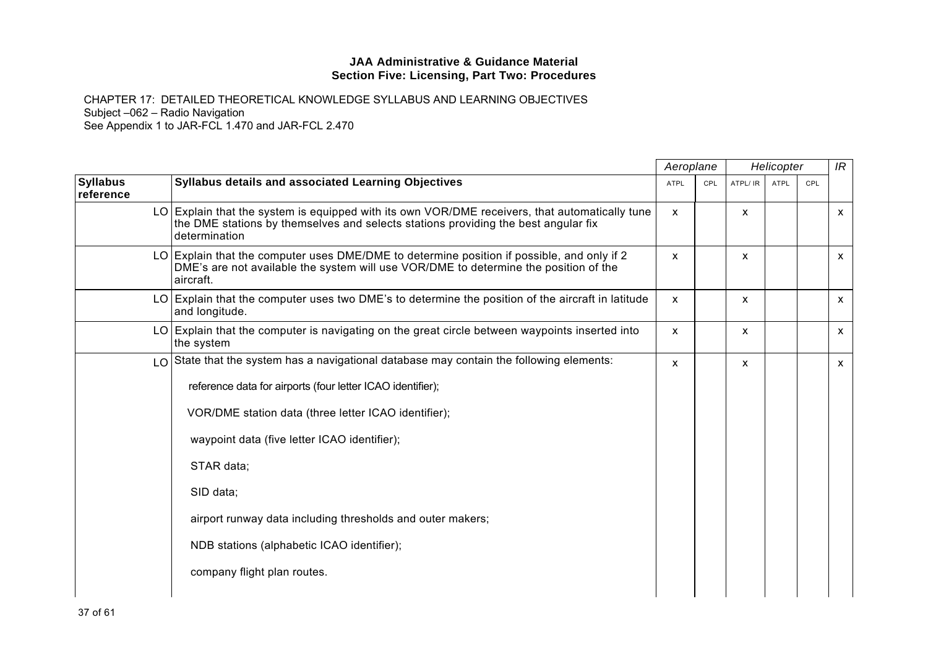|                              |                                                                                                                                                                                                       |              | Aeroplane<br>Helicopter |          | IR          |     |              |
|------------------------------|-------------------------------------------------------------------------------------------------------------------------------------------------------------------------------------------------------|--------------|-------------------------|----------|-------------|-----|--------------|
| <b>Syllabus</b><br>reference | Syllabus details and associated Learning Objectives                                                                                                                                                   | <b>ATPL</b>  | CPL                     | ATPL/ IR | <b>ATPL</b> | CPL |              |
|                              | LO Explain that the system is equipped with its own VOR/DME receivers, that automatically tune<br>the DME stations by themselves and selects stations providing the best angular fix<br>determination | $\mathsf{x}$ |                         | X        |             |     | $\mathsf{x}$ |
|                              | LO Explain that the computer uses DME/DME to determine position if possible, and only if 2<br>DME's are not available the system will use VOR/DME to determine the position of the<br>aircraft.       | X            |                         | X        |             |     | $\mathsf{x}$ |
|                              | LO Explain that the computer uses two DME's to determine the position of the aircraft in latitude<br>and longitude.                                                                                   | $\mathsf{x}$ |                         | X        |             |     | $\mathsf{x}$ |
|                              | LO Explain that the computer is navigating on the great circle between waypoints inserted into<br>the system                                                                                          | X            |                         | X        |             |     | $\mathsf{x}$ |
| LO.                          | State that the system has a navigational database may contain the following elements:                                                                                                                 | $\mathsf{x}$ |                         | X        |             |     | $\mathsf{x}$ |
|                              | reference data for airports (four letter ICAO identifier);                                                                                                                                            |              |                         |          |             |     |              |
|                              | VOR/DME station data (three letter ICAO identifier);                                                                                                                                                  |              |                         |          |             |     |              |
|                              | waypoint data (five letter ICAO identifier);                                                                                                                                                          |              |                         |          |             |     |              |
|                              | STAR data;                                                                                                                                                                                            |              |                         |          |             |     |              |
|                              | SID data;                                                                                                                                                                                             |              |                         |          |             |     |              |
|                              | airport runway data including thresholds and outer makers;                                                                                                                                            |              |                         |          |             |     |              |
|                              | NDB stations (alphabetic ICAO identifier);                                                                                                                                                            |              |                         |          |             |     |              |
|                              | company flight plan routes.                                                                                                                                                                           |              |                         |          |             |     |              |
|                              |                                                                                                                                                                                                       |              |                         |          |             |     |              |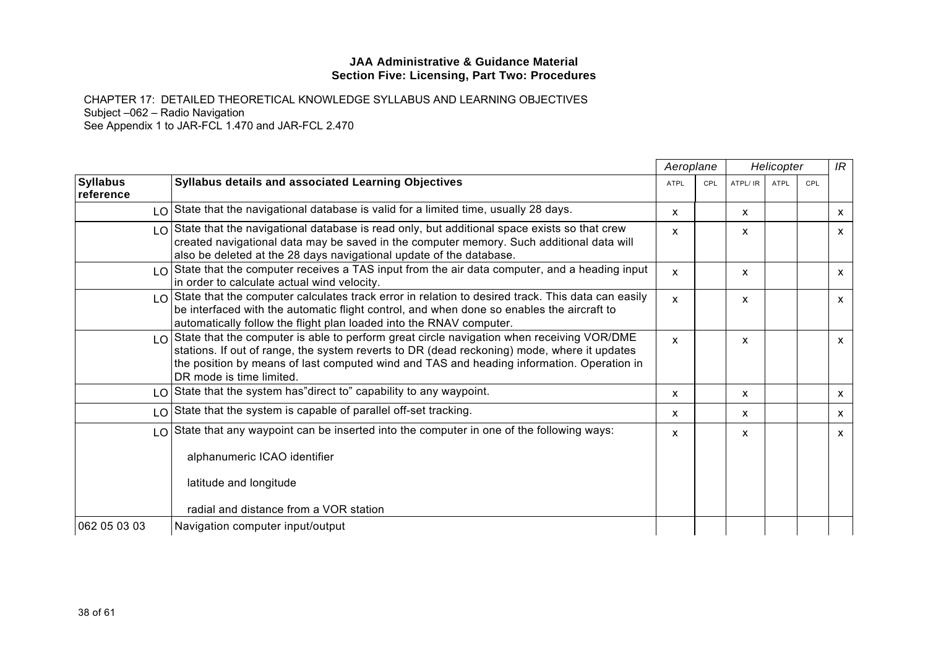|                              |                                                                                                                                                                                                                                                                                                                          | Aeroplane   |            |          | Helicopter  |     | IR |
|------------------------------|--------------------------------------------------------------------------------------------------------------------------------------------------------------------------------------------------------------------------------------------------------------------------------------------------------------------------|-------------|------------|----------|-------------|-----|----|
| <b>Syllabus</b><br>reference | <b>Syllabus details and associated Learning Objectives</b>                                                                                                                                                                                                                                                               | <b>ATPL</b> | <b>CPL</b> | ATPL/ IR | <b>ATPL</b> | CPL |    |
|                              | LO State that the navigational database is valid for a limited time, usually 28 days.                                                                                                                                                                                                                                    | X           |            | X        |             |     | X  |
|                              | $\log$ State that the navigational database is read only, but additional space exists so that crew<br>created navigational data may be saved in the computer memory. Such additional data will<br>also be deleted at the 28 days navigational update of the database.                                                    | X           |            | X        |             |     | x  |
|                              | $\log$ State that the computer receives a TAS input from the air data computer, and a heading input<br>in order to calculate actual wind velocity.                                                                                                                                                                       | X           |            | x        |             |     | x  |
|                              | $\lfloor 0 \rfloor$ State that the computer calculates track error in relation to desired track. This data can easily<br>be interfaced with the automatic flight control, and when done so enables the aircraft to<br>automatically follow the flight plan loaded into the RNAV computer.                                | X           |            | X        |             |     | X  |
|                              | $\log$ State that the computer is able to perform great circle navigation when receiving VOR/DME<br>stations. If out of range, the system reverts to DR (dead reckoning) mode, where it updates<br>the position by means of last computed wind and TAS and heading information. Operation in<br>DR mode is time limited. | X           |            | X        |             |     | X  |
|                              | LO State that the system has" direct to" capability to any waypoint.                                                                                                                                                                                                                                                     | x           |            | x        |             |     | х  |
|                              | LO State that the system is capable of parallel off-set tracking.                                                                                                                                                                                                                                                        | X           |            | x        |             |     | x  |
|                              | LO State that any waypoint can be inserted into the computer in one of the following ways:                                                                                                                                                                                                                               | X           |            | X        |             |     | x  |
|                              | alphanumeric ICAO identifier                                                                                                                                                                                                                                                                                             |             |            |          |             |     |    |
|                              | latitude and longitude                                                                                                                                                                                                                                                                                                   |             |            |          |             |     |    |
|                              | radial and distance from a VOR station                                                                                                                                                                                                                                                                                   |             |            |          |             |     |    |
| 062 05 03 03                 | Navigation computer input/output                                                                                                                                                                                                                                                                                         |             |            |          |             |     |    |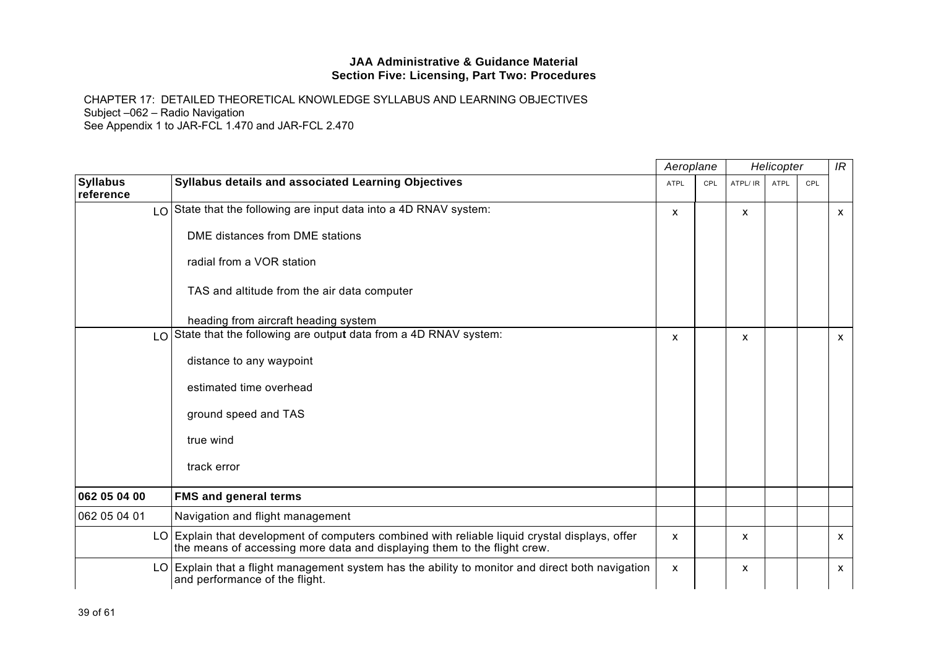|                              |                                                                                                                                                                         | Aeroplane |     |          | Helicopter  |     | IR |
|------------------------------|-------------------------------------------------------------------------------------------------------------------------------------------------------------------------|-----------|-----|----------|-------------|-----|----|
| <b>Syllabus</b><br>reference | Syllabus details and associated Learning Objectives                                                                                                                     | ATPL      | CPL | ATPL/ IR | <b>ATPL</b> | CPL |    |
|                              | LO State that the following are input data into a 4D RNAV system:                                                                                                       | X         |     | X        |             |     | X  |
|                              | DME distances from DME stations                                                                                                                                         |           |     |          |             |     |    |
|                              | radial from a VOR station                                                                                                                                               |           |     |          |             |     |    |
|                              | TAS and altitude from the air data computer                                                                                                                             |           |     |          |             |     |    |
|                              | heading from aircraft heading system                                                                                                                                    |           |     |          |             |     |    |
|                              | LO State that the following are output data from a 4D RNAV system:                                                                                                      | X         |     | X        |             |     | X  |
|                              | distance to any waypoint                                                                                                                                                |           |     |          |             |     |    |
|                              | estimated time overhead                                                                                                                                                 |           |     |          |             |     |    |
|                              | ground speed and TAS                                                                                                                                                    |           |     |          |             |     |    |
|                              | true wind                                                                                                                                                               |           |     |          |             |     |    |
|                              | track error                                                                                                                                                             |           |     |          |             |     |    |
| 062 05 04 00                 | <b>FMS and general terms</b>                                                                                                                                            |           |     |          |             |     |    |
| 062 05 04 01                 | Navigation and flight management                                                                                                                                        |           |     |          |             |     |    |
| LO.                          | Explain that development of computers combined with reliable liquid crystal displays, offer<br>the means of accessing more data and displaying them to the flight crew. | X         |     | X        |             |     | x  |
|                              | LO Explain that a flight management system has the ability to monitor and direct both navigation<br>and performance of the flight.                                      | X         |     | X        |             |     | X  |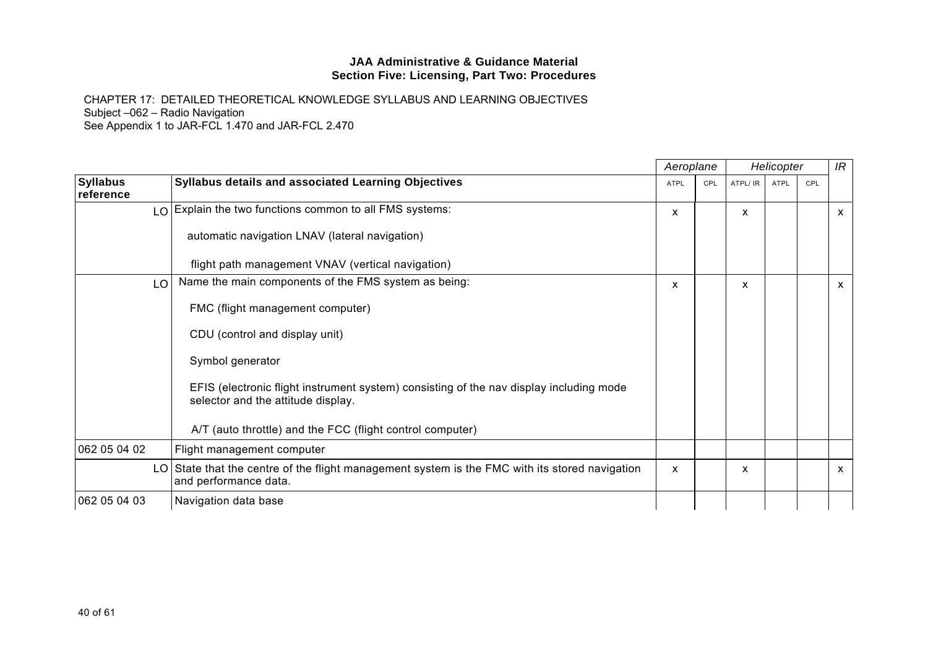|                              |                                                                                                                               |             | Aeroplane | Helicopter |             |     | IR           |
|------------------------------|-------------------------------------------------------------------------------------------------------------------------------|-------------|-----------|------------|-------------|-----|--------------|
| <b>Syllabus</b><br>reference | <b>Syllabus details and associated Learning Objectives</b>                                                                    | <b>ATPL</b> | CPL       | ATPL/ IR   | <b>ATPL</b> | CPL |              |
|                              | LO Explain the two functions common to all FMS systems:                                                                       | x           |           | x          |             |     | $\mathsf{x}$ |
|                              | automatic navigation LNAV (lateral navigation)                                                                                |             |           |            |             |     |              |
|                              | flight path management VNAV (vertical navigation)                                                                             |             |           |            |             |     |              |
| LO                           | Name the main components of the FMS system as being:                                                                          | X           |           | X          |             |     | $\mathsf{x}$ |
|                              | FMC (flight management computer)                                                                                              |             |           |            |             |     |              |
|                              | CDU (control and display unit)                                                                                                |             |           |            |             |     |              |
|                              | Symbol generator                                                                                                              |             |           |            |             |     |              |
|                              | EFIS (electronic flight instrument system) consisting of the nav display including mode<br>selector and the attitude display. |             |           |            |             |     |              |
|                              | A/T (auto throttle) and the FCC (flight control computer)                                                                     |             |           |            |             |     |              |
| 062 05 04 02                 | Flight management computer                                                                                                    |             |           |            |             |     |              |
|                              | LO State that the centre of the flight management system is the FMC with its stored navigation<br>and performance data.       | X           |           | X          |             |     | $\mathsf{x}$ |
| 062 05 04 03                 | Navigation data base                                                                                                          |             |           |            |             |     |              |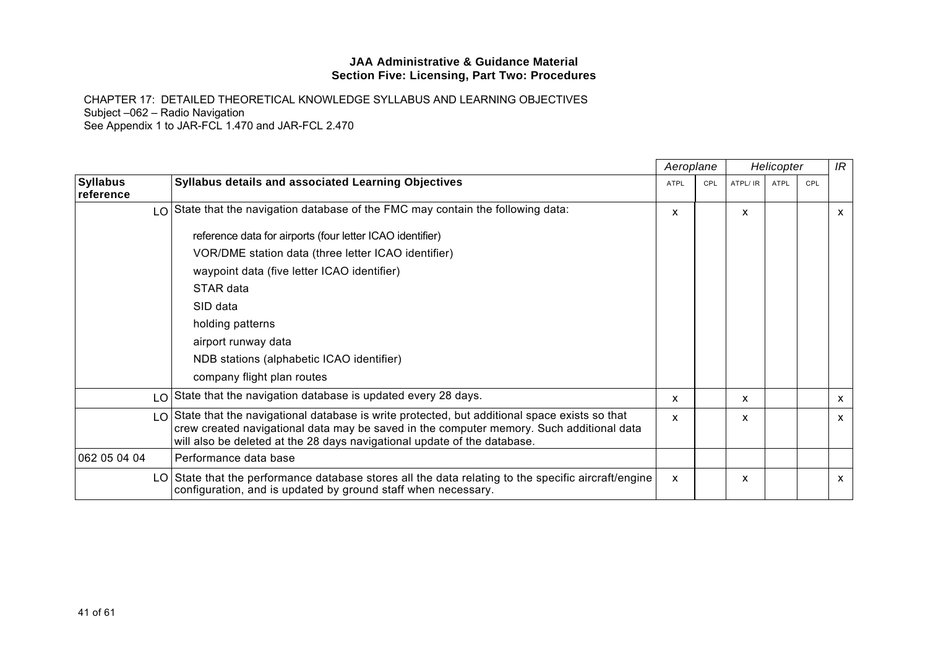|                              |                                                                                                                                                                                                                                                                         | Aeroplane                 |     |          | Helicopter  |     | IR |
|------------------------------|-------------------------------------------------------------------------------------------------------------------------------------------------------------------------------------------------------------------------------------------------------------------------|---------------------------|-----|----------|-------------|-----|----|
| <b>Syllabus</b><br>reference | <b>Syllabus details and associated Learning Objectives</b>                                                                                                                                                                                                              | <b>ATPL</b>               | CPL | ATPL/ IR | <b>ATPL</b> | CPL |    |
|                              | LO State that the navigation database of the FMC may contain the following data:                                                                                                                                                                                        | x                         |     | x        |             |     | x  |
|                              | reference data for airports (four letter ICAO identifier)                                                                                                                                                                                                               |                           |     |          |             |     |    |
|                              | VOR/DME station data (three letter ICAO identifier)                                                                                                                                                                                                                     |                           |     |          |             |     |    |
|                              | waypoint data (five letter ICAO identifier)                                                                                                                                                                                                                             |                           |     |          |             |     |    |
|                              | STAR data                                                                                                                                                                                                                                                               |                           |     |          |             |     |    |
|                              | SID data                                                                                                                                                                                                                                                                |                           |     |          |             |     |    |
|                              | holding patterns                                                                                                                                                                                                                                                        |                           |     |          |             |     |    |
|                              | airport runway data                                                                                                                                                                                                                                                     |                           |     |          |             |     |    |
|                              | NDB stations (alphabetic ICAO identifier)                                                                                                                                                                                                                               |                           |     |          |             |     |    |
|                              | company flight plan routes                                                                                                                                                                                                                                              |                           |     |          |             |     |    |
| LO                           | State that the navigation database is updated every 28 days.                                                                                                                                                                                                            | x                         |     | x        |             |     | x  |
|                              | LO State that the navigational database is write protected, but additional space exists so that<br>crew created navigational data may be saved in the computer memory. Such additional data<br>will also be deleted at the 28 days navigational update of the database. | $\boldsymbol{\mathsf{x}}$ |     | X        |             |     | x  |
| 062 05 04 04                 | Performance data base                                                                                                                                                                                                                                                   |                           |     |          |             |     |    |
|                              | LO State that the performance database stores all the data relating to the specific aircraft/engine<br>configuration, and is updated by ground staff when necessary.                                                                                                    | $\boldsymbol{\mathsf{x}}$ |     | X        |             |     | X  |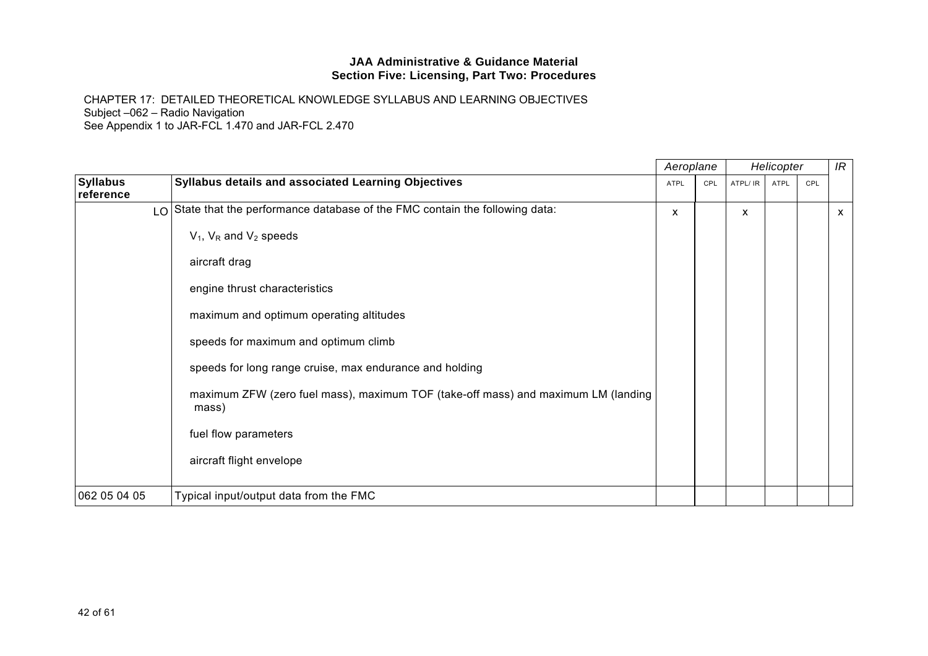|                              |                                                                                            | Aeroplane   |     |          | Helicopter |     | IR |
|------------------------------|--------------------------------------------------------------------------------------------|-------------|-----|----------|------------|-----|----|
| <b>Syllabus</b><br>reference | Syllabus details and associated Learning Objectives                                        | <b>ATPL</b> | CPL | ATPL/ IR | ATPL       | CPL |    |
|                              | LO State that the performance database of the FMC contain the following data:              | X           |     | X        |            |     | X. |
|                              | $V_1$ , $V_R$ and $V_2$ speeds                                                             |             |     |          |            |     |    |
|                              | aircraft drag                                                                              |             |     |          |            |     |    |
|                              | engine thrust characteristics                                                              |             |     |          |            |     |    |
|                              | maximum and optimum operating altitudes                                                    |             |     |          |            |     |    |
|                              | speeds for maximum and optimum climb                                                       |             |     |          |            |     |    |
|                              | speeds for long range cruise, max endurance and holding                                    |             |     |          |            |     |    |
|                              | maximum ZFW (zero fuel mass), maximum TOF (take-off mass) and maximum LM (landing<br>mass) |             |     |          |            |     |    |
|                              | fuel flow parameters                                                                       |             |     |          |            |     |    |
|                              | aircraft flight envelope                                                                   |             |     |          |            |     |    |
| 062 05 04 05                 | Typical input/output data from the FMC                                                     |             |     |          |            |     |    |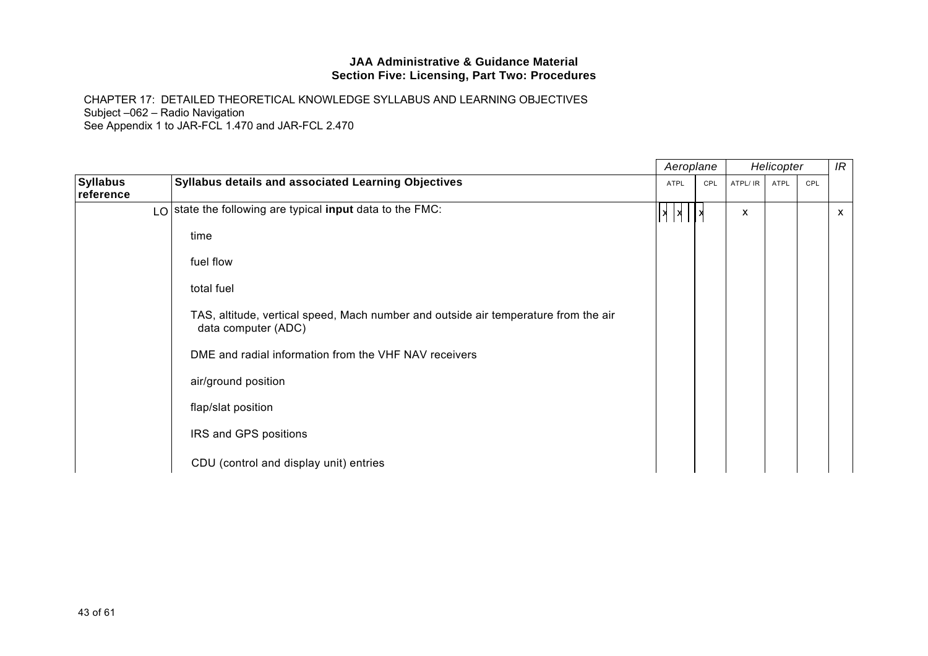|                              |                                                                                                            | Aeroplane               |     |          | Helicopter |     | IR           |
|------------------------------|------------------------------------------------------------------------------------------------------------|-------------------------|-----|----------|------------|-----|--------------|
| <b>Syllabus</b><br>reference | <b>Syllabus details and associated Learning Objectives</b>                                                 | ATPL                    | CPL | ATPL/ IR | ATPL       | CPL |              |
|                              | LO state the following are typical input data to the FMC:                                                  | $\vert x \vert x \vert$ |     | X        |            |     | $\mathsf{x}$ |
|                              | time                                                                                                       |                         |     |          |            |     |              |
|                              | fuel flow                                                                                                  |                         |     |          |            |     |              |
|                              | total fuel                                                                                                 |                         |     |          |            |     |              |
|                              | TAS, altitude, vertical speed, Mach number and outside air temperature from the air<br>data computer (ADC) |                         |     |          |            |     |              |
|                              | DME and radial information from the VHF NAV receivers                                                      |                         |     |          |            |     |              |
|                              | air/ground position                                                                                        |                         |     |          |            |     |              |
|                              | flap/slat position                                                                                         |                         |     |          |            |     |              |
|                              | IRS and GPS positions                                                                                      |                         |     |          |            |     |              |
|                              | CDU (control and display unit) entries                                                                     |                         |     |          |            |     |              |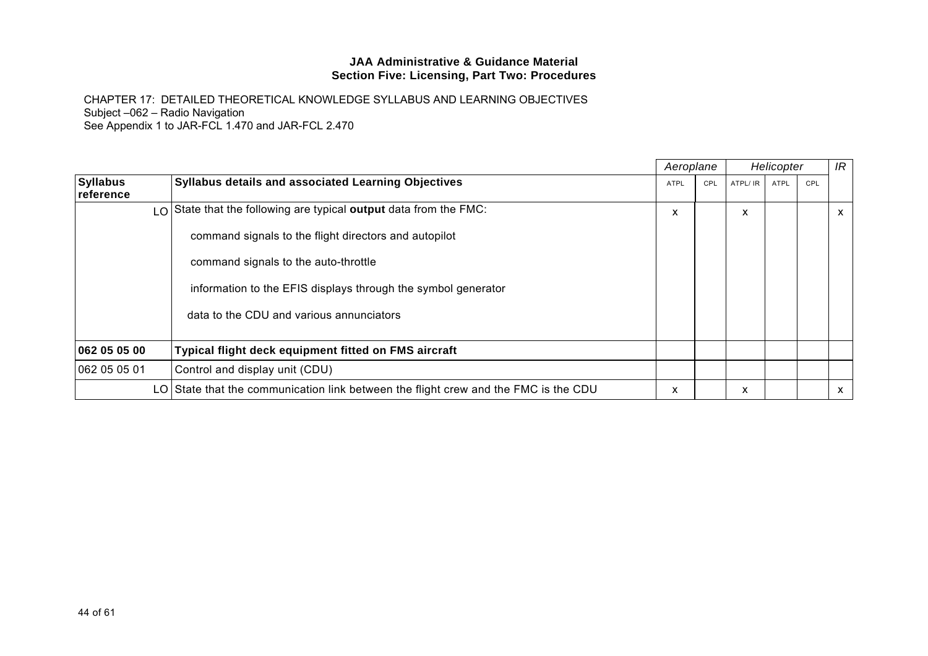|                              |                                                                                     | Aeroplane   |     |          | Helicopter  |     | IR           |
|------------------------------|-------------------------------------------------------------------------------------|-------------|-----|----------|-------------|-----|--------------|
| <b>Syllabus</b><br>reference | <b>Syllabus details and associated Learning Objectives</b>                          | <b>ATPL</b> | CPL | ATPL/ IR | <b>ATPL</b> | CPL |              |
|                              | $\lfloor 0 \rfloor$ State that the following are typical output data from the FMC:  | X           |     | X        |             |     | X            |
|                              | command signals to the flight directors and autopilot                               |             |     |          |             |     |              |
|                              | command signals to the auto-throttle                                                |             |     |          |             |     |              |
|                              | information to the EFIS displays through the symbol generator                       |             |     |          |             |     |              |
|                              | data to the CDU and various annunciators                                            |             |     |          |             |     |              |
|                              |                                                                                     |             |     |          |             |     |              |
| 062 05 05 00                 | Typical flight deck equipment fitted on FMS aircraft                                |             |     |          |             |     |              |
| 062 05 05 01                 | Control and display unit (CDU)                                                      |             |     |          |             |     |              |
|                              | LO State that the communication link between the flight crew and the FMC is the CDU | X           |     | X        |             |     | $\mathsf{x}$ |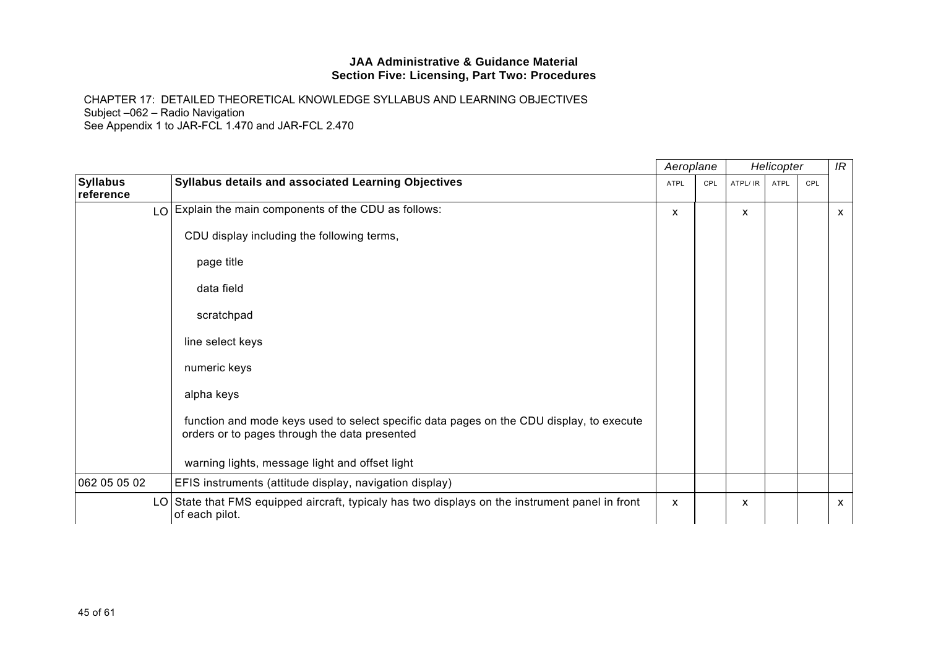|                              |                                                                                                                                           |              | Aeroplane<br>Helicopter |          |      | IR  |              |
|------------------------------|-------------------------------------------------------------------------------------------------------------------------------------------|--------------|-------------------------|----------|------|-----|--------------|
| <b>Syllabus</b><br>reference | <b>Syllabus details and associated Learning Objectives</b>                                                                                | <b>ATPL</b>  | CPL                     | ATPL/ IR | ATPL | CPL |              |
|                              | LO Explain the main components of the CDU as follows:                                                                                     | X            |                         | X        |      |     | $\mathsf{x}$ |
|                              | CDU display including the following terms,                                                                                                |              |                         |          |      |     |              |
|                              | page title                                                                                                                                |              |                         |          |      |     |              |
|                              | data field                                                                                                                                |              |                         |          |      |     |              |
|                              | scratchpad                                                                                                                                |              |                         |          |      |     |              |
|                              | line select keys                                                                                                                          |              |                         |          |      |     |              |
|                              | numeric keys                                                                                                                              |              |                         |          |      |     |              |
|                              | alpha keys                                                                                                                                |              |                         |          |      |     |              |
|                              | function and mode keys used to select specific data pages on the CDU display, to execute<br>orders or to pages through the data presented |              |                         |          |      |     |              |
|                              | warning lights, message light and offset light                                                                                            |              |                         |          |      |     |              |
| 062 05 05 02                 | EFIS instruments (attitude display, navigation display)                                                                                   |              |                         |          |      |     |              |
|                              | LO State that FMS equipped aircraft, typicaly has two displays on the instrument panel in front<br>of each pilot.                         | $\mathsf{x}$ |                         | X.       |      |     | $\mathsf{x}$ |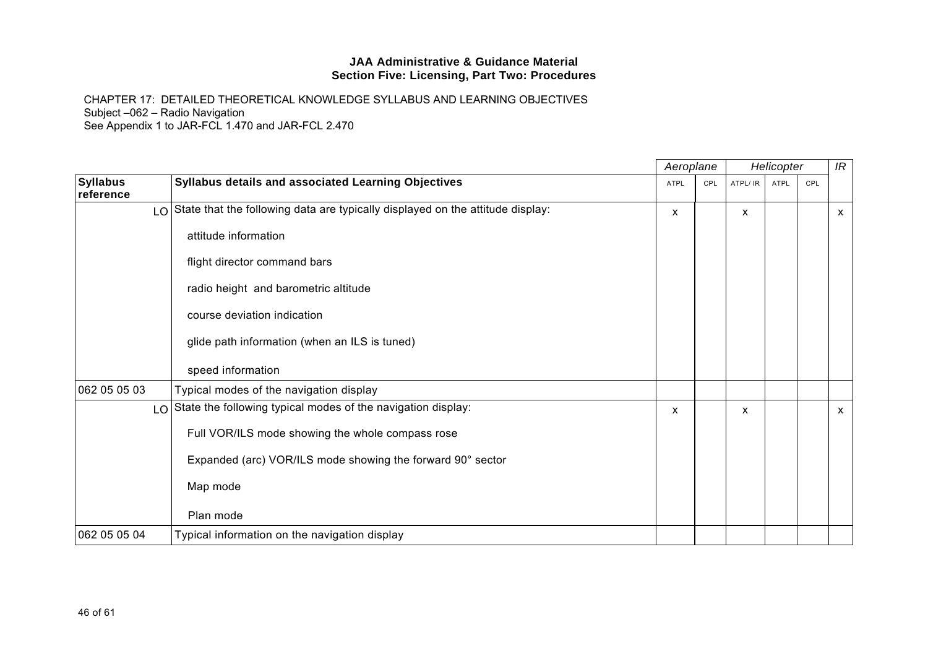|                              |                                                                                   |             | Aeroplane |              | Helicopter |     |              |
|------------------------------|-----------------------------------------------------------------------------------|-------------|-----------|--------------|------------|-----|--------------|
| <b>Syllabus</b><br>reference | Syllabus details and associated Learning Objectives                               | <b>ATPL</b> | CPL       | ATPL/ IR     | ATPL       | CPL |              |
|                              | LO State that the following data are typically displayed on the attitude display: | x           |           | X            |            |     | $\mathsf{x}$ |
|                              | attitude information                                                              |             |           |              |            |     |              |
|                              | flight director command bars                                                      |             |           |              |            |     |              |
|                              | radio height and barometric altitude                                              |             |           |              |            |     |              |
|                              | course deviation indication                                                       |             |           |              |            |     |              |
|                              | glide path information (when an ILS is tuned)                                     |             |           |              |            |     |              |
|                              | speed information                                                                 |             |           |              |            |     |              |
| 062 05 05 03                 | Typical modes of the navigation display                                           |             |           |              |            |     |              |
|                              | LO State the following typical modes of the navigation display:                   | X           |           | $\mathsf{x}$ |            |     | $\mathsf{x}$ |
|                              | Full VOR/ILS mode showing the whole compass rose                                  |             |           |              |            |     |              |
|                              | Expanded (arc) VOR/ILS mode showing the forward 90° sector                        |             |           |              |            |     |              |
|                              | Map mode                                                                          |             |           |              |            |     |              |
|                              | Plan mode                                                                         |             |           |              |            |     |              |
| 062 05 05 04                 | Typical information on the navigation display                                     |             |           |              |            |     |              |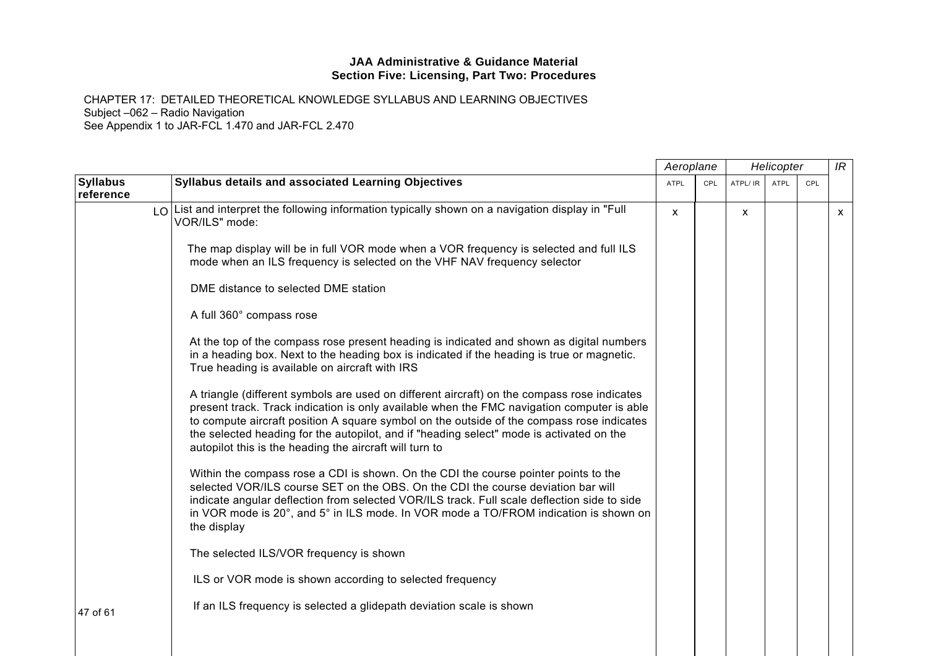|                              |                                                                                                                                                                                                                                                                                                                                                                                                                                               | Aeroplane   |            | Helicopter |             |     | IR |
|------------------------------|-----------------------------------------------------------------------------------------------------------------------------------------------------------------------------------------------------------------------------------------------------------------------------------------------------------------------------------------------------------------------------------------------------------------------------------------------|-------------|------------|------------|-------------|-----|----|
| <b>Syllabus</b><br>reference | Syllabus details and associated Learning Objectives                                                                                                                                                                                                                                                                                                                                                                                           | <b>ATPL</b> | <b>CPL</b> | ATPL/ IR   | <b>ATPL</b> | CPL |    |
|                              | $\lfloor 0 \rfloor$ List and interpret the following information typically shown on a navigation display in "Full<br>VOR/ILS" mode:                                                                                                                                                                                                                                                                                                           | <b>X</b>    |            | X          |             |     | X  |
|                              | The map display will be in full VOR mode when a VOR frequency is selected and full ILS<br>mode when an ILS frequency is selected on the VHF NAV frequency selector                                                                                                                                                                                                                                                                            |             |            |            |             |     |    |
|                              | DME distance to selected DME station                                                                                                                                                                                                                                                                                                                                                                                                          |             |            |            |             |     |    |
|                              | A full 360° compass rose                                                                                                                                                                                                                                                                                                                                                                                                                      |             |            |            |             |     |    |
|                              | At the top of the compass rose present heading is indicated and shown as digital numbers<br>in a heading box. Next to the heading box is indicated if the heading is true or magnetic.<br>True heading is available on aircraft with IRS                                                                                                                                                                                                      |             |            |            |             |     |    |
|                              | A triangle (different symbols are used on different aircraft) on the compass rose indicates<br>present track. Track indication is only available when the FMC navigation computer is able<br>to compute aircraft position A square symbol on the outside of the compass rose indicates<br>the selected heading for the autopilot, and if "heading select" mode is activated on the<br>autopilot this is the heading the aircraft will turn to |             |            |            |             |     |    |
|                              | Within the compass rose a CDI is shown. On the CDI the course pointer points to the<br>selected VOR/ILS course SET on the OBS. On the CDI the course deviation bar will<br>indicate angular deflection from selected VOR/ILS track. Full scale deflection side to side<br>in VOR mode is 20°, and 5° in ILS mode. In VOR mode a TO/FROM indication is shown on<br>the display                                                                 |             |            |            |             |     |    |
|                              | The selected ILS/VOR frequency is shown                                                                                                                                                                                                                                                                                                                                                                                                       |             |            |            |             |     |    |
|                              | ILS or VOR mode is shown according to selected frequency                                                                                                                                                                                                                                                                                                                                                                                      |             |            |            |             |     |    |
| 47 of 61                     | If an ILS frequency is selected a glidepath deviation scale is shown                                                                                                                                                                                                                                                                                                                                                                          |             |            |            |             |     |    |
|                              |                                                                                                                                                                                                                                                                                                                                                                                                                                               |             |            |            |             |     |    |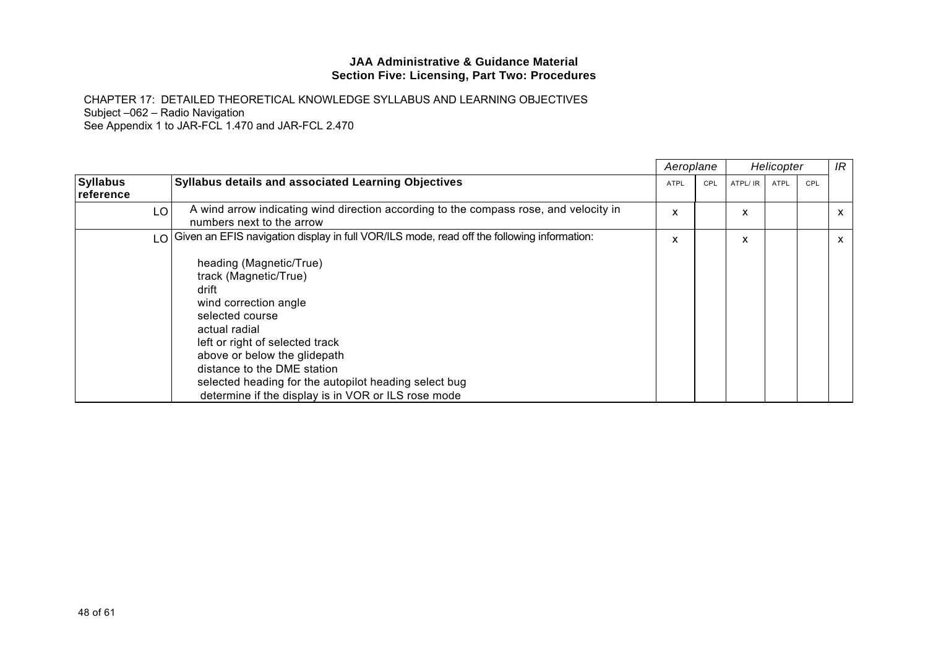|                              |                                                                                                                                                                                                                                                                                                                                          | Aeroplane   |     | Helicopter |      |     | IR |
|------------------------------|------------------------------------------------------------------------------------------------------------------------------------------------------------------------------------------------------------------------------------------------------------------------------------------------------------------------------------------|-------------|-----|------------|------|-----|----|
| <b>Syllabus</b><br>reference | <b>Syllabus details and associated Learning Objectives</b>                                                                                                                                                                                                                                                                               | <b>ATPL</b> | CPL | ATPL/ IR   | ATPL | CPL |    |
| LO                           | A wind arrow indicating wind direction according to the compass rose, and velocity in<br>numbers next to the arrow                                                                                                                                                                                                                       | X           |     | X          |      |     | X  |
| $\overline{0}$               | Given an EFIS navigation display in full VOR/ILS mode, read off the following information:                                                                                                                                                                                                                                               | X           |     | X          |      |     | X  |
|                              | heading (Magnetic/True)<br>track (Magnetic/True)<br>drift<br>wind correction angle<br>selected course<br>actual radial<br>left or right of selected track<br>above or below the glidepath<br>distance to the DME station<br>selected heading for the autopilot heading select bug<br>determine if the display is in VOR or ILS rose mode |             |     |            |      |     |    |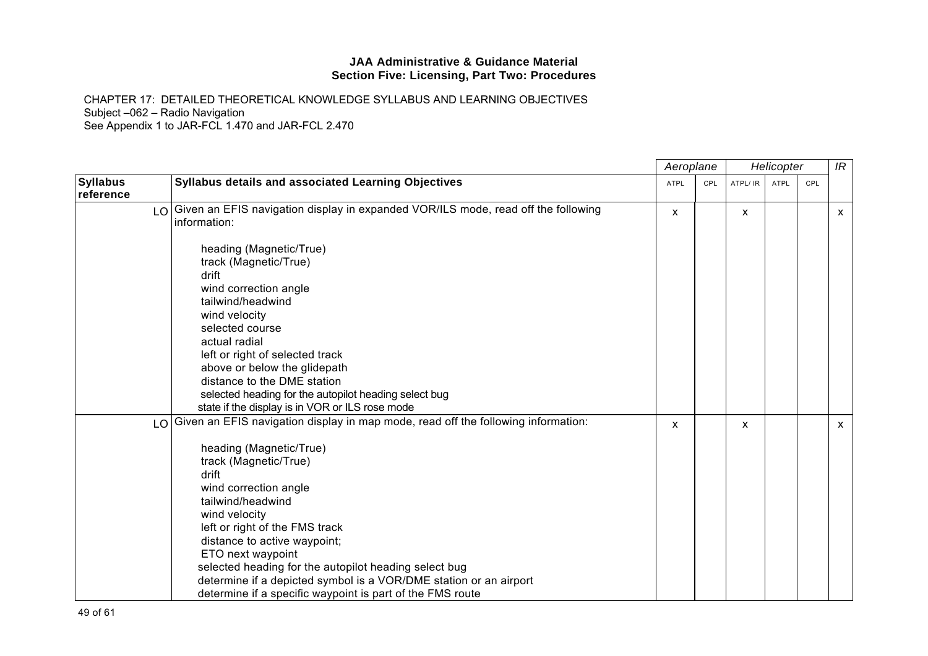|                              |                                                                                                                                                                                                                                                                                                                                                                                                                                                                                                 | Aeroplane   |            | Helicopter |             |     | IR           |
|------------------------------|-------------------------------------------------------------------------------------------------------------------------------------------------------------------------------------------------------------------------------------------------------------------------------------------------------------------------------------------------------------------------------------------------------------------------------------------------------------------------------------------------|-------------|------------|------------|-------------|-----|--------------|
| <b>Syllabus</b><br>reference | Syllabus details and associated Learning Objectives                                                                                                                                                                                                                                                                                                                                                                                                                                             | <b>ATPL</b> | <b>CPL</b> | ATPL/ IR   | <b>ATPL</b> | CPL |              |
| LO                           | Given an EFIS navigation display in expanded VOR/ILS mode, read off the following<br>information:                                                                                                                                                                                                                                                                                                                                                                                               | X           |            | X          |             |     | $\mathsf{x}$ |
|                              | heading (Magnetic/True)<br>track (Magnetic/True)<br>drift<br>wind correction angle<br>tailwind/headwind<br>wind velocity<br>selected course<br>actual radial<br>left or right of selected track<br>above or below the glidepath<br>distance to the DME station<br>selected heading for the autopilot heading select bug<br>state if the display is in VOR or ILS rose mode                                                                                                                      |             |            |            |             |     |              |
| LO                           | Given an EFIS navigation display in map mode, read off the following information:<br>heading (Magnetic/True)<br>track (Magnetic/True)<br>drift<br>wind correction angle<br>tailwind/headwind<br>wind velocity<br>left or right of the FMS track<br>distance to active waypoint;<br>ETO next waypoint<br>selected heading for the autopilot heading select bug<br>determine if a depicted symbol is a VOR/DME station or an airport<br>determine if a specific waypoint is part of the FMS route | X           |            | X          |             |     | $\mathsf{x}$ |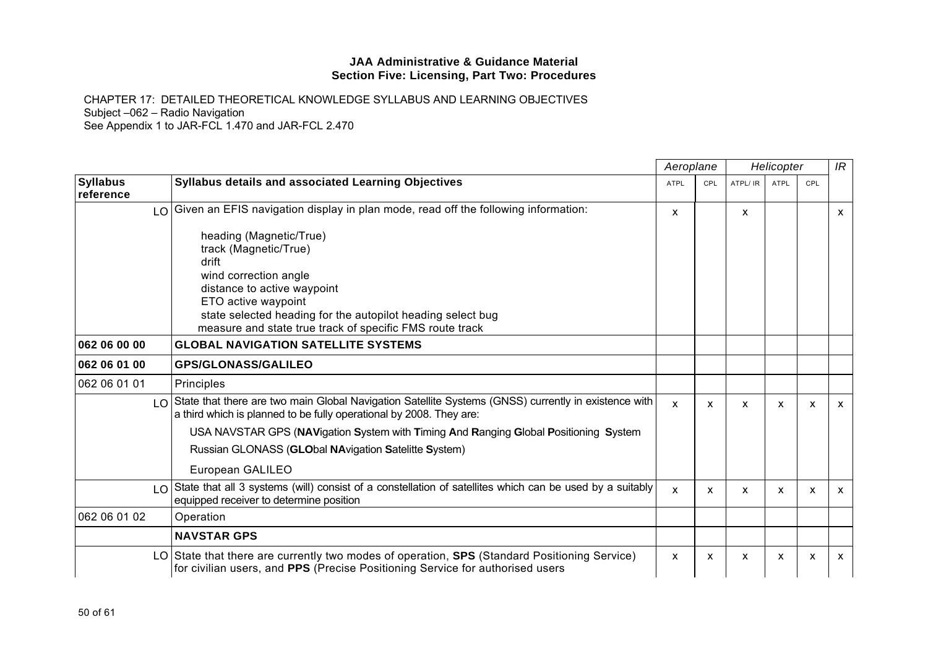|                              |                                                                                                                                                                                                                                                                     | Aeroplane    |              | Helicopter |      |     | IR           |
|------------------------------|---------------------------------------------------------------------------------------------------------------------------------------------------------------------------------------------------------------------------------------------------------------------|--------------|--------------|------------|------|-----|--------------|
| <b>Syllabus</b><br>reference | Syllabus details and associated Learning Objectives                                                                                                                                                                                                                 | ATPL         | CPL          | ATPL/ IR   | ATPL | CPL |              |
| LO                           | Given an EFIS navigation display in plan mode, read off the following information:                                                                                                                                                                                  | X            |              | x          |      |     | $\mathsf{x}$ |
|                              | heading (Magnetic/True)<br>track (Magnetic/True)<br>drift<br>wind correction angle<br>distance to active waypoint<br>ETO active waypoint<br>state selected heading for the autopilot heading select bug<br>measure and state true track of specific FMS route track |              |              |            |      |     |              |
| 062 06 00 00                 | <b>GLOBAL NAVIGATION SATELLITE SYSTEMS</b>                                                                                                                                                                                                                          |              |              |            |      |     |              |
| 062 06 01 00                 | <b>GPS/GLONASS/GALILEO</b>                                                                                                                                                                                                                                          |              |              |            |      |     |              |
| 062 06 01 01                 | Principles                                                                                                                                                                                                                                                          |              |              |            |      |     |              |
|                              | LO State that there are two main Global Navigation Satellite Systems (GNSS) currently in existence with<br>a third which is planned to be fully operational by 2008. They are:                                                                                      | $\mathbf{x}$ | $\mathsf{x}$ | X          | X    | X   | $\mathsf{x}$ |
|                              | USA NAVSTAR GPS (NAVigation System with Timing And Ranging Global Positioning System<br>Russian GLONASS (GLObal NAvigation Satelitte System)<br>European GALILEO                                                                                                    |              |              |            |      |     |              |
| $\overline{0}$               | State that all 3 systems (will) consist of a constellation of satellites which can be used by a suitably<br>equipped receiver to determine position                                                                                                                 | X            | X            | X          | X    | X   | $\mathsf{x}$ |
| 062 06 01 02                 | Operation                                                                                                                                                                                                                                                           |              |              |            |      |     |              |
|                              | <b>NAVSTAR GPS</b>                                                                                                                                                                                                                                                  |              |              |            |      |     |              |
| LO I                         | State that there are currently two modes of operation, SPS (Standard Positioning Service)<br>for civilian users, and PPS (Precise Positioning Service for authorised users                                                                                          | X            | X            | X          | X    | x   | $\mathsf{x}$ |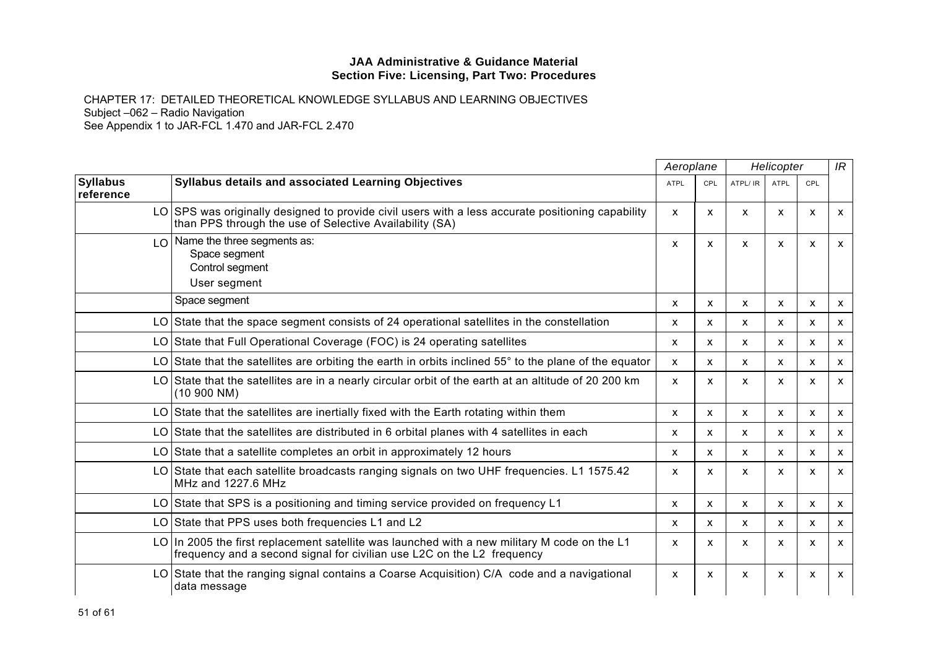|                               |                                                                                                                                                                        | Aeroplane                 |              | Helicopter   |              |                           | IR                        |
|-------------------------------|------------------------------------------------------------------------------------------------------------------------------------------------------------------------|---------------------------|--------------|--------------|--------------|---------------------------|---------------------------|
| <b>Syllabus</b><br>reference  | <b>Syllabus details and associated Learning Objectives</b>                                                                                                             | <b>ATPL</b>               | CPL          | ATPL/ IR     | <b>ATPL</b>  | CPL                       |                           |
|                               | LO SPS was originally designed to provide civil users with a less accurate positioning capability<br>than PPS through the use of Selective Availability (SA)           | $\boldsymbol{\mathsf{x}}$ | X            | $\mathsf{x}$ | X            | $\boldsymbol{\mathsf{x}}$ | $\mathsf{x}$              |
| $\overline{1}$ $\overline{0}$ | Name the three segments as:<br>Space segment<br>Control segment<br>User segment                                                                                        | X                         | x            | X            | X            | X                         | $\boldsymbol{\mathsf{x}}$ |
|                               | Space segment                                                                                                                                                          | X                         | X            | $\mathsf{x}$ | X            | X                         | $\boldsymbol{\mathsf{x}}$ |
|                               | LO State that the space segment consists of 24 operational satellites in the constellation                                                                             | X                         | X            | $\mathsf{x}$ | $\mathsf{x}$ | X                         | $\mathsf{x}$              |
|                               | LO State that Full Operational Coverage (FOC) is 24 operating satellites                                                                                               | X                         | X            | $\mathsf{x}$ | X            | X                         | $\boldsymbol{\mathsf{x}}$ |
|                               | LO State that the satellites are orbiting the earth in orbits inclined $55^\circ$ to the plane of the equator                                                          | X                         | X            | X            | X            | X                         | $\boldsymbol{\mathsf{x}}$ |
|                               | LO State that the satellites are in a nearly circular orbit of the earth at an altitude of 20 200 km<br>(10 900 N)                                                     | X                         | X            | $\mathsf{x}$ | X            | X                         | $\mathsf{x}$              |
|                               | LO State that the satellites are inertially fixed with the Earth rotating within them                                                                                  | X                         | X            | $\mathsf{x}$ | X            | X                         | $\mathsf{x}$              |
|                               | LO State that the satellites are distributed in 6 orbital planes with 4 satellites in each                                                                             | X                         | X            | $\mathsf{x}$ | $\mathsf{x}$ | $\boldsymbol{\mathsf{x}}$ | $\mathsf{x}$              |
|                               | LO State that a satellite completes an orbit in approximately 12 hours                                                                                                 | X                         | x            | X            | X            | х                         | X                         |
|                               | LO State that each satellite broadcasts ranging signals on two UHF frequencies. L1 1575.42<br>MHz and 1227.6 MHz                                                       | X                         | X            | $\mathsf{x}$ | X            | X                         | $\mathsf{x}$              |
|                               | LO State that SPS is a positioning and timing service provided on frequency L1                                                                                         | X                         | $\mathsf{x}$ | $\mathsf{x}$ | X            | X                         | $\mathsf{x}$              |
|                               | LO State that PPS uses both frequencies L1 and L2                                                                                                                      | X                         | x            | $\mathsf{x}$ | x            | X                         | X                         |
|                               | LO In 2005 the first replacement satellite was launched with a new military M code on the L1<br>frequency and a second signal for civilian use L2C on the L2 frequency | X                         | x            | $\mathsf{x}$ | X            | X                         | $\mathsf{x}$              |
|                               | LO State that the ranging signal contains a Coarse Acquisition) C/A code and a navigational<br>data message                                                            | X                         | X            | $\mathsf{x}$ | X            | X                         | $\boldsymbol{\mathsf{x}}$ |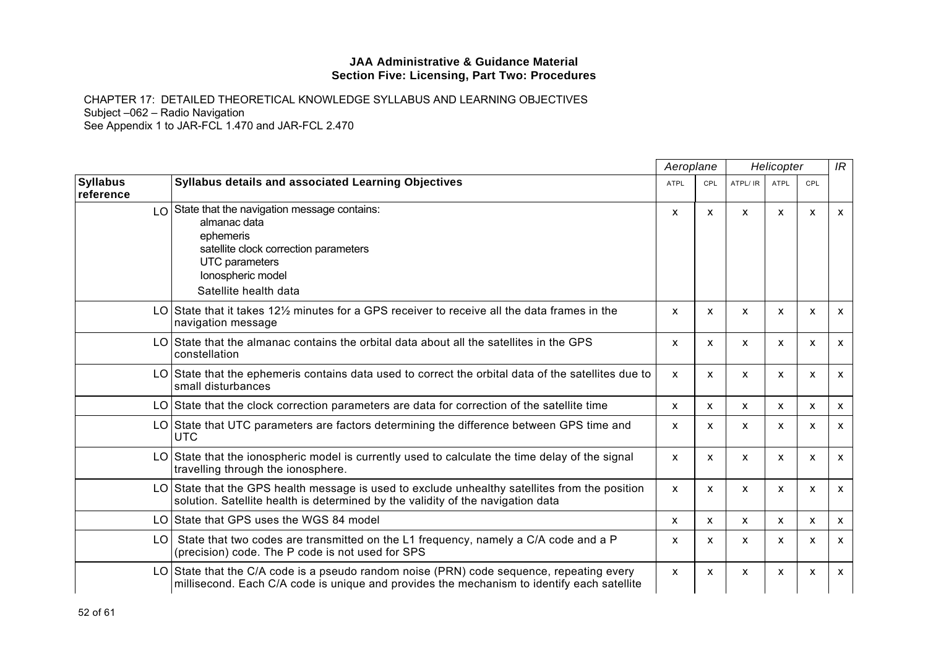|                              |                                                                                                                                                                                          | Aeroplane    |                           | Helicopter   |             |              | IR |
|------------------------------|------------------------------------------------------------------------------------------------------------------------------------------------------------------------------------------|--------------|---------------------------|--------------|-------------|--------------|----|
| <b>Syllabus</b><br>reference | <b>Syllabus details and associated Learning Objectives</b>                                                                                                                               | <b>ATPL</b>  | CPL                       | ATPL/ IR     | <b>ATPL</b> | CPL          |    |
|                              | $\log$ State that the navigation message contains:<br>almanac data<br>ephemeris<br>satellite clock correction parameters<br>UTC parameters<br>lonospheric model<br>Satellite health data | X            | X                         | $\mathsf{x}$ | X           | X            | X  |
|                              | LO State that it takes 12 $\%$ minutes for a GPS receiver to receive all the data frames in the<br>navigation message                                                                    | X            | X                         | X            | X           | X            | X  |
|                              | LO State that the almanac contains the orbital data about all the satellites in the GPS<br>constellation                                                                                 | X            | X                         | X            | X           | X            | X  |
|                              | LO State that the ephemeris contains data used to correct the orbital data of the satellites due to<br>small disturbances                                                                | $\mathsf{x}$ | X                         | X            | X           | X            | X  |
|                              | LO State that the clock correction parameters are data for correction of the satellite time                                                                                              | X            | X                         | X            | X           | X            | X  |
|                              | LO State that UTC parameters are factors determining the difference between GPS time and<br><b>UTC</b>                                                                                   | X            | $\boldsymbol{\mathsf{x}}$ | X            | X           | X            | X  |
|                              | LO State that the ionospheric model is currently used to calculate the time delay of the signal<br>travelling through the ionosphere.                                                    | X            | X                         | X            | X           | X            | X  |
|                              | LO State that the GPS health message is used to exclude unhealthy satellites from the position<br>solution. Satellite health is determined by the validity of the navigation data        | X            | X                         | X            | X           | X            | X  |
|                              | LO State that GPS uses the WGS 84 model                                                                                                                                                  | X            | X                         | X            | X           | X            | x  |
| LO.                          | State that two codes are transmitted on the L1 frequency, namely a C/A code and a P<br>(precision) code. The P code is not used for SPS                                                  | X            | $\mathsf{x}$              | X            | X           | $\mathsf{x}$ | X  |
|                              | LO State that the C/A code is a pseudo random noise (PRN) code sequence, repeating every<br>millisecond. Each C/A code is unique and provides the mechanism to identify each satellite   | X            | $\mathsf{x}$              | X            | X           | X            | X  |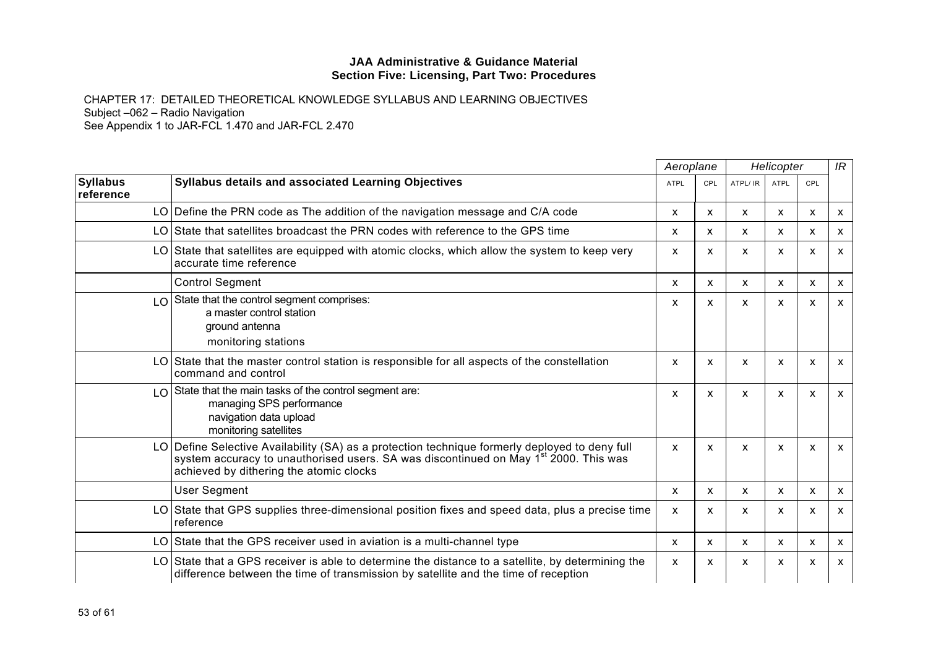|                              |                                                                                                                                                                                                                                               |             | Aeroplane    | Helicopter |                           |                           | IR           |
|------------------------------|-----------------------------------------------------------------------------------------------------------------------------------------------------------------------------------------------------------------------------------------------|-------------|--------------|------------|---------------------------|---------------------------|--------------|
| <b>Syllabus</b><br>reference | <b>Syllabus details and associated Learning Objectives</b>                                                                                                                                                                                    | <b>ATPL</b> | <b>CPL</b>   | ATPL/ IR   | <b>ATPL</b>               | <b>CPL</b>                |              |
|                              | LO Define the PRN code as The addition of the navigation message and C/A code                                                                                                                                                                 | X           | X            | X          | $\mathsf{x}$              | $\mathsf{x}$              | $\mathsf{x}$ |
|                              | LO State that satellites broadcast the PRN codes with reference to the GPS time                                                                                                                                                               | X           | X            | X          | X                         | X                         | $\mathsf{x}$ |
|                              | LO State that satellites are equipped with atomic clocks, which allow the system to keep very<br>accurate time reference                                                                                                                      | X           | X            | x          | x                         | X                         | X            |
|                              | <b>Control Segment</b>                                                                                                                                                                                                                        | X           | $\mathsf{x}$ | X          | $\boldsymbol{\mathsf{x}}$ | $\mathsf{x}$              | $\mathsf{x}$ |
|                              | LO State that the control segment comprises:<br>a master control station<br>ground antenna<br>monitoring stations                                                                                                                             | X           | X            | x          | $\mathsf{x}$              | X                         | $\mathsf{x}$ |
|                              | LO State that the master control station is responsible for all aspects of the constellation<br>command and control                                                                                                                           | X           | X            | X          | $\mathsf{x}$              | $\boldsymbol{\mathsf{x}}$ | $\mathsf{x}$ |
|                              | LO State that the main tasks of the control segment are:<br>managing SPS performance<br>navigation data upload<br>monitoring satellites                                                                                                       | X           | X            | X          | $\mathsf{x}$              | $\mathsf{x}$              | $\mathsf{x}$ |
|                              | LO Define Selective Availability (SA) as a protection technique formerly deployed to deny full<br>system accuracy to unauthorised users. SA was discontinued on May 1 <sup>st</sup> 2000. This was<br>achieved by dithering the atomic clocks | X           | X            | X          | $\boldsymbol{\mathsf{x}}$ | $\boldsymbol{\mathsf{x}}$ | $\mathsf{x}$ |
|                              | <b>User Segment</b>                                                                                                                                                                                                                           | X           | X            | X          | X                         | X                         | $\mathsf{x}$ |
|                              | LO State that GPS supplies three-dimensional position fixes and speed data, plus a precise time<br>reference                                                                                                                                  | X           | X            | X          | $\boldsymbol{\mathsf{x}}$ | X                         | X            |
|                              | LO State that the GPS receiver used in aviation is a multi-channel type                                                                                                                                                                       | X           | X            | X          | $\mathsf{x}$              | X                         | $\mathsf{x}$ |
|                              | LO State that a GPS receiver is able to determine the distance to a satellite, by determining the<br>difference between the time of transmission by satellite and the time of reception                                                       | X           | X            | X          | X                         | X                         | $\mathsf{x}$ |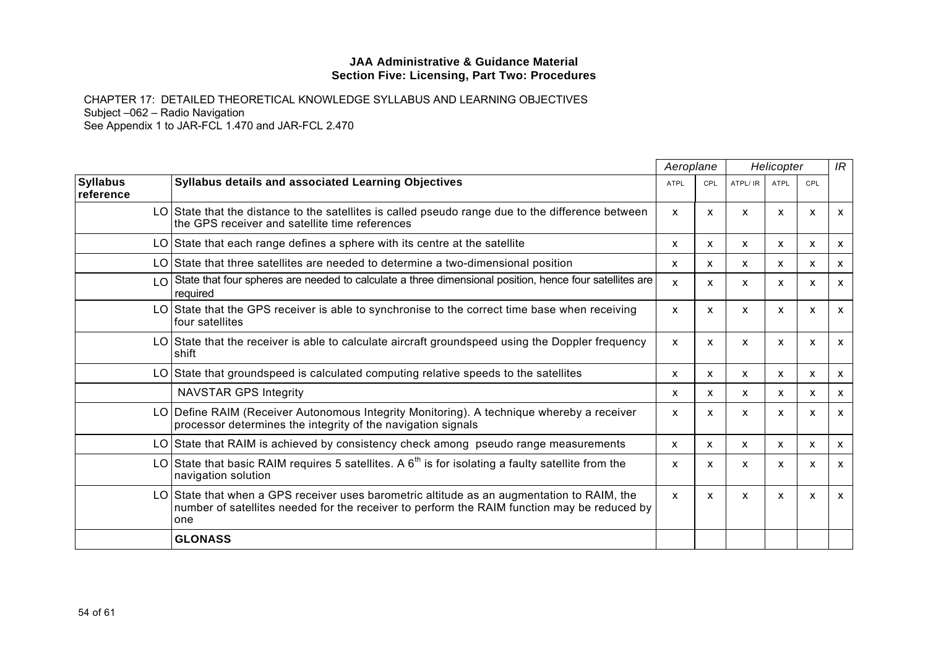|                              |                                                                                                                                                                                                  | Aeroplane    |              | Helicopter |                           |              | IR           |
|------------------------------|--------------------------------------------------------------------------------------------------------------------------------------------------------------------------------------------------|--------------|--------------|------------|---------------------------|--------------|--------------|
| <b>Syllabus</b><br>reference | Syllabus details and associated Learning Objectives                                                                                                                                              | <b>ATPL</b>  | <b>CPL</b>   | ATPL/ IR   | <b>ATPL</b>               | CPL          |              |
|                              | LO State that the distance to the satellites is called pseudo range due to the difference between<br>the GPS receiver and satellite time references                                              | X            | X            | X          | x                         | X            | X            |
|                              | LO State that each range defines a sphere with its centre at the satellite                                                                                                                       | X            | x            | X          | $\mathsf{x}$              | X            | X            |
|                              | LO State that three satellites are needed to determine a two-dimensional position                                                                                                                | X            | $\mathsf{x}$ | X          | $\mathsf{x}$              | X            | $\mathsf{x}$ |
|                              | $\log$ State that four spheres are needed to calculate a three dimensional position, hence four satellites are<br>required                                                                       | X            | $\mathsf{x}$ | X          | $\mathsf{x}$              | $\mathsf{x}$ | $\mathsf{x}$ |
|                              | LO State that the GPS receiver is able to synchronise to the correct time base when receiving<br>four satellites                                                                                 | X            | X            | X          | X                         | X            | X            |
|                              | LO State that the receiver is able to calculate aircraft groundspeed using the Doppler frequency<br><b>shift</b>                                                                                 | x            | X            | X          | X                         | X            | X            |
|                              | LO State that groundspeed is calculated computing relative speeds to the satellites                                                                                                              | X            | X            | X          | X                         | X            | $\mathsf{x}$ |
|                              | <b>NAVSTAR GPS Integrity</b>                                                                                                                                                                     | x            | X            | X          | $\mathsf{x}$              | x            | X            |
|                              | LO Define RAIM (Receiver Autonomous Integrity Monitoring). A technique whereby a receiver<br>processor determines the integrity of the navigation signals                                        | X            | X            | X          | $\boldsymbol{\mathsf{x}}$ | X            | $\mathsf{x}$ |
|                              | LO State that RAIM is achieved by consistency check among pseudo range measurements                                                                                                              | $\mathsf{x}$ | X            | X          | $\mathsf{x}$              | $\mathsf{x}$ | $\mathsf{x}$ |
|                              | LO State that basic RAIM requires 5 satellites. A $6th$ is for isolating a faulty satellite from the<br>navigation solution                                                                      | X            | X            | X          | $\mathsf{x}$              | X            | $\mathsf{x}$ |
|                              | LO State that when a GPS receiver uses barometric altitude as an augmentation to RAIM, the<br>number of satellites needed for the receiver to perform the RAIM function may be reduced by<br>one | $\mathsf{x}$ | X            | X          | $\boldsymbol{\mathsf{x}}$ | $\mathsf{x}$ | $\mathsf{x}$ |
|                              | <b>GLONASS</b>                                                                                                                                                                                   |              |              |            |                           |              |              |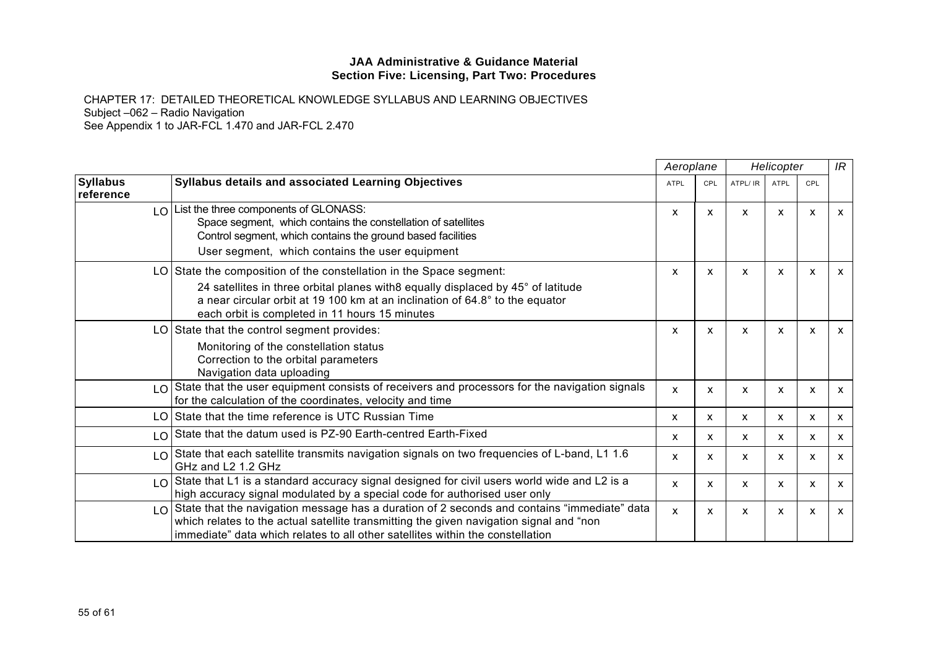|                              |                                                                                                                                                                                                                                                                                           | Aeroplane    |              |          | Helicopter   |              | IR           |
|------------------------------|-------------------------------------------------------------------------------------------------------------------------------------------------------------------------------------------------------------------------------------------------------------------------------------------|--------------|--------------|----------|--------------|--------------|--------------|
| <b>Syllabus</b><br>reference | Syllabus details and associated Learning Objectives                                                                                                                                                                                                                                       | <b>ATPL</b>  | <b>CPL</b>   | ATPL/ IR | ATPL         | CPL          |              |
|                              | $LO$ List the three components of GLONASS:<br>Space segment, which contains the constellation of satellites<br>Control segment, which contains the ground based facilities<br>User segment, which contains the user equipment                                                             | X            | X            | x        | x            | X            | $\mathsf{x}$ |
|                              | LO State the composition of the constellation in the Space segment:<br>24 satellites in three orbital planes with8 equally displaced by 45° of latitude<br>a near circular orbit at 19 100 km at an inclination of 64.8° to the equator<br>each orbit is completed in 11 hours 15 minutes | X            | $\mathsf{x}$ | X        | X            | $\mathsf{x}$ | $\mathsf{x}$ |
|                              | LO State that the control segment provides:<br>Monitoring of the constellation status<br>Correction to the orbital parameters<br>Navigation data uploading                                                                                                                                | x            | $\mathsf{x}$ | X        | X            | X            | $\mathsf{x}$ |
| LO                           | State that the user equipment consists of receivers and processors for the navigation signals<br>for the calculation of the coordinates, velocity and time                                                                                                                                | X            | X            | X        | $\mathsf{x}$ | X            | $\mathsf{x}$ |
|                              | LO State that the time reference is UTC Russian Time                                                                                                                                                                                                                                      | x            | X            | X        | X            | x            | $\mathsf{x}$ |
|                              | LO State that the datum used is PZ-90 Earth-centred Earth-Fixed                                                                                                                                                                                                                           | x            | X            | X        | x            | X            | $\mathsf{x}$ |
|                              | LO State that each satellite transmits navigation signals on two frequencies of L-band, L1 1.6<br>GHz and L2 1.2 GHz                                                                                                                                                                      | X            | $\mathsf{x}$ | X        | $\mathsf{x}$ | X            | $\mathsf{x}$ |
| $\overline{0}$               | State that L1 is a standard accuracy signal designed for civil users world wide and L2 is a<br>high accuracy signal modulated by a special code for authorised user only                                                                                                                  | x            | X            | X        | x            | X            | $\mathsf{x}$ |
| LO                           | State that the navigation message has a duration of 2 seconds and contains "immediate" data<br>which relates to the actual satellite transmitting the given navigation signal and "non<br>immediate" data which relates to all other satellites within the constellation                  | $\mathsf{x}$ | X            | X        | X            | x            | $\mathsf{x}$ |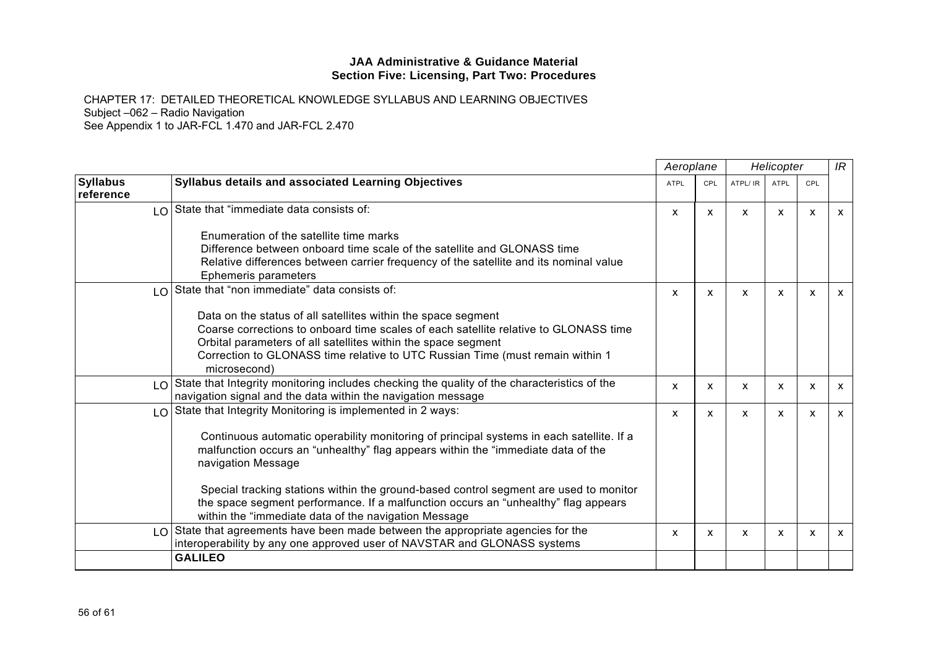|                              |                                                                                                                                                                                                                                     |             | Aeroplane    |          | Helicopter  |     | IR                        |
|------------------------------|-------------------------------------------------------------------------------------------------------------------------------------------------------------------------------------------------------------------------------------|-------------|--------------|----------|-------------|-----|---------------------------|
| <b>Syllabus</b><br>reference | <b>Syllabus details and associated Learning Objectives</b>                                                                                                                                                                          | <b>ATPL</b> | CPL          | ATPL/ IR | <b>ATPL</b> | CPL |                           |
|                              | LO State that "immediate data consists of:                                                                                                                                                                                          | X           | x            | x        | x           | X   | X                         |
|                              | Enumeration of the satellite time marks                                                                                                                                                                                             |             |              |          |             |     |                           |
|                              | Difference between onboard time scale of the satellite and GLONASS time                                                                                                                                                             |             |              |          |             |     |                           |
|                              | Relative differences between carrier frequency of the satellite and its nominal value<br>Ephemeris parameters                                                                                                                       |             |              |          |             |     |                           |
|                              | $\lfloor 0 \rfloor$ State that "non immediate" data consists of:                                                                                                                                                                    | X           | $\mathsf{x}$ | X        | X           | X   | $\mathsf{x}$              |
|                              | Data on the status of all satellites within the space segment                                                                                                                                                                       |             |              |          |             |     |                           |
|                              | Coarse corrections to onboard time scales of each satellite relative to GLONASS time                                                                                                                                                |             |              |          |             |     |                           |
|                              | Orbital parameters of all satellites within the space segment                                                                                                                                                                       |             |              |          |             |     |                           |
|                              | Correction to GLONASS time relative to UTC Russian Time (must remain within 1                                                                                                                                                       |             |              |          |             |     |                           |
|                              | microsecond)                                                                                                                                                                                                                        |             |              |          |             |     |                           |
| $\overline{0}$               | State that Integrity monitoring includes checking the quality of the characteristics of the<br>navigation signal and the data within the navigation message                                                                         | X           | x            | x        | x           | x   | X                         |
|                              | $\lfloor 0 \rfloor$ State that Integrity Monitoring is implemented in 2 ways:                                                                                                                                                       | X           | X            | X        | X           | X   | $\mathsf{x}$              |
|                              | Continuous automatic operability monitoring of principal systems in each satellite. If a<br>malfunction occurs an "unhealthy" flag appears within the "immediate data of the<br>navigation Message                                  |             |              |          |             |     |                           |
|                              | Special tracking stations within the ground-based control segment are used to monitor<br>the space segment performance. If a malfunction occurs an "unhealthy" flag appears<br>within the "immediate data of the navigation Message |             |              |          |             |     |                           |
|                              | $LO$ State that agreements have been made between the appropriate agencies for the<br>interoperability by any one approved user of NAVSTAR and GLONASS systems                                                                      | X           | X            | X        | X           | X   | $\boldsymbol{\mathsf{x}}$ |
|                              | <b>GALILEO</b>                                                                                                                                                                                                                      |             |              |          |             |     |                           |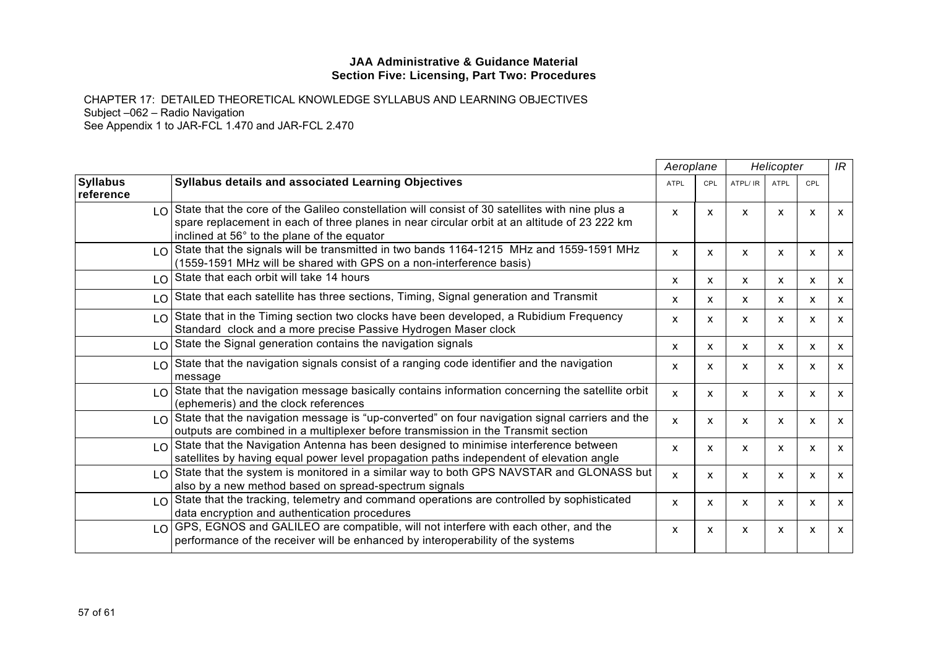|                               |                                                                                                                                                                                                                                                                    | Aeroplane   |              | Helicopter |              |              | IR           |
|-------------------------------|--------------------------------------------------------------------------------------------------------------------------------------------------------------------------------------------------------------------------------------------------------------------|-------------|--------------|------------|--------------|--------------|--------------|
| <b>Syllabus</b><br>reference  | Syllabus details and associated Learning Objectives                                                                                                                                                                                                                | <b>ATPL</b> | <b>CPL</b>   | ATPL/ IR   | <b>ATPL</b>  | CPL          |              |
|                               | $\lfloor 0 \rfloor$ State that the core of the Galileo constellation will consist of 30 satellites with nine plus a<br>spare replacement in each of three planes in near circular orbit at an altitude of 23 222 km<br>inclined at 56° to the plane of the equator | X           | X            | X          | X            | X            | $\mathsf{x}$ |
|                               | LO State that the signals will be transmitted in two bands 1164-1215 MHz and 1559-1591 MHz<br>(1559-1591 MHz will be shared with GPS on a non-interference basis)                                                                                                  | X           | X            | X          | $\mathsf{x}$ | X            | $\mathsf{x}$ |
|                               | LO State that each orbit will take 14 hours                                                                                                                                                                                                                        | x           | X            | X          | X.           | X            | X            |
|                               | $\lfloor 0 \rfloor$ State that each satellite has three sections, Timing, Signal generation and Transmit                                                                                                                                                           | x           | $\mathsf{x}$ | X          | X.           | X            | $\mathsf{x}$ |
|                               | LO State that in the Timing section two clocks have been developed, a Rubidium Frequency<br>Standard clock and a more precise Passive Hydrogen Maser clock                                                                                                         | X           | X            | X          | x            | X            | $\mathsf{x}$ |
|                               | LO State the Signal generation contains the navigation signals                                                                                                                                                                                                     | X           | $\mathsf{x}$ | X          | X.           | X            | $\mathsf{x}$ |
| LO                            | State that the navigation signals consist of a ranging code identifier and the navigation<br>message                                                                                                                                                               | X           | X            | X          | $\mathsf{x}$ | X            | $\mathsf{x}$ |
|                               | $LO$ State that the navigation message basically contains information concerning the satellite orbit<br>(ephemeris) and the clock references                                                                                                                       | x           | X            | X          | X.           | X            | $\mathsf{x}$ |
|                               | $LO$ State that the navigation message is "up-converted" on four navigation signal carriers and the<br>outputs are combined in a multiplexer before transmission in the Transmit section                                                                           | X           | $\mathsf{x}$ | X          | $\mathsf{x}$ | $\mathsf{x}$ | $\mathsf{x}$ |
|                               | $LO$ State that the Navigation Antenna has been designed to minimise interference between<br>satellites by having equal power level propagation paths independent of elevation angle                                                                               | X           | $\mathsf{x}$ | X          | $\mathsf{x}$ | X            | $\mathsf{x}$ |
|                               | LO State that the system is monitored in a similar way to both GPS NAVSTAR and GLONASS but<br>also by a new method based on spread-spectrum signals                                                                                                                | X           | X.           | X          | x            | X            | $\mathsf{x}$ |
|                               | $\lfloor 0 \rfloor$ State that the tracking, telemetry and command operations are controlled by sophisticated<br>data encryption and authentication procedures                                                                                                     | X           | X            | X          | $\mathsf{x}$ | X            | $\mathsf{x}$ |
| $\overline{1}$ $\overline{0}$ | GPS, EGNOS and GALILEO are compatible, will not interfere with each other, and the<br>performance of the receiver will be enhanced by interoperability of the systems                                                                                              | X           | X.           | X          | X.           | X            | $\mathsf{x}$ |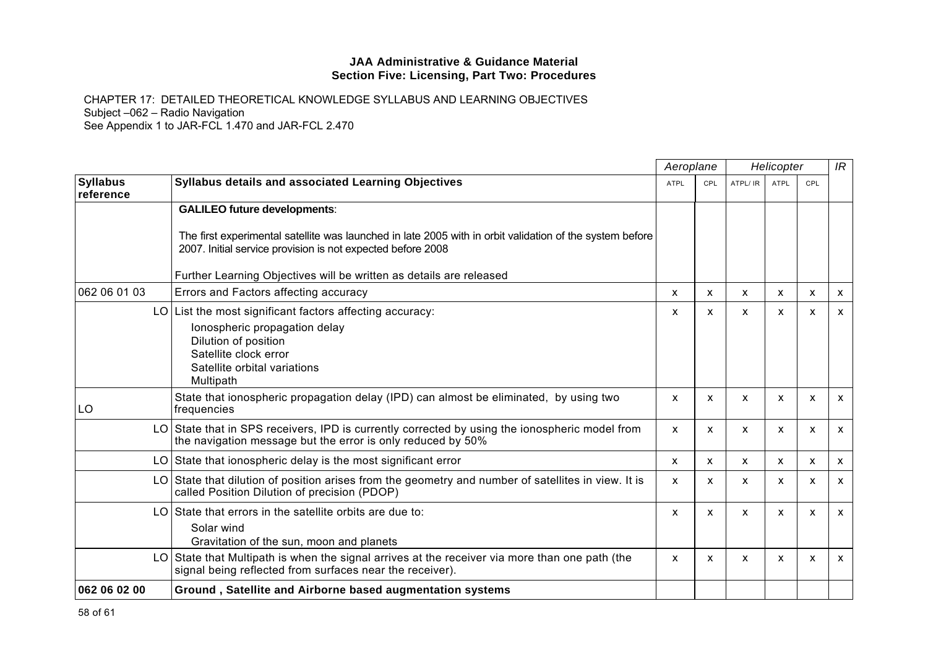|                              |                                                                                                                                                                                         | Aeroplane   |              | Helicopter   |      | IR                        |                           |
|------------------------------|-----------------------------------------------------------------------------------------------------------------------------------------------------------------------------------------|-------------|--------------|--------------|------|---------------------------|---------------------------|
| <b>Syllabus</b><br>reference | <b>Syllabus details and associated Learning Objectives</b>                                                                                                                              | <b>ATPL</b> | CPL          | ATPL/ IR     | ATPL | CPL                       |                           |
|                              | <b>GALILEO future developments:</b>                                                                                                                                                     |             |              |              |      |                           |                           |
|                              | The first experimental satellite was launched in late 2005 with in orbit validation of the system before<br>2007. Initial service provision is not expected before 2008                 |             |              |              |      |                           |                           |
|                              | Further Learning Objectives will be written as details are released                                                                                                                     |             |              |              |      |                           |                           |
| 062 06 01 03                 | Errors and Factors affecting accuracy                                                                                                                                                   | x           | X            | X            | X    | X                         | X                         |
|                              | LO List the most significant factors affecting accuracy:<br>lonospheric propagation delay<br>Dilution of position<br>Satellite clock error<br>Satellite orbital variations<br>Multipath | X           | X            | $\mathsf{x}$ | X    | $\boldsymbol{\mathsf{x}}$ | $\mathsf{x}$              |
| LO                           | State that ionospheric propagation delay (IPD) can almost be eliminated, by using two<br>frequencies                                                                                    | X           | X            | X            | X    | X                         | $\boldsymbol{\mathsf{x}}$ |
|                              | LO State that in SPS receivers, IPD is currently corrected by using the ionospheric model from<br>the navigation message but the error is only reduced by 50%                           | X           | X            | $\mathsf{x}$ | X    | X                         | $\mathsf{x}$              |
| LO.                          | State that ionospheric delay is the most significant error                                                                                                                              | X           | $\mathsf{x}$ | $\mathsf{x}$ | X    | X                         | $\mathsf{x}$              |
|                              | LO State that dilution of position arises from the geometry and number of satellites in view. It is<br>called Position Dilution of precision (PDOP)                                     | X           | X            | X            | x    | x                         | $\boldsymbol{\mathsf{x}}$ |
| LO                           | State that errors in the satellite orbits are due to:<br>Solar wind<br>Gravitation of the sun, moon and planets                                                                         | X           | $\mathsf{x}$ | $\mathsf{x}$ | X    | $\boldsymbol{\mathsf{x}}$ | $\mathsf{x}$              |
|                              | LO State that Multipath is when the signal arrives at the receiver via more than one path (the<br>signal being reflected from surfaces near the receiver).                              | X           | X            | X            | X    | X                         | $\mathsf{x}$              |
| 062 06 02 00                 | Ground, Satellite and Airborne based augmentation systems                                                                                                                               |             |              |              |      |                           |                           |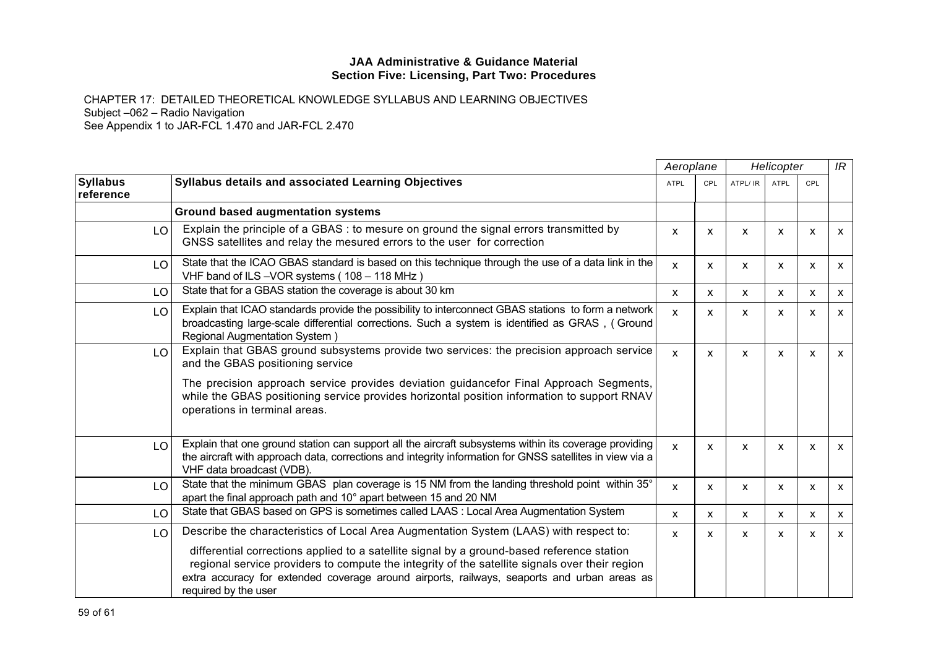|                              |                                                                                                                                                                                                                                                                                                                                                                                                               | Aeroplane    |              | Helicopter   |                           |                           | IR           |
|------------------------------|---------------------------------------------------------------------------------------------------------------------------------------------------------------------------------------------------------------------------------------------------------------------------------------------------------------------------------------------------------------------------------------------------------------|--------------|--------------|--------------|---------------------------|---------------------------|--------------|
| <b>Syllabus</b><br>reference | Syllabus details and associated Learning Objectives                                                                                                                                                                                                                                                                                                                                                           | <b>ATPL</b>  | CPL          | ATPL/ IR     | <b>ATPL</b>               | CPL                       |              |
|                              | <b>Ground based augmentation systems</b>                                                                                                                                                                                                                                                                                                                                                                      |              |              |              |                           |                           |              |
| LO.                          | Explain the principle of a GBAS : to mesure on ground the signal errors transmitted by<br>GNSS satellites and relay the mesured errors to the user for correction                                                                                                                                                                                                                                             | X            | $\mathsf{x}$ | X            | $\mathsf{x}$              | X                         | $\mathsf{x}$ |
| LO.                          | State that the ICAO GBAS standard is based on this technique through the use of a data link in the<br>VHF band of ILS-VOR systems (108 - 118 MHz)                                                                                                                                                                                                                                                             | $\mathbf{x}$ | X            | X            | $\mathsf{x}$              | X                         | X            |
| LO                           | State that for a GBAS station the coverage is about 30 km                                                                                                                                                                                                                                                                                                                                                     | X            | $\mathsf{x}$ | X            | X                         | X                         | X            |
| LO                           | Explain that ICAO standards provide the possibility to interconnect GBAS stations to form a network<br>broadcasting large-scale differential corrections. Such a system is identified as GRAS, (Ground<br>Regional Augmentation System)                                                                                                                                                                       | $\mathsf{x}$ | $\mathsf{x}$ | X            | $\boldsymbol{\mathsf{x}}$ | X                         | X            |
| LO                           | Explain that GBAS ground subsystems provide two services: the precision approach service<br>and the GBAS positioning service<br>The precision approach service provides deviation guidancefor Final Approach Segments,<br>while the GBAS positioning service provides horizontal position information to support RNAV<br>operations in terminal areas.                                                        | $\mathbf{x}$ | $\mathsf{x}$ | X            | $\mathsf{x}$              | $\boldsymbol{\mathsf{x}}$ | $\mathsf{x}$ |
| LO.                          | Explain that one ground station can support all the aircraft subsystems within its coverage providing<br>the aircraft with approach data, corrections and integrity information for GNSS satellites in view via a<br>VHF data broadcast (VDB).                                                                                                                                                                | $\mathbf{x}$ | $\mathsf{x}$ | X            | X                         | $\boldsymbol{\mathsf{x}}$ | $\mathsf{x}$ |
| LO.                          | State that the minimum GBAS plan coverage is 15 NM from the landing threshold point within 35°<br>apart the final approach path and 10° apart between 15 and 20 NM                                                                                                                                                                                                                                            | $\mathsf{x}$ | X            | X            | $\boldsymbol{\mathsf{x}}$ | $\boldsymbol{\mathsf{x}}$ | X            |
| LO                           | State that GBAS based on GPS is sometimes called LAAS : Local Area Augmentation System                                                                                                                                                                                                                                                                                                                        | X            | $\mathsf{x}$ | x            | X                         | $\mathsf{x}$              | X            |
| LO                           | Describe the characteristics of Local Area Augmentation System (LAAS) with respect to:<br>differential corrections applied to a satellite signal by a ground-based reference station<br>regional service providers to compute the integrity of the satellite signals over their region<br>extra accuracy for extended coverage around airports, railways, seaports and urban areas as<br>required by the user | X            | $\mathsf{x}$ | $\mathsf{x}$ | $\mathsf{x}$              | $\boldsymbol{\mathsf{x}}$ | X            |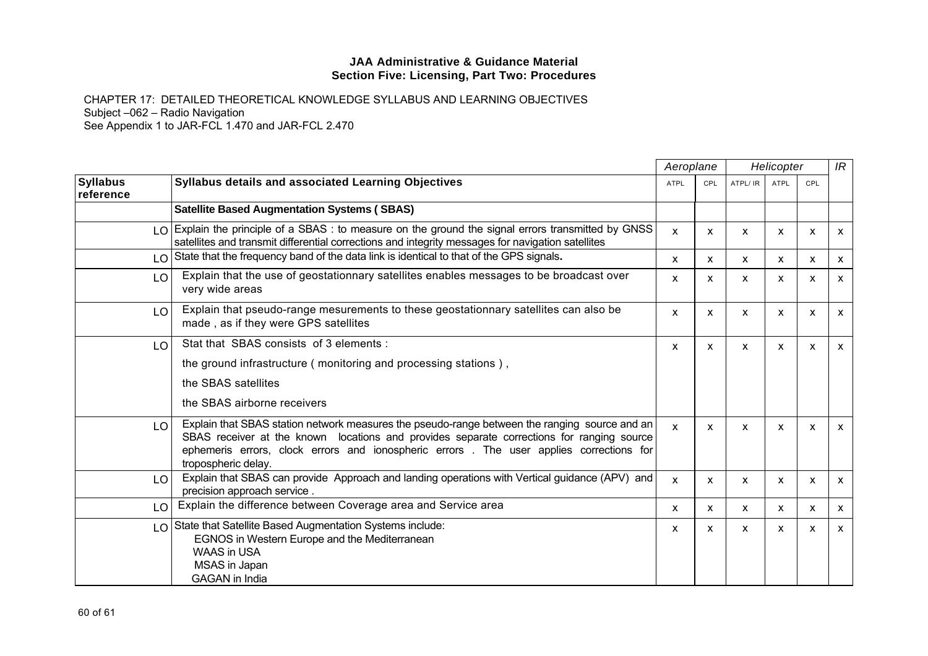|                              |                                                                                                                                                                                                                                                                                                              |              | Aeroplane    |          | Helicopter                |                           | IR           |
|------------------------------|--------------------------------------------------------------------------------------------------------------------------------------------------------------------------------------------------------------------------------------------------------------------------------------------------------------|--------------|--------------|----------|---------------------------|---------------------------|--------------|
| <b>Syllabus</b><br>reference | <b>Syllabus details and associated Learning Objectives</b>                                                                                                                                                                                                                                                   | <b>ATPL</b>  | <b>CPL</b>   | ATPL/ IR | ATPL                      | CPL                       |              |
|                              | <b>Satellite Based Augmentation Systems (SBAS)</b>                                                                                                                                                                                                                                                           |              |              |          |                           |                           |              |
|                              | LO Explain the principle of a SBAS : to measure on the ground the signal errors transmitted by GNSS<br>satellites and transmit differential corrections and integrity messages for navigation satellites                                                                                                     | $\mathsf{x}$ | X            | x        | x                         | X                         | $\mathsf{x}$ |
|                              | LO State that the frequency band of the data link is identical to that of the GPS signals.                                                                                                                                                                                                                   | X            | X            | X.       | X                         | X                         | $\mathsf{x}$ |
| LO                           | Explain that the use of geostationnary satellites enables messages to be broadcast over<br>very wide areas                                                                                                                                                                                                   | $\mathsf{x}$ | X            | X        | X                         | $\boldsymbol{\mathsf{x}}$ | $\mathsf{x}$ |
| LO                           | Explain that pseudo-range mesurements to these geostationnary satellites can also be<br>made, as if they were GPS satellites                                                                                                                                                                                 | $\mathsf{x}$ | $\mathsf{x}$ | X        | X                         | $\mathsf{x}$              | $\mathsf{x}$ |
| LO.                          | Stat that SBAS consists of 3 elements:                                                                                                                                                                                                                                                                       | X            | X            | X        | X                         | $\boldsymbol{\mathsf{x}}$ | $\mathsf{x}$ |
|                              | the ground infrastructure (monitoring and processing stations),                                                                                                                                                                                                                                              |              |              |          |                           |                           |              |
|                              | the SBAS satellites                                                                                                                                                                                                                                                                                          |              |              |          |                           |                           |              |
|                              | the SBAS airborne receivers                                                                                                                                                                                                                                                                                  |              |              |          |                           |                           |              |
| LO.                          | Explain that SBAS station network measures the pseudo-range between the ranging source and an<br>SBAS receiver at the known locations and provides separate corrections for ranging source<br>ephemeris errors, clock errors and ionospheric errors. The user applies corrections for<br>tropospheric delay. | $\mathsf{x}$ | $\mathsf{x}$ | X        | $\mathsf{x}$              | $\boldsymbol{\mathsf{x}}$ | $\mathsf{x}$ |
| LO                           | Explain that SBAS can provide Approach and landing operations with Vertical guidance (APV) and<br>precision approach service.                                                                                                                                                                                | X            | $\mathsf{x}$ | X        | $\mathsf{x}$              | $\boldsymbol{\mathsf{x}}$ | $\mathsf{x}$ |
| LO                           | Explain the difference between Coverage area and Service area                                                                                                                                                                                                                                                | $\mathsf{x}$ | $\mathsf{x}$ | X        | $\boldsymbol{\mathsf{x}}$ | $\boldsymbol{\mathsf{x}}$ | X            |
|                              | LO State that Satellite Based Augmentation Systems include:<br>EGNOS in Western Europe and the Mediterranean<br><b>WAAS in USA</b><br>MSAS in Japan<br><b>GAGAN</b> in India                                                                                                                                 | x            | x            | X        | X                         | X                         | $\mathsf{x}$ |